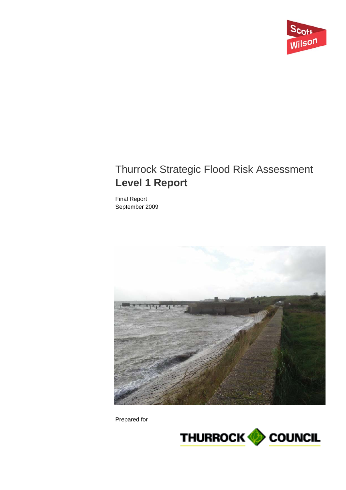

# Thurrock Strategic Flood Risk Assessment **Level 1 Report**

Final Report September 2009



Prepared for

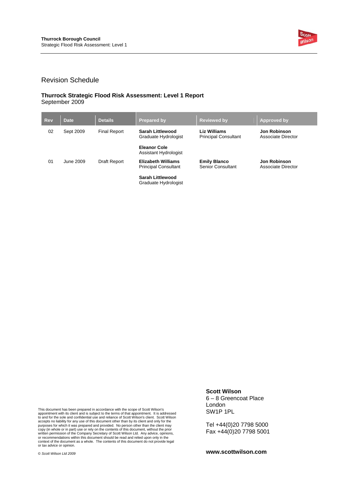

#### Revision Schedule

#### **Thurrock Strategic Flood Risk Assessment: Level 1 Report**  September 2009

| <b>Rev</b> | <b>Date</b> | <b>Details</b>      | <b>Prepared by</b>                                       | <b>Reviewed by</b>                                 | Approved by                               |
|------------|-------------|---------------------|----------------------------------------------------------|----------------------------------------------------|-------------------------------------------|
| 02         | Sept 2009   | <b>Final Report</b> | Sarah Littlewood<br>Graduate Hydrologist                 | <b>Liz Williams</b><br><b>Principal Consultant</b> | <b>Jon Robinson</b><br>Associate Director |
|            |             |                     | <b>Eleanor Cole</b><br>Assistant Hydrologist             |                                                    |                                           |
| 01         | June 2009   | Draft Report        | <b>Elizabeth Williams</b><br><b>Principal Consultant</b> | <b>Emily Blanco</b><br>Senior Consultant           | <b>Jon Robinson</b><br>Associate Director |
|            |             |                     | Sarah Littlewood<br>Graduate Hydrologist                 |                                                    |                                           |

This document has been prepared in accordance with the scope of Scott Wilson's appointment with its client and is subject to the terms of that appointment. It is addressed to and for the sole and confidential use and reliance of Scott Wilson's client. Scott Wilson<br>accepts no liability for any use of this document other than by its client and only for the<br>purposes for which it was prepared an

### **Scott Wilson**

6 – 8 Greencoat Place London SW1P 1PL

Tel +44(0)20 7798 5000 Fax +44(0)20 7798 5001

**www.scottwilson.com**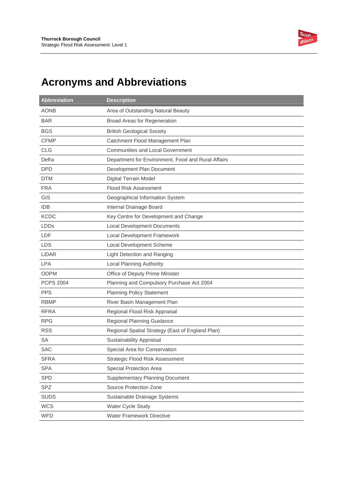

# **Acronyms and Abbreviations**

| <b>Abbreviation</b> | <b>Description</b>                                 |
|---------------------|----------------------------------------------------|
| <b>AONB</b>         | Area of Outstanding Natural Beauty                 |
| <b>BAR</b>          | Broad Areas for Regeneration                       |
| <b>BGS</b>          | <b>British Geological Society</b>                  |
| <b>CFMP</b>         | Catchment Flood Management Plan                    |
| <b>CLG</b>          | <b>Communities and Local Government</b>            |
| Defra               | Department for Environment, Food and Rural Affairs |
| <b>DPD</b>          | Development Plan Document                          |
| <b>DTM</b>          | <b>Digital Terrain Model</b>                       |
| <b>FRA</b>          | <b>Flood Risk Assessment</b>                       |
| GIS                 | Geographical Information System                    |
| <b>IDB</b>          | Internal Drainage Board                            |
| <b>KCDC</b>         | Key Centre for Development and Change              |
| <b>LDDs</b>         | <b>Local Development Documents</b>                 |
| LDF                 | Local Development Framework                        |
| <b>LDS</b>          | Local Development Scheme                           |
| LiDAR               | <b>Light Detection and Ranging</b>                 |
| <b>LPA</b>          | <b>Local Planning Authority</b>                    |
| <b>ODPM</b>         | Office of Deputy Prime Minister                    |
| <b>PCPS 2004</b>    | Planning and Compulsory Purchase Act 2004          |
| <b>PPS</b>          | <b>Planning Policy Statement</b>                   |
| <b>RBMP</b>         | River Basin Management Plan                        |
| <b>RFRA</b>         | Regional Flood Risk Appraisal                      |
| <b>RPG</b>          | Regional Planning Guidance                         |
| <b>RSS</b>          | Regional Spatial Strategy (East of England Plan)   |
| <b>SA</b>           | Sustainability Appraisal                           |
| <b>SAC</b>          | Special Area for Conservation                      |
| <b>SFRA</b>         | Strategic Flood Risk Assessment                    |
| <b>SPA</b>          | Special Protection Area                            |
| <b>SPD</b>          | <b>Supplementary Planning Document</b>             |
| <b>SPZ</b>          | Source Protection Zone                             |
| <b>SUDS</b>         | Sustainable Drainage Systems                       |
| <b>WCS</b>          | Water Cycle Study                                  |
| <b>WFD</b>          | Water Framework Directive                          |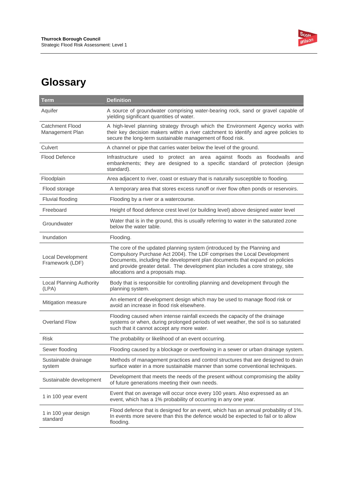

# **Glossary**

| <b>Term</b>                               | <b>Definition</b>                                                                                                                                                                                                                                                                                                                                       |
|-------------------------------------------|---------------------------------------------------------------------------------------------------------------------------------------------------------------------------------------------------------------------------------------------------------------------------------------------------------------------------------------------------------|
| Aquifer                                   | A source of groundwater comprising water-bearing rock, sand or gravel capable of<br>yielding significant quantities of water.                                                                                                                                                                                                                           |
| <b>Catchment Flood</b><br>Management Plan | A high-level planning strategy through which the Environment Agency works with<br>their key decision makers within a river catchment to identify and agree policies to<br>secure the long-term sustainable management of flood risk.                                                                                                                    |
| Culvert                                   | A channel or pipe that carries water below the level of the ground.                                                                                                                                                                                                                                                                                     |
| <b>Flood Defence</b>                      | Infrastructure used to protect an area against floods as floodwalls and<br>embankments; they are designed to a specific standard of protection (design<br>standard).                                                                                                                                                                                    |
| Floodplain                                | Area adjacent to river, coast or estuary that is naturally susceptible to flooding.                                                                                                                                                                                                                                                                     |
| Flood storage                             | A temporary area that stores excess runoff or river flow often ponds or reservoirs.                                                                                                                                                                                                                                                                     |
| Fluvial flooding                          | Flooding by a river or a watercourse.                                                                                                                                                                                                                                                                                                                   |
| Freeboard                                 | Height of flood defence crest level (or building level) above designed water level                                                                                                                                                                                                                                                                      |
| Groundwater                               | Water that is in the ground, this is usually referring to water in the saturated zone<br>below the water table.                                                                                                                                                                                                                                         |
| Inundation                                | Flooding.                                                                                                                                                                                                                                                                                                                                               |
| Local Development<br>Framework (LDF)      | The core of the updated planning system (introduced by the Planning and<br>Compulsory Purchase Act 2004). The LDF comprises the Local Development<br>Documents, including the development plan documents that expand on policies<br>and provide greater detail. The development plan includes a core strategy, site<br>allocations and a proposals map. |
| Local Planning Authority<br>(LPA)         | Body that is responsible for controlling planning and development through the<br>planning system.                                                                                                                                                                                                                                                       |
| Mitigation measure                        | An element of development design which may be used to manage flood risk or<br>avoid an increase in flood risk elsewhere.                                                                                                                                                                                                                                |
| <b>Overland Flow</b>                      | Flooding caused when intense rainfall exceeds the capacity of the drainage<br>systems or when, during prolonged periods of wet weather, the soil is so saturated<br>such that it cannot accept any more water.                                                                                                                                          |
| <b>Risk</b>                               | The probability or likelihood of an event occurring.                                                                                                                                                                                                                                                                                                    |
| Sewer flooding                            | Flooding caused by a blockage or overflowing in a sewer or urban drainage system.                                                                                                                                                                                                                                                                       |
| Sustainable drainage<br>system            | Methods of management practices and control structures that are designed to drain<br>surface water in a more sustainable manner than some conventional techniques.                                                                                                                                                                                      |
| Sustainable development                   | Development that meets the needs of the present without compromising the ability<br>of future generations meeting their own needs.                                                                                                                                                                                                                      |
| 1 in 100 year event                       | Event that on average will occur once every 100 years. Also expressed as an<br>event, which has a 1% probability of occurring in any one year.                                                                                                                                                                                                          |
| 1 in 100 year design<br>standard          | Flood defence that is designed for an event, which has an annual probability of 1%.<br>In events more severe than this the defence would be expected to fail or to allow<br>flooding.                                                                                                                                                                   |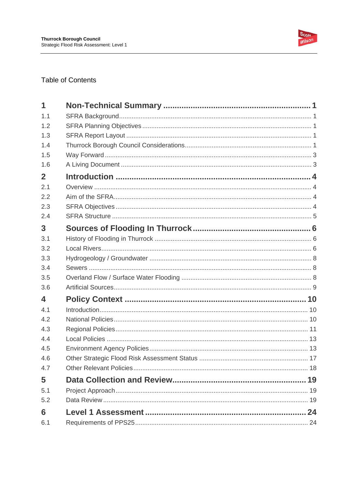

### **Table of Contents**

| 1              |  |
|----------------|--|
| 1.1            |  |
| 1.2            |  |
| 1.3            |  |
| 1.4            |  |
| 1.5            |  |
| 1.6            |  |
| $\overline{2}$ |  |
| 2.1            |  |
| 2.2            |  |
| 2.3            |  |
| 2.4            |  |
| 3              |  |
| 3.1            |  |
| 3.2            |  |
| 3.3            |  |
| 3.4            |  |
| 3.5            |  |
| 3.6            |  |
| 4              |  |
| 4.1            |  |
| 4.2            |  |
| 4.3            |  |
| 4.4            |  |
| 4.5            |  |
| 4.6            |  |
| 4.7            |  |
| 5              |  |
| 5.1            |  |
| 5.2            |  |
| 6              |  |
| 6.1            |  |
|                |  |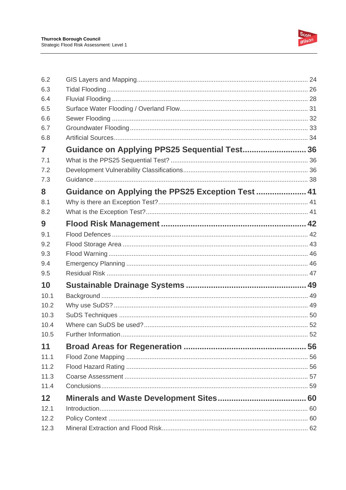

| 6.2          |                                                  |  |
|--------------|--------------------------------------------------|--|
| 6.3          |                                                  |  |
| 6.4          |                                                  |  |
| 6.5          |                                                  |  |
| 6.6          |                                                  |  |
| 6.7          |                                                  |  |
| 6.8          |                                                  |  |
| 7            | Guidance on Applying PPS25 Sequential Test 36    |  |
| 7.1          |                                                  |  |
| 7.2<br>7.3   |                                                  |  |
|              |                                                  |  |
| 8            | Guidance on Applying the PPS25 Exception Test 41 |  |
| 8.1          |                                                  |  |
| 8.2          |                                                  |  |
| 9            |                                                  |  |
| 9.1          |                                                  |  |
| 9.2          |                                                  |  |
| 9.3          |                                                  |  |
| 9.4          |                                                  |  |
| 9.5          |                                                  |  |
| 10           |                                                  |  |
| 10.1         |                                                  |  |
| 10.2<br>10.3 |                                                  |  |
| 10.4         |                                                  |  |
| 10.5         |                                                  |  |
| 11           |                                                  |  |
| 11.1         |                                                  |  |
| 11.2         |                                                  |  |
| 11.3         |                                                  |  |
| 11.4         |                                                  |  |
| 12           |                                                  |  |
| 12.1         |                                                  |  |
| 12.2         |                                                  |  |
| 12.3         |                                                  |  |
|              |                                                  |  |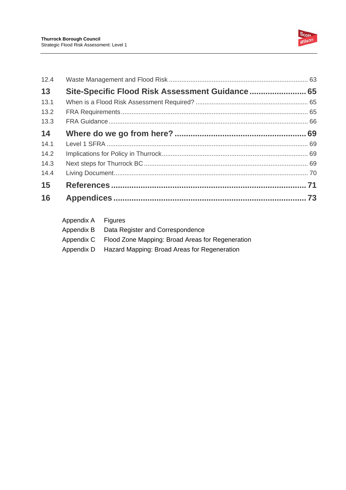

| 12.4 |                                                 |  |
|------|-------------------------------------------------|--|
| 13   | Site-Specific Flood Risk Assessment Guidance 65 |  |
| 13.1 |                                                 |  |
| 13.2 |                                                 |  |
| 13.3 |                                                 |  |
| 14   |                                                 |  |
| 14.1 |                                                 |  |
| 14.2 |                                                 |  |
| 14.3 |                                                 |  |
| 14.4 |                                                 |  |
| 15   |                                                 |  |
| 16   |                                                 |  |

| Appendix A Figures |                                                             |
|--------------------|-------------------------------------------------------------|
| Appendix B         | Data Register and Correspondence                            |
|                    | Appendix C Flood Zone Mapping: Broad Areas for Regeneration |
|                    | Appendix D Hazard Mapping: Broad Areas for Regeneration     |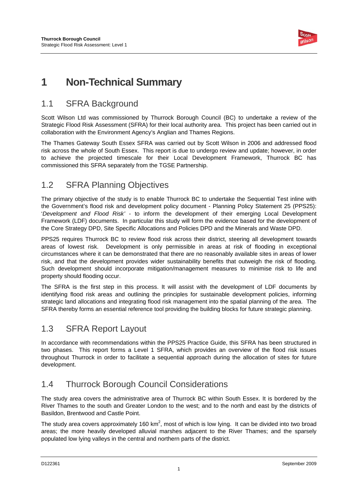

# **1 Non-Technical Summary**

# 1.1 SFRA Background

Scott Wilson Ltd was commissioned by Thurrock Borough Council (BC) to undertake a review of the Strategic Flood Risk Assessment (SFRA) for their local authority area. This project has been carried out in collaboration with the Environment Agency's Anglian and Thames Regions.

The Thames Gateway South Essex SFRA was carried out by Scott Wilson in 2006 and addressed flood risk across the whole of South Essex. This report is due to undergo review and update; however, in order to achieve the projected timescale for their Local Development Framework, Thurrock BC has commissioned this SFRA separately from the TGSE Partnership.

## 1.2 SFRA Planning Objectives

The primary objective of the study is to enable Thurrock BC to undertake the Sequential Test inline with the Government's flood risk and development policy document - Planning Policy Statement 25 (PPS25): '*Development and Flood Risk'* - to inform the development of their emerging Local Development Framework (LDF) documents. In particular this study will form the evidence based for the development of the Core Strategy DPD, Site Specific Allocations and Policies DPD and the Minerals and Waste DPD.

PPS25 requires Thurrock BC to review flood risk across their district, steering all development towards areas of lowest risk. Development is only permissible in areas at risk of flooding in exceptional circumstances where it can be demonstrated that there are no reasonably available sites in areas of lower risk, and that the development provides wider sustainability benefits that outweigh the risk of flooding. Such development should incorporate mitigation/management measures to minimise risk to life and property should flooding occur.

The SFRA is the first step in this process. It will assist with the development of LDF documents by identifying flood risk areas and outlining the principles for sustainable development policies, informing strategic land allocations and integrating flood risk management into the spatial planning of the area. The SFRA thereby forms an essential reference tool providing the building blocks for future strategic planning.

## 1.3 SFRA Report Layout

In accordance with recommendations within the PPS25 Practice Guide, this SFRA has been structured in two phases. This report forms a Level 1 SFRA, which provides an overview of the flood risk issues throughout Thurrock in order to facilitate a sequential approach during the allocation of sites for future development.

## 1.4 Thurrock Borough Council Considerations

The study area covers the administrative area of Thurrock BC within South Essex. It is bordered by the River Thames to the south and Greater London to the west; and to the north and east by the districts of Basildon, Brentwood and Castle Point.

The study area covers approximately 160 km<sup>2</sup>, most of which is low lying. It can be divided into two broad areas; the more heavily developed alluvial marshes adjacent to the River Thames; and the sparsely populated low lying valleys in the central and northern parts of the district.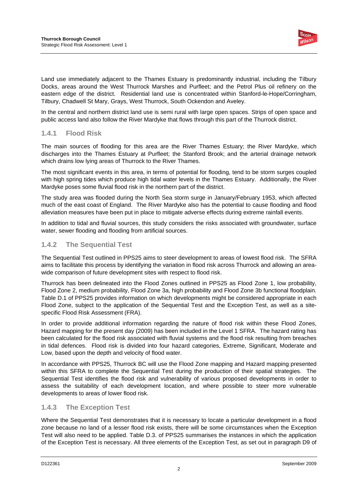

Land use immediately adjacent to the Thames Estuary is predominantly industrial, including the Tilbury Docks, areas around the West Thurrock Marshes and Purfleet; and the Petrol Plus oil refinery on the eastern edge of the district. Residential land use is concentrated within Stanford-le-Hope/Corringham, Tilbury, Chadwell St Mary, Grays, West Thurrock, South Ockendon and Aveley.

In the central and northern district land use is semi rural with large open spaces. Strips of open space and public access land also follow the River Mardyke that flows through this part of the Thurrock district.

### **1.4.1 Flood Risk**

The main sources of flooding for this area are the River Thames Estuary; the River Mardyke, which discharges into the Thames Estuary at Purfleet; the Stanford Brook; and the arterial drainage network which drains low lying areas of Thurrock to the River Thames.

The most significant events in this area, in terms of potential for flooding, tend to be storm surges coupled with high spring tides which produce high tidal water levels in the Thames Estuary. Additionally, the River Mardyke poses some fluvial flood risk in the northern part of the district.

The study area was flooded during the North Sea storm surge in January/February 1953, which affected much of the east coast of England. The River Mardyke also has the potential to cause flooding and flood alleviation measures have been put in place to mitigate adverse effects during extreme rainfall events.

In addition to tidal and fluvial sources, this study considers the risks associated with groundwater, surface water, sewer flooding and flooding from artificial sources.

### **1.4.2 The Sequential Test**

The Sequential Test outlined in PPS25 aims to steer development to areas of lowest flood risk. The SFRA aims to facilitate this process by identifying the variation in flood risk across Thurrock and allowing an areawide comparison of future development sites with respect to flood risk.

Thurrock has been delineated into the Flood Zones outlined in PPS25 as Flood Zone 1, low probability, Flood Zone 2, medium probability, Flood Zone 3a, high probability and Flood Zone 3b functional floodplain. Table D.1 of PPS25 provides information on which developments might be considered appropriate in each Flood Zone, subject to the application of the Sequential Test and the Exception Test, as well as a sitespecific Flood Risk Assessment (FRA).

In order to provide additional information regarding the nature of flood risk within these Flood Zones, Hazard mapping for the present day (2009) has been included in the Level 1 SFRA. The hazard rating has been calculated for the flood risk associated with fluvial systems and the flood risk resulting from breaches in tidal defences. Flood risk is divided into four hazard categories, Extreme, Significant, Moderate and Low, based upon the depth and velocity of flood water.

In accordance with PPS25, Thurrock BC will use the Flood Zone mapping and Hazard mapping presented within this SFRA to complete the Sequential Test during the production of their spatial strategies. The Sequential Test identifies the flood risk and vulnerability of various proposed developments in order to assess the suitability of each development location, and where possible to steer more vulnerable developments to areas of lower flood risk.

### **1.4.3 The Exception Test**

Where the Sequential Test demonstrates that it is necessary to locate a particular development in a flood zone because no land of a lesser flood risk exists, there will be some circumstances when the Exception Test will also need to be applied. Table D.3. of PPS25 summarises the instances in which the application of the Exception Test is necessary. All three elements of the Exception Test, as set out in paragraph D9 of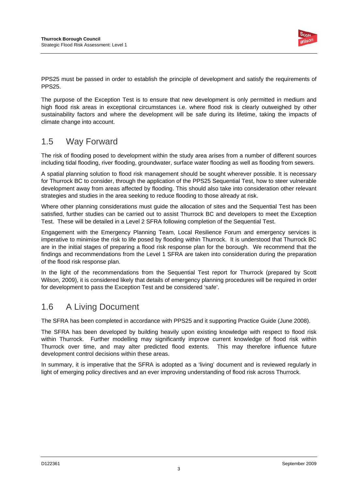

PPS25 must be passed in order to establish the principle of development and satisfy the requirements of PPS25.

The purpose of the Exception Test is to ensure that new development is only permitted in medium and high flood risk areas in exceptional circumstances i.e. where flood risk is clearly outweighed by other sustainability factors and where the development will be safe during its lifetime, taking the impacts of climate change into account.

### 1.5 Way Forward

The risk of flooding posed to development within the study area arises from a number of different sources including tidal flooding, river flooding, groundwater, surface water flooding as well as flooding from sewers.

A spatial planning solution to flood risk management should be sought wherever possible. It is necessary for Thurrock BC to consider, through the application of the PPS25 Sequential Test, how to steer vulnerable development away from areas affected by flooding. This should also take into consideration other relevant strategies and studies in the area seeking to reduce flooding to those already at risk.

Where other planning considerations must guide the allocation of sites and the Sequential Test has been satisfied, further studies can be carried out to assist Thurrock BC and developers to meet the Exception Test. These will be detailed in a Level 2 SFRA following completion of the Sequential Test.

Engagement with the Emergency Planning Team, Local Resilience Forum and emergency services is imperative to minimise the risk to life posed by flooding within Thurrock. It is understood that Thurrock BC are in the initial stages of preparing a flood risk response plan for the borough. We recommend that the findings and recommendations from the Level 1 SFRA are taken into consideration during the preparation of the flood risk response plan.

In the light of the recommendations from the Sequential Test report for Thurrock (prepared by Scott Wilson, 2009), it is considered likely that details of emergency planning procedures will be required in order for development to pass the Exception Test and be considered 'safe'.

### 1.6 A Living Document

The SFRA has been completed in accordance with PPS25 and it supporting Practice Guide (June 2008).

The SFRA has been developed by building heavily upon existing knowledge with respect to flood risk within Thurrock. Further modelling may significantly improve current knowledge of flood risk within Thurrock over time, and may alter predicted flood extents. This may therefore influence future development control decisions within these areas.

In summary, it is imperative that the SFRA is adopted as a 'living' document and is reviewed regularly in light of emerging policy directives and an ever improving understanding of flood risk across Thurrock.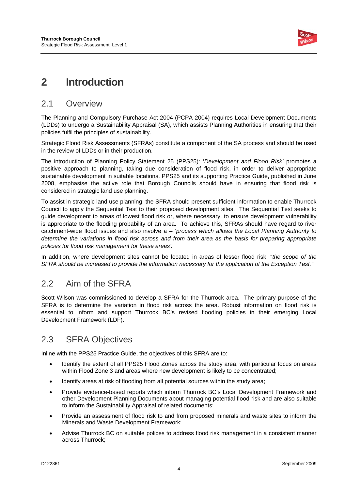

# **2 Introduction**

### 2.1 Overview

The Planning and Compulsory Purchase Act 2004 (PCPA 2004) requires Local Development Documents (LDDs) to undergo a Sustainability Appraisal (SA), which assists Planning Authorities in ensuring that their policies fulfil the principles of sustainability.

Strategic Flood Risk Assessments (SFRAs) constitute a component of the SA process and should be used in the review of LDDs or in their production.

The introduction of Planning Policy Statement 25 (PPS25): '*Development and Flood Risk'* promotes a positive approach to planning, taking due consideration of flood risk, in order to deliver appropriate sustainable development in suitable locations. PPS25 and its supporting Practice Guide, published in June 2008, emphasise the active role that Borough Councils should have in ensuring that flood risk is considered in strategic land use planning.

To assist in strategic land use planning, the SFRA should present sufficient information to enable Thurrock Council to apply the Sequential Test to their proposed development sites. The Sequential Test seeks to guide development to areas of lowest flood risk or, where necessary, to ensure development vulnerability is appropriate to the flooding probability of an area. To achieve this, SFRAs should have regard to river catchment-wide flood issues and also involve a – '*process which allows the Local Planning Authority to determine the variations in flood risk across and from their area as the basis for preparing appropriate policies for flood risk management for these areas'.*

In addition, where development sites cannot be located in areas of lesser flood risk, "*the scope of the SFRA should be increased to provide the information necessary for the application of the Exception Test."*

### 2.2 Aim of the SFRA

Scott Wilson was commissioned to develop a SFRA for the Thurrock area. The primary purpose of the SFRA is to determine the variation in flood risk across the area. Robust information on flood risk is essential to inform and support Thurrock BC's revised flooding policies in their emerging Local Development Framework (LDF).

# 2.3 SFRA Objectives

Inline with the PPS25 Practice Guide, the objectives of this SFRA are to:

- Identify the extent of all PPS25 Flood Zones across the study area, with particular focus on areas within Flood Zone 3 and areas where new development is likely to be concentrated;
- Identify areas at risk of flooding from all potential sources within the study area;
- Provide evidence-based reports which inform Thurrock BC's Local Development Framework and other Development Planning Documents about managing potential flood risk and are also suitable to inform the Sustainability Appraisal of related documents;
- Provide an assessment of flood risk to and from proposed minerals and waste sites to inform the Minerals and Waste Development Framework;
- Advise Thurrock BC on suitable polices to address flood risk management in a consistent manner across Thurrock;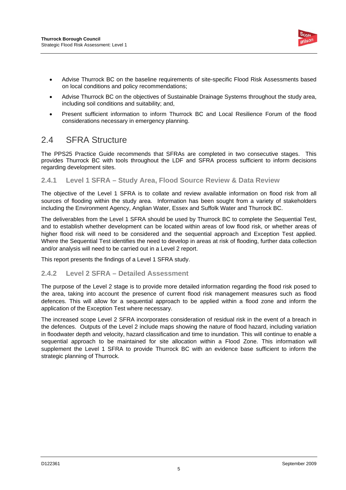

- Advise Thurrock BC on the baseline requirements of site-specific Flood Risk Assessments based on local conditions and policy recommendations;
- Advise Thurrock BC on the objectives of Sustainable Drainage Systems throughout the study area, including soil conditions and suitability; and,
- Present sufficient information to inform Thurrock BC and Local Resilience Forum of the flood considerations necessary in emergency planning.

### 2.4 SFRA Structure

The PPS25 Practice Guide recommends that SFRAs are completed in two consecutive stages. This provides Thurrock BC with tools throughout the LDF and SFRA process sufficient to inform decisions regarding development sites.

### **2.4.1 Level 1 SFRA – Study Area, Flood Source Review & Data Review**

The objective of the Level 1 SFRA is to collate and review available information on flood risk from all sources of flooding within the study area. Information has been sought from a variety of stakeholders including the Environment Agency, Anglian Water, Essex and Suffolk Water and Thurrock BC.

The deliverables from the Level 1 SFRA should be used by Thurrock BC to complete the Sequential Test, and to establish whether development can be located within areas of low flood risk, or whether areas of higher flood risk will need to be considered and the sequential approach and Exception Test applied. Where the Sequential Test identifies the need to develop in areas at risk of flooding, further data collection and/or analysis will need to be carried out in a Level 2 report.

This report presents the findings of a Level 1 SFRA study.

### **2.4.2 Level 2 SFRA – Detailed Assessment**

The purpose of the Level 2 stage is to provide more detailed information regarding the flood risk posed to the area, taking into account the presence of current flood risk management measures such as flood defences. This will allow for a sequential approach to be applied within a flood zone and inform the application of the Exception Test where necessary.

The increased scope Level 2 SFRA incorporates consideration of residual risk in the event of a breach in the defences. Outputs of the Level 2 include maps showing the nature of flood hazard, including variation in floodwater depth and velocity, hazard classification and time to inundation. This will continue to enable a sequential approach to be maintained for site allocation within a Flood Zone. This information will supplement the Level 1 SFRA to provide Thurrock BC with an evidence base sufficient to inform the strategic planning of Thurrock.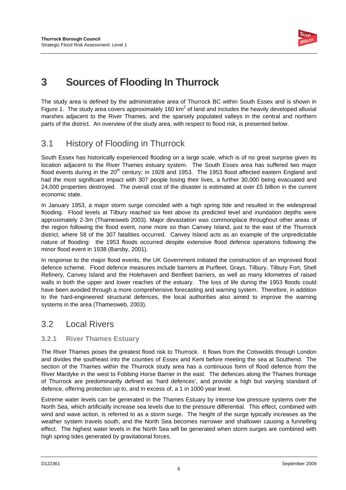

# **3 Sources of Flooding In Thurrock**

The study area is defined by the administrative area of Thurrock BC within South Essex and is shown in Figure 1. The study area covers approximately 160 km<sup>2</sup> of land and includes the heavily developed alluvial marshes adjacent to the River Thames, and the sparsely populated valleys in the central and northern parts of the district. An overview of the study area, with respect to flood risk, is presented below.

# 3.1 History of Flooding in Thurrock

South Essex has historically experienced flooding on a large scale, which is of no great surprise given its location adjacent to the River Thames estuary system. The South Essex area has suffered two major flood events during in the  $20<sup>th</sup>$  century; in 1928 and 1953. The 1953 flood affected eastern England and had the most significant impact with 307 people losing their lives, a further 30,000 being evacuated and 24,000 properties destroyed. The overall cost of the disaster is estimated at over £5 billion in the current economic state.

In January 1953, a major storm surge coincided with a high spring tide and resulted in the widespread flooding. Flood levels at Tilbury reached six feet above its predicted level and inundation depths were approximately 2-3m (Thamesweb 2003). Major devastation was commonplace throughout other areas of the region following the flood event, none more so than Canvey Island, just to the east of the Thurrock district, where 58 of the 307 fatalities occurred. Canvey Island acts as an example of the unpredictable nature of flooding: the 1953 floods occurred despite extensive flood defence operations following the minor flood event in 1938 (Barsby, 2001).

In response to the major flood events, the UK Government initiated the construction of an improved flood defence scheme. Flood defence measures include barriers at Purfleet, Grays, Tilbury, Tilbury Fort, Shell Refinery, Canvey Island and the Holehaven and Benfleet barriers, as well as many kilometres of raised walls in both the upper and lower reaches of the estuary. The loss of life during the 1953 floods could have been avoided through a more comprehensive forecasting and warning system. Therefore, in addition to the hard-engineered structural defences, the local authorities also aimed to improve the warning systems in the area (Thamesweb, 2003).

### 3.2 Local Rivers

### **3.2.1 River Thames Estuary**

The River Thames poses the greatest flood risk to Thurrock. It flows from the Cotswolds through London and divides the southeast into the counties of Essex and Kent before meeting the sea at Southend. The section of the Thames within the Thurrock study area has a continuous form of flood defence from the River Mardyke in the west to Fobbing Horse Barrier in the east. The defences along the Thames frontage of Thurrock are predominantly defined as 'hard defences', and provide a high but varying standard of defence, offering protection up to, and in excess of, a 1 in 1000 year level.

Extreme water levels can be generated in the Thames Estuary by intense low pressure systems over the North Sea, which artificially increase sea levels due to the pressure differential. This effect, combined with wind and wave action, is referred to as a storm surge. The height of the surge typically increases as the weather system travels south, and the North Sea becomes narrower and shallower causing a funnelling effect. The highest water levels in the North Sea will be generated when storm surges are combined with high spring tides generated by gravitational forces.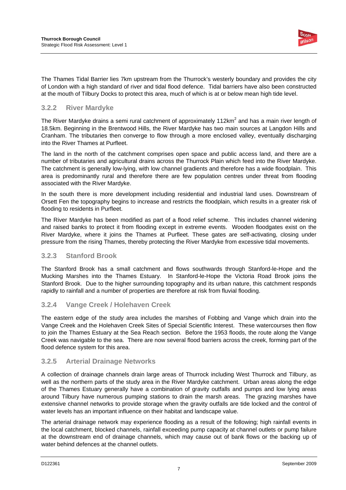

The Thames Tidal Barrier lies 7km upstream from the Thurrock's westerly boundary and provides the city of London with a high standard of river and tidal flood defence. Tidal barriers have also been constructed at the mouth of Tilbury Docks to protect this area, much of which is at or below mean high tide level.

### **3.2.2 River Mardyke**

The River Mardyke drains a semi rural catchment of approximately 112km<sup>2</sup> and has a main river length of 18.5km. Beginning in the Brentwood Hills, the River Mardyke has two main sources at Langdon Hills and Cranham. The tributaries then converge to flow through a more enclosed valley, eventually discharging into the River Thames at Purfleet.

The land in the north of the catchment comprises open space and public access land, and there are a number of tributaries and agricultural drains across the Thurrock Plain which feed into the River Mardyke. The catchment is generally low-lying, with low channel gradients and therefore has a wide floodplain. This area is predominantly rural and therefore there are few population centres under threat from flooding associated with the River Mardyke.

In the south there is more development including residential and industrial land uses. Downstream of Orsett Fen the topography begins to increase and restricts the floodplain, which results in a greater risk of flooding to residents in Purfleet.

The River Mardyke has been modified as part of a flood relief scheme. This includes channel widening and raised banks to protect it from flooding except in extreme events. Wooden floodgates exist on the River Mardyke, where it joins the Thames at Purfleet. These gates are self-activating, closing under pressure from the rising Thames, thereby protecting the River Mardyke from excessive tidal movements.

### **3.2.3 Stanford Brook**

The Stanford Brook has a small catchment and flows southwards through Stanford-le-Hope and the Mucking Marshes into the Thames Estuary. In Stanford-le-Hope the Victoria Road Brook joins the Stanford Brook. Due to the higher surrounding topography and its urban nature, this catchment responds rapidly to rainfall and a number of properties are therefore at risk from fluvial flooding.

### **3.2.4 Vange Creek / Holehaven Creek**

The eastern edge of the study area includes the marshes of Fobbing and Vange which drain into the Vange Creek and the Holehaven Creek Sites of Special Scientific Interest. These watercourses then flow to join the Thames Estuary at the Sea Reach section. Before the 1953 floods, the route along the Vange Creek was navigable to the sea. There are now several flood barriers across the creek, forming part of the flood defence system for this area.

### **3.2.5 Arterial Drainage Networks**

A collection of drainage channels drain large areas of Thurrock including West Thurrock and Tilbury, as well as the northern parts of the study area in the River Mardyke catchment. Urban areas along the edge of the Thames Estuary generally have a combination of gravity outfalls and pumps and low lying areas around Tilbury have numerous pumping stations to drain the marsh areas. The grazing marshes have extensive channel networks to provide storage when the gravity outfalls are tide locked and the control of water levels has an important influence on their habitat and landscape value.

The arterial drainage network may experience flooding as a result of the following; high rainfall events in the local catchment, blocked channels, rainfall exceeding pump capacity at channel outlets or pump failure at the downstream end of drainage channels, which may cause out of bank flows or the backing up of water behind defences at the channel outlets.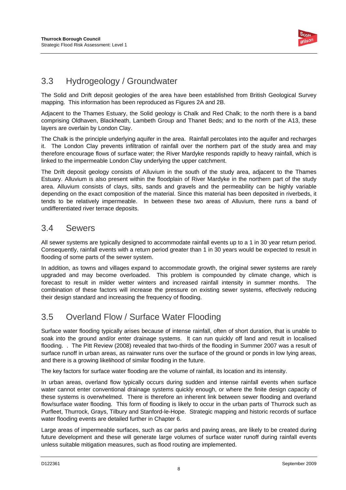

## 3.3 Hydrogeology / Groundwater

The Solid and Drift deposit geologies of the area have been established from British Geological Survey mapping. This information has been reproduced as Figures 2A and 2B.

Adjacent to the Thames Estuary, the Solid geology is Chalk and Red Chalk; to the north there is a band comprising Oldhaven, Blackheath, Lambeth Group and Thanet Beds; and to the north of the A13, these layers are overlain by London Clay.

The Chalk is the principle underlying aquifer in the area. Rainfall percolates into the aquifer and recharges it. The London Clay prevents infiltration of rainfall over the northern part of the study area and may therefore encourage flows of surface water; the River Mardyke responds rapidly to heavy rainfall, which is linked to the impermeable London Clay underlying the upper catchment.

The Drift deposit geology consists of Alluvium in the south of the study area, adjacent to the Thames Estuary. Alluvium is also present within the floodplain of River Mardyke in the northern part of the study area. Alluvium consists of clays, silts, sands and gravels and the permeability can be highly variable depending on the exact composition of the material. Since this material has been deposited in riverbeds, it tends to be relatively impermeable. In between these two areas of Alluvium, there runs a band of undifferentiated river terrace deposits.

### 3.4 Sewers

All sewer systems are typically designed to accommodate rainfall events up to a 1 in 30 year return period. Consequently, rainfall events with a return period greater than 1 in 30 years would be expected to result in flooding of some parts of the sewer system.

In addition, as towns and villages expand to accommodate growth, the original sewer systems are rarely upgraded and may become overloaded. This problem is compounded by climate change, which is forecast to result in milder wetter winters and increased rainfall intensity in summer months. The combination of these factors will increase the pressure on existing sewer systems, effectively reducing their design standard and increasing the frequency of flooding.

## 3.5 Overland Flow / Surface Water Flooding

Surface water flooding typically arises because of intense rainfall, often of short duration, that is unable to soak into the ground and/or enter drainage systems. It can run quickly off land and result in localised flooding. . The Pitt Review (2008) revealed that two-thirds of the flooding in Summer 2007 was a result of surface runoff in urban areas, as rainwater runs over the surface of the ground or ponds in low lying areas, and there is a growing likelihood of similar flooding in the future.

The key factors for surface water flooding are the volume of rainfall, its location and its intensity.

In urban areas, overland flow typically occurs during sudden and intense rainfall events when surface water cannot enter conventional drainage systems quickly enough, or where the finite design capacity of these systems is overwhelmed. There is therefore an inherent link between sewer flooding and overland flow/surface water flooding. This form of flooding is likely to occur in the urban parts of Thurrock such as Purfleet, Thurrock, Grays, Tilbury and Stanford-le-Hope. Strategic mapping and historic records of surface water flooding events are detailed further in Chapter 6.

Large areas of impermeable surfaces, such as car parks and paving areas, are likely to be created during future development and these will generate large volumes of surface water runoff during rainfall events unless suitable mitigation measures, such as flood routing are implemented.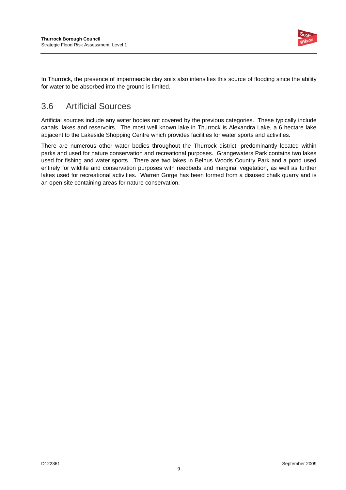

In Thurrock, the presence of impermeable clay soils also intensifies this source of flooding since the ability for water to be absorbed into the ground is limited.

## 3.6 Artificial Sources

Artificial sources include any water bodies not covered by the previous categories. These typically include canals, lakes and reservoirs. The most well known lake in Thurrock is Alexandra Lake, a 6 hectare lake adjacent to the Lakeside Shopping Centre which provides facilities for water sports and activities.

There are numerous other water bodies throughout the Thurrock district, predominantly located within parks and used for nature conservation and recreational purposes. Grangewaters Park contains two lakes used for fishing and water sports. There are two lakes in Belhus Woods Country Park and a pond used entirely for wildlife and conservation purposes with reedbeds and marginal vegetation, as well as further lakes used for recreational activities. Warren Gorge has been formed from a disused chalk quarry and is an open site containing areas for nature conservation.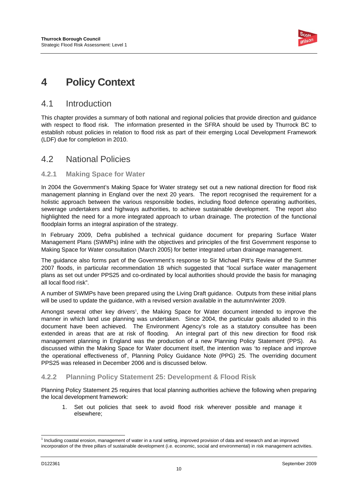

# **4 Policy Context**

### 4.1 Introduction

This chapter provides a summary of both national and regional policies that provide direction and guidance with respect to flood risk. The information presented in the SFRA should be used by Thurrock BC to establish robust policies in relation to flood risk as part of their emerging Local Development Framework (LDF) due for completion in 2010.

### 4.2 National Policies

### **4.2.1 Making Space for Water**

In 2004 the Government's Making Space for Water strategy set out a new national direction for flood risk management planning in England over the next 20 years. The report recognised the requirement for a holistic approach between the various responsible bodies, including flood defence operating authorities, sewerage undertakers and highways authorities, to achieve sustainable development. The report also highlighted the need for a more integrated approach to urban drainage. The protection of the functional floodplain forms an integral aspiration of the strategy.

In February 2009, Defra published a technical guidance document for preparing Surface Water Management Plans (SWMPs) inline with the objectives and principles of the first Government response to Making Space for Water consultation (March 2005) for better integrated urban drainage management.

The guidance also forms part of the Government's response to Sir Michael Pitt's Review of the Summer 2007 floods, in particular recommendation 18 which suggested that "local surface water management plans as set out under PPS25 and co-ordinated by local authorities should provide the basis for managing all local flood risk".

A number of SWMPs have been prepared using the Living Draft guidance. Outputs from these initial plans will be used to update the guidance, with a revised version available in the autumn/winter 2009.

Amongst several other key drivers<sup>t</sup>, the Making Space for Water document intended to improve the manner in which land use planning was undertaken. Since 2004, the particular goals alluded to in this document have been achieved. The Environment Agency's role as a statutory consultee has been extended in areas that are at risk of flooding. An integral part of this new direction for flood risk management planning in England was the production of a new Planning Policy Statement (PPS). As discussed within the Making Space for Water document itself, the intention was 'to replace and improve the operational effectiveness of', Planning Policy Guidance Note (PPG) 25. The overriding document PPS25 was released in December 2006 and is discussed below.

### **4.2.2 Planning Policy Statement 25: Development & Flood Risk**

Planning Policy Statement 25 requires that local planning authorities achieve the following when preparing the local development framework:

1. Set out policies that seek to avoid flood risk wherever possible and manage it elsewhere;

l

<sup>&</sup>lt;sup>1</sup> Including coastal erosion, management of water in a rural setting, improved provision of data and research and an improved incorporation of the three pillars of sustainable development (i.e. economic, social and environmental) in risk management activities.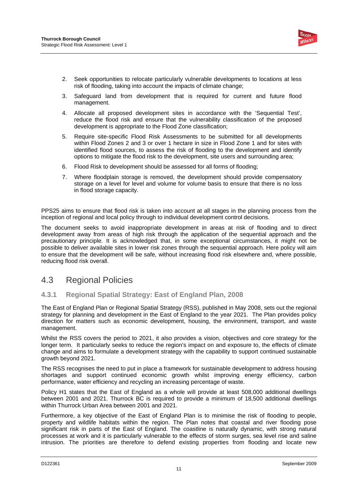

- 2. Seek opportunities to relocate particularly vulnerable developments to locations at less risk of flooding, taking into account the impacts of climate change;
- 3. Safeguard land from development that is required for current and future flood management.
- 4. Allocate all proposed development sites in accordance with the 'Sequential Test', reduce the flood risk and ensure that the vulnerability classification of the proposed development is appropriate to the Flood Zone classification;
- 5. Require site-specific Flood Risk Assessments to be submitted for all developments within Flood Zones 2 and 3 or over 1 hectare in size in Flood Zone 1 and for sites with identified flood sources, to assess the risk of flooding to the development and identify options to mitigate the flood risk to the development, site users and surrounding area;
- 6. Flood Risk to development should be assessed for all forms of flooding;
- 7. Where floodplain storage is removed, the development should provide compensatory storage on a level for level and volume for volume basis to ensure that there is no loss in flood storage capacity.

PPS25 aims to ensure that flood risk is taken into account at all stages in the planning process from the inception of regional and local policy through to individual development control decisions.

The document seeks to avoid inappropriate development in areas at risk of flooding and to direct development away from areas of high risk through the application of the sequential approach and the precautionary principle. It is acknowledged that, in some exceptional circumstances, it might not be possible to deliver available sites in lower risk zones through the sequential approach. Here policy will aim to ensure that the development will be safe, without increasing flood risk elsewhere and, where possible, reducing flood risk overall.

### 4.3 Regional Policies

### **4.3.1 Regional Spatial Strategy: East of England Plan, 2008**

The East of England Plan or Regional Spatial Strategy (RSS), published in May 2008, sets out the regional strategy for planning and development in the East of England to the year 2021. The Plan provides policy direction for matters such as economic development, housing, the environment, transport, and waste management.

Whilst the RSS covers the period to 2021, it also provides a vision, objectives and core strategy for the longer term. It particularly seeks to reduce the region's impact on and exposure to, the effects of climate change and aims to formulate a development strategy with the capability to support continued sustainable growth beyond 2021.

The RSS recognises the need to put in place a framework for sustainable development to address housing shortages and support continued economic growth whilst improving energy efficiency, carbon performance, water efficiency and recycling an increasing percentage of waste.

Policy H1 states that the East of England as a whole will provide at least 508,000 additional dwellings between 2001 and 2021. Thurrock BC is required to provide a minimum of 18,500 additional dwellings within Thurrock Urban Area between 2001 and 2021.

Furthermore, a key objective of the East of England Plan is to minimise the risk of flooding to people, property and wildlife habitats within the region. The Plan notes that coastal and river flooding pose significant risk in parts of the East of England. The coastline is naturally dynamic, with strong natural processes at work and it is particularly vulnerable to the effects of storm surges, sea level rise and saline intrusion. The priorities are therefore to defend existing properties from flooding and locate new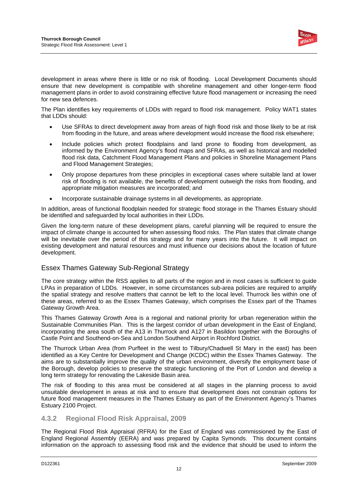

development in areas where there is little or no risk of flooding. Local Development Documents should ensure that new development is compatible with shoreline management and other longer-term flood management plans in order to avoid constraining effective future flood management or increasing the need for new sea defences.

The Plan identifies key requirements of LDDs with regard to flood risk management. Policy WAT1 states that LDDs should:

- Use SFRAs to direct development away from areas of high flood risk and those likely to be at risk from flooding in the future, and areas where development would increase the flood risk elsewhere;
- Include policies which protect floodplains and land prone to flooding from development, as informed by the Environment Agency's flood maps and SFRAs, as well as historical and modelled flood risk data, Catchment Flood Management Plans and policies in Shoreline Management Plans and Flood Management Strategies;
- Only propose departures from these principles in exceptional cases where suitable land at lower risk of flooding is not available, the benefits of development outweigh the risks from flooding, and appropriate mitigation measures are incorporated; and
- Incorporate sustainable drainage systems in all developments, as appropriate.

In addition, areas of functional floodplain needed for strategic flood storage in the Thames Estuary should be identified and safeguarded by local authorities in their LDDs.

Given the long-term nature of these development plans, careful planning will be required to ensure the impact of climate change is accounted for when assessing flood risks. The Plan states that climate change will be inevitable over the period of this strategy and for many years into the future. It will impact on existing development and natural resources and must influence our decisions about the location of future development.

### Essex Thames Gateway Sub-Regional Strategy

The core strategy within the RSS applies to all parts of the region and in most cases is sufficient to guide LPAs in preparation of LDDs. However, in some circumstances sub-area policies are required to amplify the spatial strategy and resolve matters that cannot be left to the local level. Thurrock lies within one of these areas, referred to as the Essex Thames Gateway, which comprises the Essex part of the Thames Gateway Growth Area.

This Thames Gateway Growth Area is a regional and national priority for urban regeneration within the Sustainable Communities Plan. This is the largest corridor of urban development in the East of England, incorporating the area south of the A13 in Thurrock and A127 in Basildon together with the Boroughs of Castle Point and Southend-on-Sea and London Southend Airport in Rochford District.

The Thurrock Urban Area (from Purfleet in the west to Tilbury/Chadwell St Mary in the east) has been identified as a Key Centre for Development and Change (KCDC) within the Essex Thames Gateway. The aims are to substantially improve the quality of the urban environment, diversify the employment base of the Borough, develop policies to preserve the strategic functioning of the Port of London and develop a long term strategy for renovating the Lakeside Basin area.

The risk of flooding to this area must be considered at all stages in the planning process to avoid unsuitable development in areas at risk and to ensure that development does not constrain options for future flood management measures in the Thames Estuary as part of the Environment Agency's Thames Estuary 2100 Project.

### **4.3.2 Regional Flood Risk Appraisal, 2009**

The Regional Flood Risk Appraisal (RFRA) for the East of England was commissioned by the East of England Regional Assembly (EERA) and was prepared by Capita Symonds. This document contains information on the approach to assessing flood risk and the evidence that should be used to inform the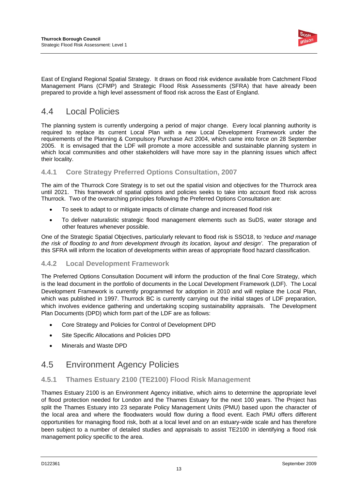

East of England Regional Spatial Strategy. It draws on flood risk evidence available from Catchment Flood Management Plans (CFMP) and Strategic Flood Risk Assessments (SFRA) that have already been prepared to provide a high level assessment of flood risk across the East of England.

## 4.4 Local Policies

The planning system is currently undergoing a period of major change. Every local planning authority is required to replace its current Local Plan with a new Local Development Framework under the requirements of the Planning & Compulsory Purchase Act 2004, which came into force on 28 September 2005. It is envisaged that the LDF will promote a more accessible and sustainable planning system in which local communities and other stakeholders will have more say in the planning issues which affect their locality.

### **4.4.1 Core Strategy Preferred Options Consultation, 2007**

The aim of the Thurrock Core Strategy is to set out the spatial vision and objectives for the Thurrock area until 2021. This framework of spatial options and policies seeks to take into account flood risk across Thurrock. Two of the overarching principles following the Preferred Options Consultation are:

- To seek to adapt to or mitigate impacts of climate change and increased flood risk
- To deliver naturalistic strategic flood management elements such as SuDS, water storage and other features whenever possible.

One of the Strategic Spatial Objectives, particularly relevant to flood risk is SSO18, to *'reduce and manage the risk of flooding to and from development through its location, layout and design'*. The preparation of this SFRA will inform the location of developments within areas of appropriate flood hazard classification.

### **4.4.2 Local Development Framework**

The Preferred Options Consultation Document will inform the production of the final Core Strategy, which is the lead document in the portfolio of documents in the Local Development Framework (LDF). The Local Development Framework is currently programmed for adoption in 2010 and will replace the Local Plan, which was published in 1997. Thurrock BC is currently carrying out the initial stages of LDF preparation, which involves evidence gathering and undertaking scoping sustainability appraisals. The Development Plan Documents (DPD) which form part of the LDF are as follows:

- Core Strategy and Policies for Control of Development DPD
- Site Specific Allocations and Policies DPD
- Minerals and Waste DPD

### 4.5 Environment Agency Policies

### **4.5.1 Thames Estuary 2100 (TE2100) Flood Risk Management**

Thames Estuary 2100 is an Environment Agency initiative, which aims to determine the appropriate level of flood protection needed for London and the Thames Estuary for the next 100 years. The Project has split the Thames Estuary into 23 separate Policy Management Units (PMU) based upon the character of the local area and where the floodwaters would flow during a flood event. Each PMU offers different opportunities for managing flood risk, both at a local level and on an estuary-wide scale and has therefore been subject to a number of detailed studies and appraisals to assist TE2100 in identifying a flood risk management policy specific to the area.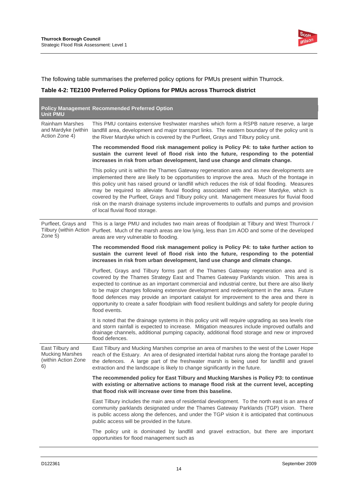

The following table summarises the preferred policy options for PMUs present within Thurrock.

### **Table 4-2: TE2100 Preferred Policy Options for PMUs across Thurrock district**

|                                                                             | <b>Policy Management Recommended Preferred Option</b>                                                                                                                                                                                                                                                                                                                                                                                                                                                                                                                                                                             |
|-----------------------------------------------------------------------------|-----------------------------------------------------------------------------------------------------------------------------------------------------------------------------------------------------------------------------------------------------------------------------------------------------------------------------------------------------------------------------------------------------------------------------------------------------------------------------------------------------------------------------------------------------------------------------------------------------------------------------------|
| <b>Unit PMU</b><br>Rainham Marshes<br>and Mardyke (within<br>Action Zone 4) | This PMU contains extensive freshwater marshes which form a RSPB nature reserve, a large<br>landfill area, development and major transport links. The eastern boundary of the policy unit is<br>the River Mardyke which is covered by the Purfleet, Grays and Tilbury policy unit.                                                                                                                                                                                                                                                                                                                                                |
|                                                                             | The recommended flood risk management policy is Policy P4: to take further action to<br>sustain the current level of flood risk into the future, responding to the potential<br>increases in risk from urban development, land use change and climate change.                                                                                                                                                                                                                                                                                                                                                                     |
|                                                                             | This policy unit is within the Thames Gateway regeneration area and as new developments are<br>implemented there are likely to be opportunities to improve the area. Much of the frontage in<br>this policy unit has raised ground or landfill which reduces the risk of tidal flooding. Measures<br>may be required to alleviate fluvial flooding associated with the River Mardyke, which is<br>covered by the Purfleet, Grays and Tilbury policy unit. Management measures for fluvial flood<br>risk on the marsh drainage systems include improvements to outfalls and pumps and provision<br>of local fluvial flood storage. |
| Purfleet, Grays and<br>Zone 5)                                              | This is a large PMU and includes two main areas of floodplain at Tilbury and West Thurrock /<br>Tilbury (within Action Purfleet. Much of the marsh areas are low lying, less than 1m AOD and some of the developed<br>areas are very vulnerable to flooding.                                                                                                                                                                                                                                                                                                                                                                      |
|                                                                             | The recommended flood risk management policy is Policy P4: to take further action to<br>sustain the current level of flood risk into the future, responding to the potential<br>increases in risk from urban development, land use change and climate change.                                                                                                                                                                                                                                                                                                                                                                     |
|                                                                             | Purfleet, Grays and Tilbury forms part of the Thames Gateway regeneration area and is<br>covered by the Thames Strategy East and Thames Gateway Parklands vision. This area is<br>expected to continue as an important commercial and industrial centre, but there are also likely<br>to be major changes following extensive development and redevelopment in the area. Future<br>flood defences may provide an important catalyst for improvement to the area and there is<br>opportunity to create a safer floodplain with flood resilient buildings and safety for people during<br>flood events.                             |
|                                                                             | It is noted that the drainage systems in this policy unit will require upgrading as sea levels rise<br>and storm rainfall is expected to increase. Mitigation measures include improved outfalls and<br>drainage channels, additional pumping capacity, additional flood storage and new or improved<br>flood defences.                                                                                                                                                                                                                                                                                                           |
| East Tilbury and<br><b>Mucking Marshes</b><br>(within Action Zone<br>6)     | East Tilbury and Mucking Marshes comprise an area of marshes to the west of the Lower Hope<br>reach of the Estuary. An area of designated intertidal habitat runs along the frontage parallel to<br>the defences. A large part of the freshwater marsh is being used for landfill and gravel<br>extraction and the landscape is likely to change significantly in the future.                                                                                                                                                                                                                                                     |
|                                                                             | The recommended policy for East Tilbury and Mucking Marshes is Policy P3: to continue<br>with existing or alternative actions to manage flood risk at the current level, accepting<br>that flood risk will increase over time from this baseline.                                                                                                                                                                                                                                                                                                                                                                                 |
|                                                                             | East Tilbury includes the main area of residential development. To the north east is an area of<br>community parklands designated under the Thames Gateway Parklands (TGP) vision. There<br>is public access along the defences, and under the TGP vision it is anticipated that continuous<br>public access will be provided in the future.                                                                                                                                                                                                                                                                                      |
|                                                                             | The policy unit is dominated by landfill and gravel extraction, but there are important<br>opportunities for flood management such as                                                                                                                                                                                                                                                                                                                                                                                                                                                                                             |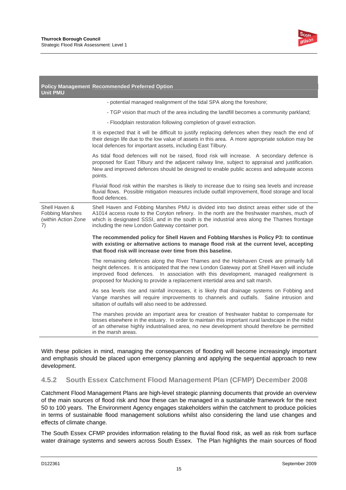

| <b>Unit PMU</b>                                                      | <b>Policy Management Recommended Preferred Option</b>                                                                                                                                                                                                                                                                                                                 |
|----------------------------------------------------------------------|-----------------------------------------------------------------------------------------------------------------------------------------------------------------------------------------------------------------------------------------------------------------------------------------------------------------------------------------------------------------------|
|                                                                      | - potential managed realignment of the tidal SPA along the foreshore;                                                                                                                                                                                                                                                                                                 |
|                                                                      | - TGP vision that much of the area including the landfill becomes a community parkland;                                                                                                                                                                                                                                                                               |
|                                                                      | - Floodplain restoration following completion of gravel extraction.                                                                                                                                                                                                                                                                                                   |
|                                                                      | It is expected that it will be difficult to justify replacing defences when they reach the end of<br>their design life due to the low value of assets in this area. A more appropriate solution may be<br>local defences for important assets, including East Tilbury.                                                                                                |
|                                                                      | As tidal flood defences will not be raised, flood risk will increase. A secondary defence is<br>proposed for East Tilbury and the adjacent railway line, subject to appraisal and justification.<br>New and improved defences should be designed to enable public access and adequate access<br>points.                                                               |
|                                                                      | Fluvial flood risk within the marshes is likely to increase due to rising sea levels and increase<br>fluvial flows. Possible mitigation measures include outfall improvement, flood storage and local<br>flood defences.                                                                                                                                              |
| Shell Haven &<br><b>Fobbing Marshes</b><br>(within Action Zone<br>7) | Shell Haven and Fobbing Marshes PMU is divided into two distinct areas either side of the<br>A1014 access route to the Coryton refinery. In the north are the freshwater marshes, much of<br>which is designated SSSI, and in the south is the industrial area along the Thames frontage<br>including the new London Gateway container port.                          |
|                                                                      | The recommended policy for Shell Haven and Fobbing Marshes is Policy P3: to continue<br>with existing or alternative actions to manage flood risk at the current level, accepting<br>that flood risk will increase over time from this baseline.                                                                                                                      |
|                                                                      | The remaining defences along the River Thames and the Holehaven Creek are primarily full<br>height defences. It is anticipated that the new London Gateway port at Shell Haven will include<br>improved flood defences. In association with this development, managed realignment is<br>proposed for Mucking to provide a replacement intertidal area and salt marsh. |
|                                                                      | As sea levels rise and rainfall increases, it is likely that drainage systems on Fobbing and<br>Vange marshes will require improvements to channels and outfalls. Saline intrusion and<br>siltation of outfalls will also need to be addressed.                                                                                                                       |
|                                                                      | The marshes provide an important area for creation of freshwater habitat to compensate for<br>losses elsewhere in the estuary. In order to maintain this important rural landscape in the midst<br>of an otherwise highly industrialised area, no new development should therefore be permitted<br>in the marsh areas.                                                |

With these policies in mind, managing the consequences of flooding will become increasingly important and emphasis should be placed upon emergency planning and applying the sequential approach to new development.

### **4.5.2 South Essex Catchment Flood Management Plan (CFMP) December 2008**

Catchment Flood Management Plans are high-level strategic planning documents that provide an overview of the main sources of flood risk and how these can be managed in a sustainable framework for the next 50 to 100 years. The Environment Agency engages stakeholders within the catchment to produce policies in terms of sustainable flood management solutions whilst also considering the land use changes and effects of climate change.

The South Essex CFMP provides information relating to the fluvial flood risk, as well as risk from surface water drainage systems and sewers across South Essex. The Plan highlights the main sources of flood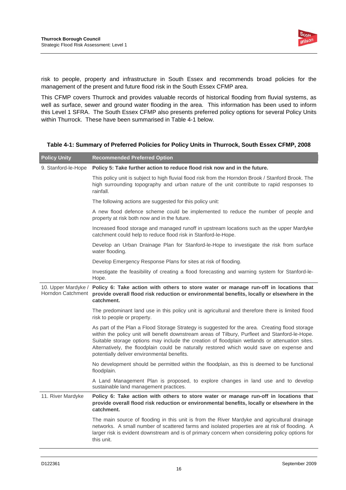

risk to people, property and infrastructure in South Essex and recommends broad policies for the management of the present and future flood risk in the South Essex CFMP area.

This CFMP covers Thurrock and provides valuable records of historical flooding from fluvial systems, as well as surface, sewer and ground water flooding in the area. This information has been used to inform this Level 1 SFRA. The South Essex CFMP also presents preferred policy options for several Policy Units within Thurrock. These have been summarised in Table 4-1 below.

| <b>Policy Unity</b> | <b>Recommended Preferred Option</b>                                                                                                                                                                                                                                                                                                                                                                                                             |
|---------------------|-------------------------------------------------------------------------------------------------------------------------------------------------------------------------------------------------------------------------------------------------------------------------------------------------------------------------------------------------------------------------------------------------------------------------------------------------|
| 9. Stanford-le-Hope | Policy 5: Take further action to reduce flood risk now and in the future.                                                                                                                                                                                                                                                                                                                                                                       |
|                     | This policy unit is subject to high fluvial flood risk from the Horndon Brook / Stanford Brook. The<br>high surrounding topography and urban nature of the unit contribute to rapid responses to<br>rainfall.                                                                                                                                                                                                                                   |
|                     | The following actions are suggested for this policy unit:                                                                                                                                                                                                                                                                                                                                                                                       |
|                     | A new flood defence scheme could be implemented to reduce the number of people and<br>property at risk both now and in the future.                                                                                                                                                                                                                                                                                                              |
|                     | Increased flood storage and managed runoff in upstream locations such as the upper Mardyke<br>catchment could help to reduce flood risk in Stanford-le-Hope.                                                                                                                                                                                                                                                                                    |
|                     | Develop an Urban Drainage Plan for Stanford-le-Hope to investigate the risk from surface<br>water flooding.                                                                                                                                                                                                                                                                                                                                     |
|                     | Develop Emergency Response Plans for sites at risk of flooding.                                                                                                                                                                                                                                                                                                                                                                                 |
|                     | Investigate the feasibility of creating a flood forecasting and warning system for Stanford-le-<br>Hope.                                                                                                                                                                                                                                                                                                                                        |
| Horndon Catchment   | 10. Upper Mardyke / Policy 6: Take action with others to store water or manage run-off in locations that<br>provide overall flood risk reduction or environmental benefits, locally or elsewhere in the<br>catchment.                                                                                                                                                                                                                           |
|                     | The predominant land use in this policy unit is agricultural and therefore there is limited flood<br>risk to people or property.                                                                                                                                                                                                                                                                                                                |
|                     | As part of the Plan a Flood Storage Strategy is suggested for the area. Creating flood storage<br>within the policy unit will benefit downstream areas of Tilbury, Purfleet and Stanford-le-Hope.<br>Suitable storage options may include the creation of floodplain wetlands or attenuation sites.<br>Alternatively, the floodplain could be naturally restored which would save on expense and<br>potentially deliver environmental benefits. |
|                     | No development should be permitted within the floodplain, as this is deemed to be functional<br>floodplain.                                                                                                                                                                                                                                                                                                                                     |
|                     | A Land Management Plan is proposed, to explore changes in land use and to develop<br>sustainable land management practices.                                                                                                                                                                                                                                                                                                                     |
| 11. River Mardyke   | Policy 6: Take action with others to store water or manage run-off in locations that<br>provide overall flood risk reduction or environmental benefits, locally or elsewhere in the<br>catchment.                                                                                                                                                                                                                                               |
|                     | The main source of flooding in this unit is from the River Mardyke and agricultural drainage<br>networks. A small number of scattered farms and isolated properties are at risk of flooding. A<br>larger risk is evident downstream and is of primary concern when considering policy options for<br>this unit.                                                                                                                                 |

#### **Table 4-1: Summary of Preferred Policies for Policy Units in Thurrock, South Essex CFMP, 2008**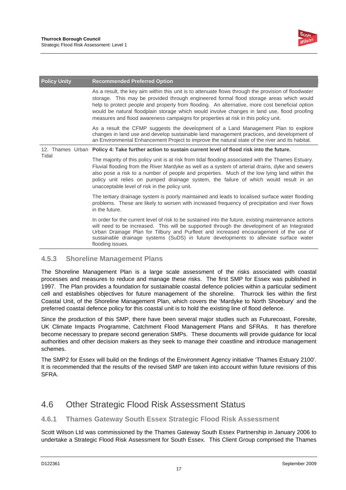

| <b>Policy Unity</b> | <b>Recommended Preferred Option</b>                                                                                                                                                                                                                                                                                                                                                                                                                                                   |  |  |
|---------------------|---------------------------------------------------------------------------------------------------------------------------------------------------------------------------------------------------------------------------------------------------------------------------------------------------------------------------------------------------------------------------------------------------------------------------------------------------------------------------------------|--|--|
|                     | As a result, the key aim within this unit is to attenuate flows through the provision of floodwater<br>storage. This may be provided through engineered formal flood storage areas which would<br>help to protect people and property from flooding. An alternative, more cost beneficial option<br>would be natural floodplain storage which would involve changes in land use, flood proofing<br>measures and flood awareness campaigns for properties at risk in this policy unit. |  |  |
|                     | As a result the CFMP suggests the development of a Land Management Plan to explore<br>changes in land use and develop sustainable land management practices, and development of<br>an Environmental Enhancement Project to improve the natural state of the river and its habitat.                                                                                                                                                                                                    |  |  |
|                     | 12. Thames Urban Policy 4: Take further action to sustain current level of flood risk into the future.                                                                                                                                                                                                                                                                                                                                                                                |  |  |
| Tidal               | The majority of this policy unit is at risk from tidal flooding associated with the Thames Estuary.<br>Fluvial flooding from the River Mardyke as well as a system of arterial drains, dyke and sewers<br>also pose a risk to a number of people and properties. Much of the low lying land within the<br>policy unit relies on pumped drainage system, the failure of which would result in an<br>unacceptable level of risk in the policy unit.                                     |  |  |
|                     | The tertiary drainage system is poorly maintained and leads to localised surface water flooding<br>problems. These are likely to worsen with increased frequency of precipitation and river flows<br>in the future.                                                                                                                                                                                                                                                                   |  |  |
|                     | In order for the current level of risk to be sustained into the future, existing maintenance actions<br>will need to be increased. This will be supported through the development of an Integrated<br>Urban Drainage Plan for Tilbury and Purfleet and increased encouragement of the use of<br>sustainable drainage systems (SuDS) in future developments to alleviate surface water<br>flooding issues.                                                                             |  |  |

### **4.5.3 Shoreline Management Plans**

The Shoreline Management Plan is a large scale assessment of the risks associated with coastal processes and measures to reduce and manage these risks. The first SMP for Essex was published in 1997. The Plan provides a foundation for sustainable coastal defence policies within a particular sediment cell and establishes objectives for future management of the shoreline. Thurrock lies within the first Coastal Unit, of the Shoreline Management Plan, which covers the 'Mardyke to North Shoebury' and the preferred coastal defence policy for this coastal unit is to hold the existing line of flood defence.

Since the production of this SMP, there have been several major studies such as Futurecoast, Foresite, UK Climate Impacts Programme, Catchment Flood Management Plans and SFRAs. It has therefore become necessary to prepare second generation SMPs. These documents will provide guidance for local authorities and other decision makers as they seek to manage their coastline and introduce management schemes.

The SMP2 for Essex will build on the findings of the Environment Agency initiative 'Thames Estuary 2100'. It is recommended that the results of the revised SMP are taken into account within future revisions of this SFRA.

### 4.6 Other Strategic Flood Risk Assessment Status

### **4.6.1 Thames Gateway South Essex Strategic Flood Risk Assessment**

Scott Wilson Ltd was commissioned by the Thames Gateway South Essex Partnership in January 2006 to undertake a Strategic Flood Risk Assessment for South Essex. This Client Group comprised the Thames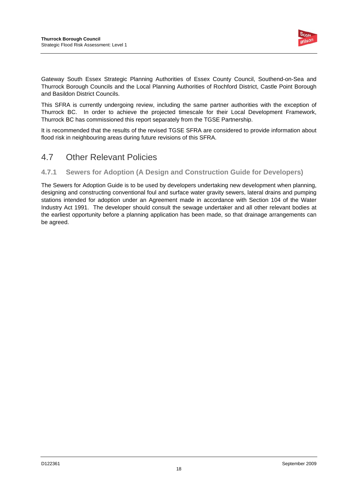

Gateway South Essex Strategic Planning Authorities of Essex County Council, Southend-on-Sea and Thurrock Borough Councils and the Local Planning Authorities of Rochford District, Castle Point Borough and Basildon District Councils.

This SFRA is currently undergoing review, including the same partner authorities with the exception of Thurrock BC. In order to achieve the projected timescale for their Local Development Framework, Thurrock BC has commissioned this report separately from the TGSE Partnership.

It is recommended that the results of the revised TGSE SFRA are considered to provide information about flood risk in neighbouring areas during future revisions of this SFRA.

### 4.7 Other Relevant Policies

### **4.7.1 Sewers for Adoption (A Design and Construction Guide for Developers)**

The Sewers for Adoption Guide is to be used by developers undertaking new development when planning, designing and constructing conventional foul and surface water gravity sewers, lateral drains and pumping stations intended for adoption under an Agreement made in accordance with Section 104 of the Water Industry Act 1991. The developer should consult the sewage undertaker and all other relevant bodies at the earliest opportunity before a planning application has been made, so that drainage arrangements can be agreed.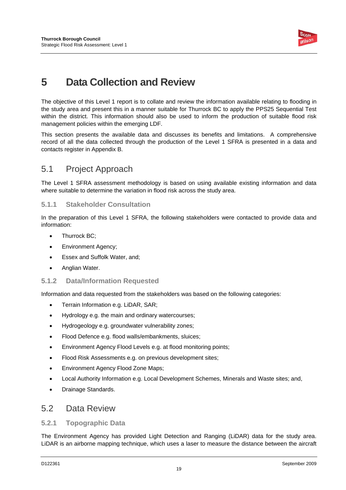

# **5 Data Collection and Review**

The objective of this Level 1 report is to collate and review the information available relating to flooding in the study area and present this in a manner suitable for Thurrock BC to apply the PPS25 Sequential Test within the district. This information should also be used to inform the production of suitable flood risk management policies within the emerging LDF.

This section presents the available data and discusses its benefits and limitations. A comprehensive record of all the data collected through the production of the Level 1 SFRA is presented in a data and contacts register in Appendix B.

### 5.1 Project Approach

The Level 1 SFRA assessment methodology is based on using available existing information and data where suitable to determine the variation in flood risk across the study area.

### **5.1.1 Stakeholder Consultation**

In the preparation of this Level 1 SFRA, the following stakeholders were contacted to provide data and information:

- Thurrock BC;
- Environment Agency;
- Essex and Suffolk Water, and;
- Anglian Water.

### **5.1.2 Data/Information Requested**

Information and data requested from the stakeholders was based on the following categories:

- Terrain Information e.g. LiDAR, SAR;
- Hydrology e.g. the main and ordinary watercourses;
- Hydrogeology e.g. groundwater vulnerability zones;
- Flood Defence e.g. flood walls/embankments, sluices;
- Environment Agency Flood Levels e.g. at flood monitoring points;
- Flood Risk Assessments e.g. on previous development sites;
- Environment Agency Flood Zone Maps;
- Local Authority Information e.g. Local Development Schemes, Minerals and Waste sites; and,
- Drainage Standards.

### 5.2 Data Review

### **5.2.1 Topographic Data**

The Environment Agency has provided Light Detection and Ranging (LiDAR) data for the study area. LiDAR is an airborne mapping technique, which uses a laser to measure the distance between the aircraft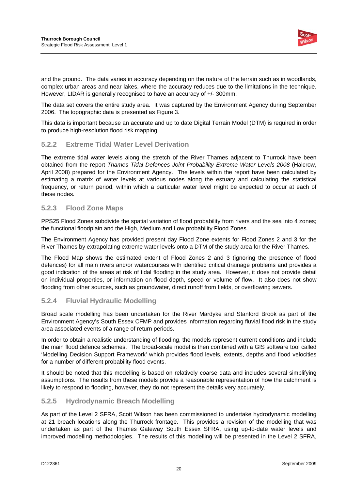

and the ground. The data varies in accuracy depending on the nature of the terrain such as in woodlands, complex urban areas and near lakes, where the accuracy reduces due to the limitations in the technique. However, LIDAR is generally recognised to have an accuracy of +/- 300mm.

The data set covers the entire study area. It was captured by the Environment Agency during September 2006. The topographic data is presented as Figure 3.

This data is important because an accurate and up to date Digital Terrain Model (DTM) is required in order to produce high-resolution flood risk mapping.

### **5.2.2 Extreme Tidal Water Level Derivation**

The extreme tidal water levels along the stretch of the River Thames adjacent to Thurrock have been obtained from the report *Thames Tidal Defences Joint Probability Extreme Water Levels 2008* (Halcrow, April 2008) prepared for the Environment Agency. The levels within the report have been calculated by estimating a matrix of water levels at various nodes along the estuary and calculating the statistical frequency, or return period, within which a particular water level might be expected to occur at each of these nodes.

### **5.2.3 Flood Zone Maps**

PPS25 Flood Zones subdivide the spatial variation of flood probability from rivers and the sea into 4 zones; the functional floodplain and the High, Medium and Low probability Flood Zones.

The Environment Agency has provided present day Flood Zone extents for Flood Zones 2 and 3 for the River Thames by extrapolating extreme water levels onto a DTM of the study area for the River Thames.

The Flood Map shows the estimated extent of Flood Zones 2 and 3 (ignoring the presence of flood defences) for all main rivers and/or watercourses with identified critical drainage problems and provides a good indication of the areas at risk of tidal flooding in the study area. However, it does not provide detail on individual properties, or information on flood depth, speed or volume of flow. It also does not show flooding from other sources, such as groundwater, direct runoff from fields, or overflowing sewers.

### **5.2.4 Fluvial Hydraulic Modelling**

Broad scale modelling has been undertaken for the River Mardyke and Stanford Brook as part of the Environment Agency's South Essex CFMP and provides information regarding fluvial flood risk in the study area associated events of a range of return periods.

In order to obtain a realistic understanding of flooding, the models represent current conditions and include the main flood defence schemes. The broad-scale model is then combined with a GIS software tool called 'Modelling Decision Support Framework' which provides flood levels, extents, depths and flood velocities for a number of different probability flood events.

It should be noted that this modelling is based on relatively coarse data and includes several simplifying assumptions. The results from these models provide a reasonable representation of how the catchment is likely to respond to flooding, however, they do not represent the details very accurately.

### **5.2.5 Hydrodynamic Breach Modelling**

As part of the Level 2 SFRA, Scott Wilson has been commissioned to undertake hydrodynamic modelling at 21 breach locations along the Thurrock frontage. This provides a revision of the modelling that was undertaken as part of the Thames Gateway South Essex SFRA, using up-to-date water levels and improved modelling methodologies. The results of this modelling will be presented in the Level 2 SFRA,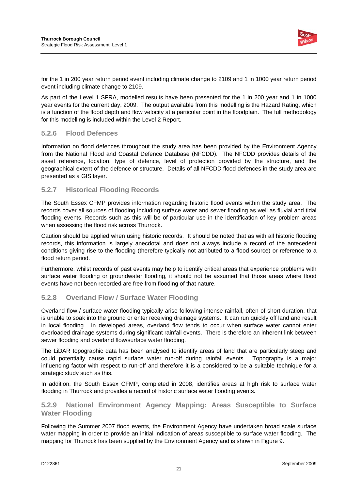

for the 1 in 200 year return period event including climate change to 2109 and 1 in 1000 year return period event including climate change to 2109.

As part of the Level 1 SFRA, modelled results have been presented for the 1 in 200 year and 1 in 1000 year events for the current day, 2009. The output available from this modelling is the Hazard Rating, which is a function of the flood depth and flow velocity at a particular point in the floodplain. The full methodology for this modelling is included within the Level 2 Report.

### **5.2.6 Flood Defences**

Information on flood defences throughout the study area has been provided by the Environment Agency from the National Flood and Coastal Defence Database (NFCDD). The NFCDD provides details of the asset reference, location, type of defence, level of protection provided by the structure, and the geographical extent of the defence or structure. Details of all NFCDD flood defences in the study area are presented as a GIS layer.

### **5.2.7 Historical Flooding Records**

The South Essex CFMP provides information regarding historic flood events within the study area. The records cover all sources of flooding including surface water and sewer flooding as well as fluvial and tidal flooding events. Records such as this will be of particular use in the identification of key problem areas when assessing the flood risk across Thurrock.

Caution should be applied when using historic records. It should be noted that as with all historic flooding records, this information is largely anecdotal and does not always include a record of the antecedent conditions giving rise to the flooding (therefore typically not attributed to a flood source) or reference to a flood return period.

Furthermore, whilst records of past events may help to identify critical areas that experience problems with surface water flooding or groundwater flooding, it should not be assumed that those areas where flood events have not been recorded are free from flooding of that nature.

### **5.2.8 Overland Flow / Surface Water Flooding**

Overland flow / surface water flooding typically arise following intense rainfall, often of short duration, that is unable to soak into the ground or enter receiving drainage systems. It can run quickly off land and result in local flooding. In developed areas, overland flow tends to occur when surface water cannot enter overloaded drainage systems during significant rainfall events. There is therefore an inherent link between sewer flooding and overland flow/surface water flooding.

The LiDAR topographic data has been analysed to identify areas of land that are particularly steep and could potentially cause rapid surface water run-off during rainfall events. Topography is a major influencing factor with respect to run-off and therefore it is a considered to be a suitable technique for a strategic study such as this.

In addition, the South Essex CFMP, completed in 2008, identifies areas at high risk to surface water flooding in Thurrock and provides a record of historic surface water flooding events.

### **5.2.9 National Environment Agency Mapping: Areas Susceptible to Surface Water Flooding**

Following the Summer 2007 flood events, the Environment Agency have undertaken broad scale surface water mapping in order to provide an initial indication of areas susceptible to surface water flooding. The mapping for Thurrock has been supplied by the Environment Agency and is shown in Figure 9.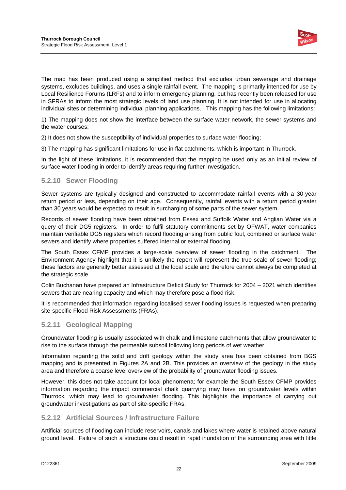

The map has been produced using a simplified method that excludes urban sewerage and drainage systems, excludes buildings, and uses a single rainfall event. The mapping is primarily intended for use by Local Resilience Forums (LRFs) and to inform emergency planning, but has recently been released for use in SFRAs to inform the most strategic levels of land use planning. It is not intended for use in allocating individual sites or determining individual planning applications.. This mapping has the following limitations:

1) The mapping does not show the interface between the surface water network, the sewer systems and the water courses;

2) It does not show the susceptibility of individual properties to surface water flooding;

3) The mapping has significant limitations for use in flat catchments, which is important in Thurrock.

In the light of these limitations, it is recommended that the mapping be used only as an initial review of surface water flooding in order to identify areas requiring further investigation.

### **5.2.10 Sewer Flooding**

Sewer systems are typically designed and constructed to accommodate rainfall events with a 30-year return period or less, depending on their age. Consequently, rainfall events with a return period greater than 30 years would be expected to result in surcharging of some parts of the sewer system.

Records of sewer flooding have been obtained from Essex and Suffolk Water and Anglian Water via a query of their DG5 registers. In order to fulfil statutory commitments set by OFWAT, water companies maintain verifiable DG5 registers which record flooding arising from public foul, combined or surface water sewers and identify where properties suffered internal or external flooding.

The South Essex CFMP provides a large-scale overview of sewer flooding in the catchment. The Environment Agency highlight that it is unlikely the report will represent the true scale of sewer flooding; these factors are generally better assessed at the local scale and therefore cannot always be completed at the strategic scale.

Colin Buchanan have prepared an Infrastructure Deficit Study for Thurrock for 2004 – 2021 which identifies sewers that are nearing capacity and which may therefore pose a flood risk.

It is recommended that information regarding localised sewer flooding issues is requested when preparing site-specific Flood Risk Assessments (FRAs).

### **5.2.11 Geological Mapping**

Groundwater flooding is usually associated with chalk and limestone catchments that allow groundwater to rise to the surface through the permeable subsoil following long periods of wet weather.

Information regarding the solid and drift geology within the study area has been obtained from BGS mapping and is presented in Figures 2A and 2B. This provides an overview of the geology in the study area and therefore a coarse level overview of the probability of groundwater flooding issues.

However, this does not take account for local phenomena; for example the South Essex CFMP provides information regarding the impact commercial chalk quarrying may have on groundwater levels within Thurrock, which may lead to groundwater flooding. This highlights the importance of carrying out groundwater investigations as part of site-specific FRAs.

### **5.2.12 Artificial Sources / Infrastructure Failure**

Artificial sources of flooding can include reservoirs, canals and lakes where water is retained above natural ground level. Failure of such a structure could result in rapid inundation of the surrounding area with little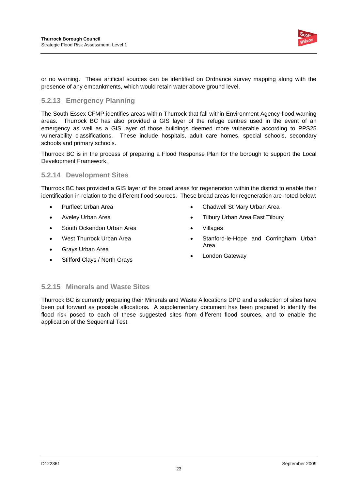

or no warning. These artificial sources can be identified on Ordnance survey mapping along with the presence of any embankments, which would retain water above ground level.

### **5.2.13 Emergency Planning**

The South Essex CFMP identifies areas within Thurrock that fall within Environment Agency flood warning areas. Thurrock BC has also provided a GIS layer of the refuge centres used in the event of an emergency as well as a GIS layer of those buildings deemed more vulnerable according to PPS25 vulnerability classifications. These include hospitals, adult care homes, special schools, secondary schools and primary schools.

Thurrock BC is in the process of preparing a Flood Response Plan for the borough to support the Local Development Framework.

### **5.2.14 Development Sites**

Thurrock BC has provided a GIS layer of the broad areas for regeneration within the district to enable their identification in relation to the different flood sources. These broad areas for regeneration are noted below:

- Purfleet Urban Area
- Aveley Urban Area
- South Ockendon Urban Area
- West Thurrock Urban Area
- Grays Urban Area
- Stifford Clays / North Grays
- Chadwell St Mary Urban Area
- Tilbury Urban Area East Tilbury
- Villages
- Stanford-le-Hope and Corringham Urban Area
- London Gateway

### **5.2.15 Minerals and Waste Sites**

Thurrock BC is currently preparing their Minerals and Waste Allocations DPD and a selection of sites have been put forward as possible allocations. A supplementary document has been prepared to identify the flood risk posed to each of these suggested sites from different flood sources, and to enable the application of the Sequential Test.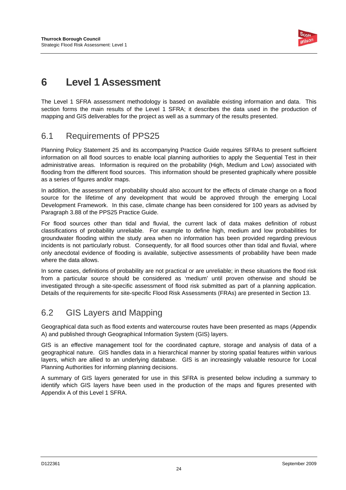

# **6 Level 1 Assessment**

The Level 1 SFRA assessment methodology is based on available existing information and data. This section forms the main results of the Level 1 SFRA; it describes the data used in the production of mapping and GIS deliverables for the project as well as a summary of the results presented.

### 6.1 Requirements of PPS25

Planning Policy Statement 25 and its accompanying Practice Guide requires SFRAs to present sufficient information on all flood sources to enable local planning authorities to apply the Sequential Test in their administrative areas. Information is required on the probability (High, Medium and Low) associated with flooding from the different flood sources. This information should be presented graphically where possible as a series of figures and/or maps.

In addition, the assessment of probability should also account for the effects of climate change on a flood source for the lifetime of any development that would be approved through the emerging Local Development Framework. In this case, climate change has been considered for 100 years as advised by Paragraph 3.88 of the PPS25 Practice Guide.

For flood sources other than tidal and fluvial, the current lack of data makes definition of robust classifications of probability unreliable. For example to define high, medium and low probabilities for groundwater flooding within the study area when no information has been provided regarding previous incidents is not particularly robust. Consequently, for all flood sources other than tidal and fluvial, where only anecdotal evidence of flooding is available, subjective assessments of probability have been made where the data allows.

In some cases, definitions of probability are not practical or are unreliable; in these situations the flood risk from a particular source should be considered as 'medium' until proven otherwise and should be investigated through a site-specific assessment of flood risk submitted as part of a planning application. Details of the requirements for site-specific Flood Risk Assessments (FRAs) are presented in Section 13.

## 6.2 GIS Layers and Mapping

Geographical data such as flood extents and watercourse routes have been presented as maps (Appendix A) and published through Geographical Information System (GIS) layers.

GIS is an effective management tool for the coordinated capture, storage and analysis of data of a geographical nature. GIS handles data in a hierarchical manner by storing spatial features within various layers, which are allied to an underlying database. GIS is an increasingly valuable resource for Local Planning Authorities for informing planning decisions.

A summary of GIS layers generated for use in this SFRA is presented below including a summary to identify which GIS layers have been used in the production of the maps and figures presented with Appendix A of this Level 1 SFRA.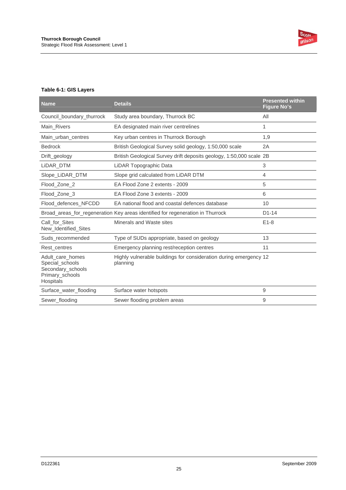

#### **Table 6-1: GIS Layers**

| <b>Name</b>                                                                              | <b>Details</b>                                                                 | <b>Presented within</b><br><b>Figure No's</b> |
|------------------------------------------------------------------------------------------|--------------------------------------------------------------------------------|-----------------------------------------------|
| Council_boundary_thurrock                                                                | Study area boundary, Thurrock BC                                               | All                                           |
| Main_Rivers                                                                              | EA designated main river centrelines                                           | 1                                             |
| Main_urban_centres                                                                       | Key urban centres in Thurrock Borough                                          | 1,9                                           |
| <b>Bedrock</b>                                                                           | British Geological Survey solid geology, 1:50,000 scale                        | 2A                                            |
| Drift_geology                                                                            | British Geological Survey drift deposits geology, 1:50,000 scale 2B            |                                               |
| LiDAR_DTM                                                                                | LiDAR Topographic Data                                                         | 3                                             |
| Slope_LiDAR_DTM                                                                          | Slope grid calculated from LiDAR DTM                                           | $\overline{4}$                                |
| Flood_Zone_2                                                                             | EA Flood Zone 2 extents - 2009                                                 | 5                                             |
| Flood_Zone_3                                                                             | EA Flood Zone 3 extents - 2009                                                 | 6                                             |
| Flood_defences_NFCDD                                                                     | EA national flood and coastal defences database                                | 10                                            |
|                                                                                          | Broad_areas_for_regeneration Key areas identified for regeneration in Thurrock | $D1-14$                                       |
| Call for Sites<br>New_Identified_Sites                                                   | Minerals and Waste sites                                                       | $E1-8$                                        |
| Suds recommended                                                                         | Type of SUDs appropriate, based on geology                                     | 13                                            |
| Rest centres                                                                             | Emergency planning rest/reception centres                                      | 11                                            |
| Adult care homes<br>Special_schools<br>Secondary_schools<br>Primary_schools<br>Hospitals | Highly vulnerable buildings for consideration during emergency 12<br>planning  |                                               |
| Surface_water_flooding                                                                   | Surface water hotspots                                                         | 9                                             |
| Sewer_flooding                                                                           | Sewer flooding problem areas                                                   | 9                                             |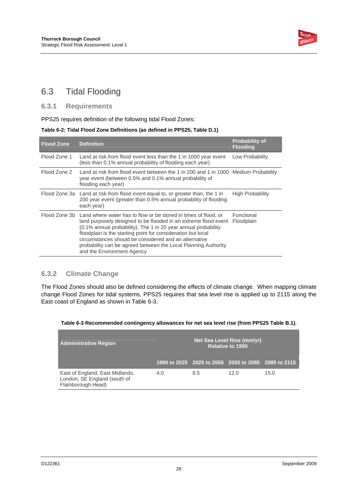

## 6.3 Tidal Flooding

### **6.3.1 Requirements**

PPS25 requires definition of the following tidal Flood Zones:

#### **Table 6-2: Tidal Flood Zone Definitions (as defined in PPS25, Table D.1)**

| <b>Flood Zone</b> | <b>Definition</b>                                                                                                                                                                                                                                                                                                                                                                                                             | <b>Probability of</b><br><b>Flooding</b> |
|-------------------|-------------------------------------------------------------------------------------------------------------------------------------------------------------------------------------------------------------------------------------------------------------------------------------------------------------------------------------------------------------------------------------------------------------------------------|------------------------------------------|
| Flood Zone 1      | Land at risk from flood event less than the 1 in 1000 year event<br>(less than 0.1% annual probability of flooding each year)                                                                                                                                                                                                                                                                                                 | Low Probability                          |
| Flood Zone 2      | Land at risk from flood event between the 1 in 200 and 1 in 1000 Medium Probability<br>year event (between 0.5% and 0.1% annual probability of<br>flooding each year)                                                                                                                                                                                                                                                         |                                          |
|                   | Flood Zone 3a Land at risk from flood event equal to, or greater than, the 1 in<br>200 year event (greater than 0.5% annual probability of flooding<br>each year)                                                                                                                                                                                                                                                             | High Probability                         |
| Flood Zone 3b     | Land where water has to flow or be stored in times of flood, or<br>land purposely designed to be flooded in an extreme flood event<br>(0.1% annual probability). The 1 in 20 year annual probability<br>floodplain is the starting point for consideration but local<br>circumstances should be considered and an alternative<br>probability can be agreed between the Local Planning Authority<br>and the Environment Agency | Functional<br>Floodplain                 |

### **6.3.2 Climate Change**

The Flood Zones should also be defined considering the effects of climate change. When mapping climate change Flood Zones for tidal systems, PPS25 requires that sea level rise is applied up to 2115 along the East coast of England as shown in Table 6-3.

| Table 6-3 Recommended contingency allowances for net sea level rise (from PPS25 Table B.1). |  |  |  |
|---------------------------------------------------------------------------------------------|--|--|--|
|---------------------------------------------------------------------------------------------|--|--|--|

| <b>Administrative Region</b>                                                         | Net Sea Level Rise (mm/yr)<br><b>Relative to 1990</b> |     |                                                     |      |
|--------------------------------------------------------------------------------------|-------------------------------------------------------|-----|-----------------------------------------------------|------|
|                                                                                      |                                                       |     | 1990 to 2025 2025 to 2055 2055 to 2085 2085 to 2115 |      |
| East of England, East Midlands,<br>London, SE England (south of<br>Flamborough Head) | 4.0                                                   | 8.5 | 12 O                                                | 15.0 |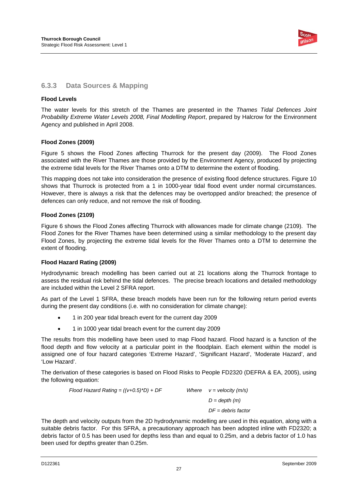

### **6.3.3 Data Sources & Mapping**

#### **Flood Levels**

The water levels for this stretch of the Thames are presented in the *Thames Tidal Defences Joint Probability Extreme Water Levels 2008, Final Modelling Report*, prepared by Halcrow for the Environment Agency and published in April 2008.

#### **Flood Zones (2009)**

Figure 5 shows the Flood Zones affecting Thurrock for the present day (2009). The Flood Zones associated with the River Thames are those provided by the Environment Agency, produced by projecting the extreme tidal levels for the River Thames onto a DTM to determine the extent of flooding.

This mapping does not take into consideration the presence of existing flood defence structures. Figure 10 shows that Thurrock is protected from a 1 in 1000-year tidal flood event under normal circumstances. However, there is always a risk that the defences may be overtopped and/or breached; the presence of defences can only reduce, and not remove the risk of flooding.

#### **Flood Zones (2109)**

Figure 6 shows the Flood Zones affecting Thurrock with allowances made for climate change (2109). The Flood Zones for the River Thames have been determined using a similar methodology to the present day Flood Zones, by projecting the extreme tidal levels for the River Thames onto a DTM to determine the extent of flooding.

### **Flood Hazard Rating (2009)**

Hydrodynamic breach modelling has been carried out at 21 locations along the Thurrock frontage to assess the residual risk behind the tidal defences. The precise breach locations and detailed methodology are included within the Level 2 SFRA report.

As part of the Level 1 SFRA, these breach models have been run for the following return period events during the present day conditions (i.e. with no consideration for climate change):

- 1 in 200 year tidal breach event for the current day 2009
- 1 in 1000 year tidal breach event for the current day 2009

The results from this modelling have been used to map Flood hazard. Flood hazard is a function of the flood depth and flow velocity at a particular point in the floodplain. Each element within the model is assigned one of four hazard categories 'Extreme Hazard', 'Significant Hazard', 'Moderate Hazard', and 'Low Hazard'.

The derivation of these categories is based on Flood Risks to People FD2320 (DEFRA & EA, 2005), using the following equation:

> *Flood Hazard Rating = ((v+0.5)\*D) + DF Where v = velocity (m/s) D = depth (m) DF = debris factor*

The depth and velocity outputs from the 2D hydrodynamic modelling are used in this equation, along with a suitable debris factor. For this SFRA, a precautionary approach has been adopted inline with FD2320; a debris factor of 0.5 has been used for depths less than and equal to 0.25m, and a debris factor of 1.0 has been used for depths greater than 0.25m.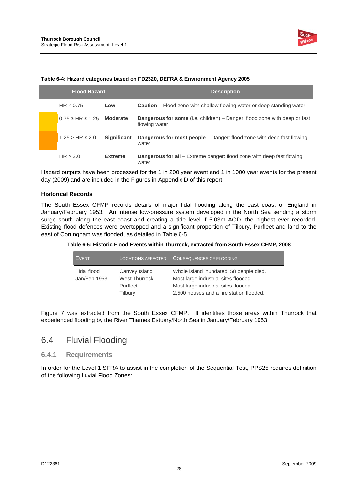

| <b>Flood Hazard</b>         |                    | <b>Description</b>                                                                                |  |
|-----------------------------|--------------------|---------------------------------------------------------------------------------------------------|--|
| HR < 0.75                   | Low                | <b>Caution</b> – Flood zone with shallow flowing water or deep standing water                     |  |
| $0.75 \geq H$ R $\leq 1.25$ | Moderate           | <b>Dangerous for some</b> (i.e. children) – Danger: flood zone with deep or fast<br>flowing water |  |
| $1.25 > HR \le 2.0$         | <b>Significant</b> | <b>Dangerous for most people</b> – Danger: flood zone with deep fast flowing<br>water             |  |
| HR > 2.0                    | <b>Extreme</b>     | <b>Dangerous for all</b> – Extreme danger: flood zone with deep fast flowing<br>water             |  |

#### **Table 6-4: Hazard categories based on FD2320, DEFRA & Environment Agency 2005**

Hazard outputs have been processed for the 1 in 200 year event and 1 in 1000 year events for the present day (2009) and are included in the Figures in Appendix D of this report.

#### **Historical Records**

The South Essex CFMP records details of major tidal flooding along the east coast of England in January/February 1953. An intense low-pressure system developed in the North Sea sending a storm surge south along the east coast and creating a tide level if 5.03m AOD, the highest ever recorded. Existing flood defences were overtopped and a significant proportion of Tilbury, Purfleet and land to the east of Corringham was flooded, as detailed in Table 6-5.

**Table 6-5: Historic Flood Events within Thurrock, extracted from South Essex CFMP, 2008** 

| <b>EVENT</b>                | <b>LOCATIONS AFFECTED</b>                                    | <b>CONSEQUENCES OF FLOODING</b>                                                                                                                                     |
|-----------------------------|--------------------------------------------------------------|---------------------------------------------------------------------------------------------------------------------------------------------------------------------|
| Tidal flood<br>Jan/Feb 1953 | Canvey Island<br><b>West Thurrock</b><br>Purfleet<br>Tilbury | Whole island inundated; 58 people died.<br>Most large industrial sites flooded.<br>Most large industrial sites flooded.<br>2,500 houses and a fire station flooded. |

Figure 7 was extracted from the South Essex CFMP. It identifies those areas within Thurrock that experienced flooding by the River Thames Estuary/North Sea in January/February 1953.

### 6.4 Fluvial Flooding

#### **6.4.1 Requirements**

In order for the Level 1 SFRA to assist in the completion of the Sequential Test, PPS25 requires definition of the following fluvial Flood Zones: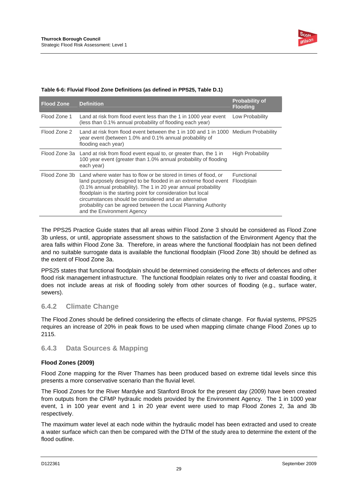

| <b>Flood Zone</b> | <b>Definition</b>                                                                                                                                                                                                                                                                                                                                                                                                             | <b>Probability of</b><br><b>Flooding</b> |
|-------------------|-------------------------------------------------------------------------------------------------------------------------------------------------------------------------------------------------------------------------------------------------------------------------------------------------------------------------------------------------------------------------------------------------------------------------------|------------------------------------------|
| Flood Zone 1      | Land at risk from flood event less than the 1 in 1000 year event<br>(less than 0.1% annual probability of flooding each year)                                                                                                                                                                                                                                                                                                 | Low Probability                          |
| Flood Zone 2      | Land at risk from flood event between the 1 in 100 and 1 in 1000 Medium Probability<br>year event (between 1.0% and 0.1% annual probability of<br>flooding each year)                                                                                                                                                                                                                                                         |                                          |
|                   | Flood Zone 3a Land at risk from flood event equal to, or greater than, the 1 in<br>100 year event (greater than 1.0% annual probability of flooding<br>each year)                                                                                                                                                                                                                                                             | High Probability                         |
| Flood Zone 3b     | Land where water has to flow or be stored in times of flood, or<br>land purposely designed to be flooded in an extreme flood event<br>(0.1% annual probability). The 1 in 20 year annual probability<br>floodplain is the starting point for consideration but local<br>circumstances should be considered and an alternative<br>probability can be agreed between the Local Planning Authority<br>and the Environment Agency | Functional<br>Floodplain                 |

#### **Table 6-6: Fluvial Flood Zone Definitions (as defined in PPS25, Table D.1)**

The PPS25 Practice Guide states that all areas within Flood Zone 3 should be considered as Flood Zone 3b unless, or until, appropriate assessment shows to the satisfaction of the Environment Agency that the area falls within Flood Zone 3a. Therefore, in areas where the functional floodplain has not been defined and no suitable surrogate data is available the functional floodplain (Flood Zone 3b) should be defined as the extent of Flood Zone 3a.

PPS25 states that functional floodplain should be determined considering the effects of defences and other flood risk management infrastructure. The functional floodplain relates only to river and coastal flooding, it does not include areas at risk of flooding solely from other sources of flooding (e.g., surface water, sewers).

### **6.4.2 Climate Change**

The Flood Zones should be defined considering the effects of climate change. For fluvial systems, PPS25 requires an increase of 20% in peak flows to be used when mapping climate change Flood Zones up to 2115.

### **6.4.3 Data Sources & Mapping**

#### **Flood Zones (2009)**

Flood Zone mapping for the River Thames has been produced based on extreme tidal levels since this presents a more conservative scenario than the fluvial level.

The Flood Zones for the River Mardyke and Stanford Brook for the present day (2009) have been created from outputs from the CFMP hydraulic models provided by the Environment Agency. The 1 in 1000 year event, 1 in 100 year event and 1 in 20 year event were used to map Flood Zones 2, 3a and 3b respectively.

The maximum water level at each node within the hydraulic model has been extracted and used to create a water surface which can then be compared with the DTM of the study area to determine the extent of the flood outline.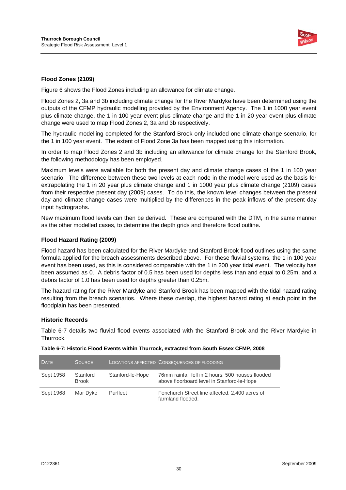

#### **Flood Zones (2109)**

Figure 6 shows the Flood Zones including an allowance for climate change.

Flood Zones 2, 3a and 3b including climate change for the River Mardyke have been determined using the outputs of the CFMP hydraulic modelling provided by the Environment Agency. The 1 in 1000 year event plus climate change, the 1 in 100 year event plus climate change and the 1 in 20 year event plus climate change were used to map Flood Zones 2, 3a and 3b respectively.

The hydraulic modelling completed for the Stanford Brook only included one climate change scenario, for the 1 in 100 year event. The extent of Flood Zone 3a has been mapped using this information.

In order to map Flood Zones 2 and 3b including an allowance for climate change for the Stanford Brook, the following methodology has been employed.

Maximum levels were available for both the present day and climate change cases of the 1 in 100 year scenario. The difference between these two levels at each node in the model were used as the basis for extrapolating the 1 in 20 year plus climate change and 1 in 1000 year plus climate change (2109) cases from their respective present day (2009) cases. To do this, the known level changes between the present day and climate change cases were multiplied by the differences in the peak inflows of the present day input hydrographs.

New maximum flood levels can then be derived. These are compared with the DTM, in the same manner as the other modelled cases, to determine the depth grids and therefore flood outline.

#### **Flood Hazard Rating (2009)**

Flood hazard has been calculated for the River Mardyke and Stanford Brook flood outlines using the same formula applied for the breach assessments described above. For these fluvial systems, the 1 in 100 year event has been used, as this is considered comparable with the 1 in 200 year tidal event. The velocity has been assumed as 0. A debris factor of 0.5 has been used for depths less than and equal to 0.25m, and a debris factor of 1.0 has been used for depths greater than 0.25m.

The hazard rating for the River Mardyke and Stanford Brook has been mapped with the tidal hazard rating resulting from the breach scenarios. Where these overlap, the highest hazard rating at each point in the floodplain has been presented.

#### **Historic Records**

Table 6-7 details two fluvial flood events associated with the Stanford Brook and the River Mardyke in Thurrock.

| <b>DATE</b> | <b>SOURCE</b>            |                  | <b>LOCATIONS AFFECTED CONSEQUENCES OF FLOODING</b>                                              |
|-------------|--------------------------|------------------|-------------------------------------------------------------------------------------------------|
| Sept 1958   | Stanford<br><b>Brook</b> | Stanford-le-Hope | 76mm rainfall fell in 2 hours, 500 houses flooded<br>above floorboard level in Stanford-le-Hope |
| Sept 1968   | Mar Dyke                 | Purfleet         | Fenchurch Street line affected. 2,400 acres of<br>farmland flooded.                             |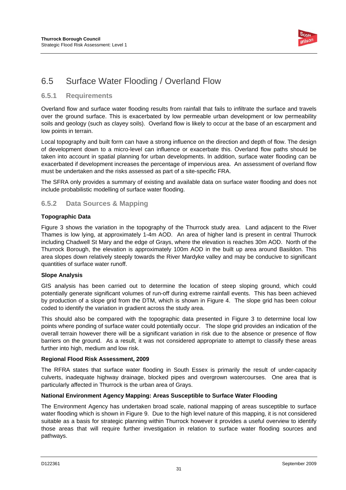

### 6.5 Surface Water Flooding / Overland Flow

#### **6.5.1 Requirements**

Overland flow and surface water flooding results from rainfall that fails to infiltrate the surface and travels over the ground surface. This is exacerbated by low permeable urban development or low permeability soils and geology (such as clayey soils). Overland flow is likely to occur at the base of an escarpment and low points in terrain.

Local topography and built form can have a strong influence on the direction and depth of flow. The design of development down to a micro-level can influence or exacerbate this. Overland flow paths should be taken into account in spatial planning for urban developments. In addition, surface water flooding can be exacerbated if development increases the percentage of impervious area. An assessment of overland flow must be undertaken and the risks assessed as part of a site-specific FRA.

The SFRA only provides a summary of existing and available data on surface water flooding and does not include probabilistic modelling of surface water flooding.

#### **6.5.2 Data Sources & Mapping**

#### **Topographic Data**

Figure 3 shows the variation in the topography of the Thurrock study area. Land adjacent to the River Thames is low lying, at approximately 1-4m AOD. An area of higher land is present in central Thurrock including Chadwell St Mary and the edge of Grays, where the elevation is reaches 30m AOD. North of the Thurrock Borough, the elevation is approximately 100m AOD in the built up area around Basildon. This area slopes down relatively steeply towards the River Mardyke valley and may be conducive to significant quantities of surface water runoff.

#### **Slope Analysis**

GIS analysis has been carried out to determine the location of steep sloping ground, which could potentially generate significant volumes of run-off during extreme rainfall events. This has been achieved by production of a slope grid from the DTM, which is shown in Figure 4. The slope grid has been colour coded to identify the variation in gradient across the study area.

This should also be compared with the topographic data presented in Figure 3 to determine local low points where ponding of surface water could potentially occur. The slope grid provides an indication of the overall terrain however there will be a significant variation in risk due to the absence or presence of flow barriers on the ground. As a result, it was not considered appropriate to attempt to classify these areas further into high, medium and low risk.

#### **Regional Flood Risk Assessment, 2009**

The RFRA states that surface water flooding in South Essex is primarily the result of under-capacity culverts, inadequate highway drainage, blocked pipes and overgrown watercourses. One area that is particularly affected in Thurrock is the urban area of Grays.

#### **National Environment Agency Mapping: Areas Susceptible to Surface Water Flooding**

The Environment Agency has undertaken broad scale, national mapping of areas susceptible to surface water flooding which is shown in Figure 9. Due to the high level nature of this mapping, it is not considered suitable as a basis for strategic planning within Thurrock however it provides a useful overview to identify those areas that will require further investigation in relation to surface water flooding sources and pathways.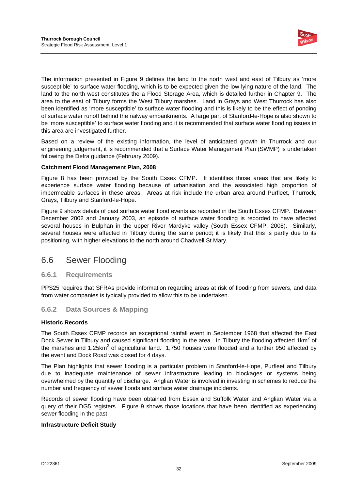

The information presented in Figure 9 defines the land to the north west and east of Tilbury as 'more susceptible' to surface water flooding, which is to be expected given the low lying nature of the land. The land to the north west constitutes the a Flood Storage Area, which is detailed further in Chapter 9. The area to the east of Tilbury forms the West Tilbury marshes. Land in Grays and West Thurrock has also been identified as 'more susceptible' to surface water flooding and this is likely to be the effect of ponding of surface water runoff behind the railway embankments. A large part of Stanford-le-Hope is also shown to be 'more susceptible' to surface water flooding and it is recommended that surface water flooding issues in this area are investigated further.

Based on a review of the existing information, the level of anticipated growth in Thurrock and our engineering judgement, it is recommended that a Surface Water Management Plan (SWMP) is undertaken following the Defra guidance (February 2009).

#### **Catchment Flood Management Plan, 2008**

Figure 8 has been provided by the South Essex CFMP. It identifies those areas that are likely to experience surface water flooding because of urbanisation and the associated high proportion of impermeable surfaces in these areas. Areas at risk include the urban area around Purfleet, Thurrock, Grays, Tilbury and Stanford-le-Hope.

Figure 9 shows details of past surface water flood events as recorded in the South Essex CFMP. Between December 2002 and January 2003, an episode of surface water flooding is recorded to have affected several houses in Bulphan in the upper River Mardyke valley (South Essex CFMP, 2008). Similarly, several houses were affected in Tilbury during the same period; it is likely that this is partly due to its positioning, with higher elevations to the north around Chadwell St Mary.

### 6.6 Sewer Flooding

#### **6.6.1 Requirements**

PPS25 requires that SFRAs provide information regarding areas at risk of flooding from sewers, and data from water companies is typically provided to allow this to be undertaken.

#### **6.6.2 Data Sources & Mapping**

#### **Historic Records**

The South Essex CFMP records an exceptional rainfall event in September 1968 that affected the East Dock Sewer in Tilbury and caused significant flooding in the area. In Tilbury the flooding affected 1km<sup>2</sup> of the marshes and 1.25km<sup>2</sup> of agricultural land. 1,750 houses were flooded and a further 950 affected by the event and Dock Road was closed for 4 days.

The Plan highlights that sewer flooding is a particular problem in Stanford-le-Hope, Purfleet and Tilbury due to inadequate maintenance of sewer infrastructure leading to blockages or systems being overwhelmed by the quantity of discharge. Anglian Water is involved in investing in schemes to reduce the number and frequency of sewer floods and surface water drainage incidents.

Records of sewer flooding have been obtained from Essex and Suffolk Water and Anglian Water via a query of their DG5 registers. Figure 9 shows those locations that have been identified as experiencing sewer flooding in the past

#### **Infrastructure Deficit Study**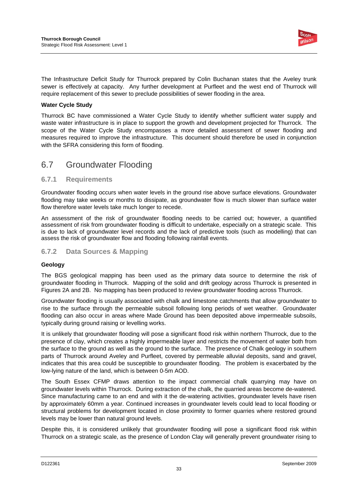

The Infrastructure Deficit Study for Thurrock prepared by Colin Buchanan states that the Aveley trunk sewer is effectively at capacity. Any further development at Purfleet and the west end of Thurrock will require replacement of this sewer to preclude possibilities of sewer flooding in the area.

#### **Water Cycle Study**

Thurrock BC have commissioned a Water Cycle Study to identify whether sufficient water supply and waste water infrastructure is in place to support the growth and development projected for Thurrock. The scope of the Water Cycle Study encompasses a more detailed assessment of sewer flooding and measures required to improve the infrastructure. This document should therefore be used in conjunction with the SFRA considering this form of flooding.

### 6.7 Groundwater Flooding

#### **6.7.1 Requirements**

Groundwater flooding occurs when water levels in the ground rise above surface elevations. Groundwater flooding may take weeks or months to dissipate, as groundwater flow is much slower than surface water flow therefore water levels take much longer to recede.

An assessment of the risk of groundwater flooding needs to be carried out; however, a quantified assessment of risk from groundwater flooding is difficult to undertake, especially on a strategic scale. This is due to lack of groundwater level records and the lack of predictive tools (such as modelling) that can assess the risk of groundwater flow and flooding following rainfall events.

#### **6.7.2 Data Sources & Mapping**

#### **Geology**

The BGS geological mapping has been used as the primary data source to determine the risk of groundwater flooding in Thurrock. Mapping of the solid and drift geology across Thurrock is presented in Figures 2A and 2B. No mapping has been produced to review groundwater flooding across Thurrock.

Groundwater flooding is usually associated with chalk and limestone catchments that allow groundwater to rise to the surface through the permeable subsoil following long periods of wet weather. Groundwater flooding can also occur in areas where Made Ground has been deposited above impermeable subsoils, typically during ground raising or levelling works.

It is unlikely that groundwater flooding will pose a significant flood risk within northern Thurrock, due to the presence of clay, which creates a highly impermeable layer and restricts the movement of water both from the surface to the ground as well as the ground to the surface. The presence of Chalk geology in southern parts of Thurrock around Aveley and Purfleet, covered by permeable alluvial deposits, sand and gravel, indicates that this area could be susceptible to groundwater flooding. The problem is exacerbated by the low-lying nature of the land, which is between 0-5m AOD.

The South Essex CFMP draws attention to the impact commercial chalk quarrying may have on groundwater levels within Thurrock. During extraction of the chalk, the quarried areas become de-watered. Since manufacturing came to an end and with it the de-watering activities, groundwater levels have risen by approximately 60mm a year. Continued increases in groundwater levels could lead to local flooding or structural problems for development located in close proximity to former quarries where restored ground levels may be lower than natural ground levels.

Despite this, it is considered unlikely that groundwater flooding will pose a significant flood risk within Thurrock on a strategic scale, as the presence of London Clay will generally prevent groundwater rising to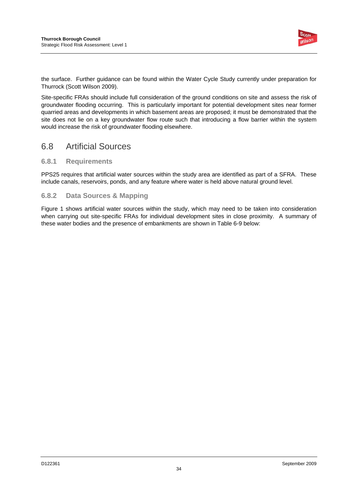

the surface. Further guidance can be found within the Water Cycle Study currently under preparation for Thurrock (Scott Wilson 2009).

Site-specific FRAs should include full consideration of the ground conditions on site and assess the risk of groundwater flooding occurring. This is particularly important for potential development sites near former quarried areas and developments in which basement areas are proposed; it must be demonstrated that the site does not lie on a key groundwater flow route such that introducing a flow barrier within the system would increase the risk of groundwater flooding elsewhere.

### 6.8 Artificial Sources

#### **6.8.1 Requirements**

PPS25 requires that artificial water sources within the study area are identified as part of a SFRA. These include canals, reservoirs, ponds, and any feature where water is held above natural ground level.

#### **6.8.2 Data Sources & Mapping**

Figure 1 shows artificial water sources within the study, which may need to be taken into consideration when carrying out site-specific FRAs for individual development sites in close proximity. A summary of these water bodies and the presence of embankments are shown in Table 6-9 below: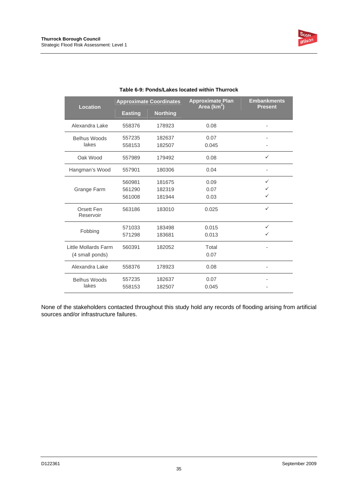

| <b>Location</b>         | <b>Approximate Coordinates</b> |                 | <b>Approximate Plan</b><br>Area ( $km^2$ ) | <b>Embankments</b><br><b>Present</b> |
|-------------------------|--------------------------------|-----------------|--------------------------------------------|--------------------------------------|
|                         | <b>Easting</b>                 | <b>Northing</b> |                                            |                                      |
| Alexandra Lake          | 558376                         | 178923          | 0.08                                       |                                      |
| <b>Belhus Woods</b>     | 557235                         | 182637          | 0.07                                       |                                      |
| lakes                   | 558153                         | 182507          | 0.045                                      |                                      |
| Oak Wood                | 557989                         | 179492          | 0.08                                       | ✓                                    |
| Hangman's Wood          | 557901                         | 180306          | 0.04                                       |                                      |
|                         | 560981                         | 181675          | 0.09                                       | ✓                                    |
| Grange Farm             | 561290                         | 182319          | 0.07                                       | ✓                                    |
|                         | 561008                         | 181944          | 0.03                                       | ✓                                    |
| Orsett Fen<br>Reservoir | 563186                         | 183010          | 0.025                                      | $\checkmark$                         |
|                         | 571033                         | 183498          | 0.015                                      | ✓                                    |
| Fobbing                 | 571298                         | 183681          | 0.013                                      | ✓                                    |
| Little Mollards Farm    | 560391                         | 182052          | Total                                      |                                      |
| (4 small ponds)         |                                |                 | 0.07                                       |                                      |
| Alexandra Lake          | 558376                         | 178923          | 0.08                                       | ٠                                    |
| <b>Belhus Woods</b>     | 557235                         | 182637          | 0.07                                       |                                      |
| lakes                   | 558153                         | 182507          | 0.045                                      |                                      |

#### **Table 6-9: Ponds/Lakes located within Thurrock**

None of the stakeholders contacted throughout this study hold any records of flooding arising from artificial sources and/or infrastructure failures.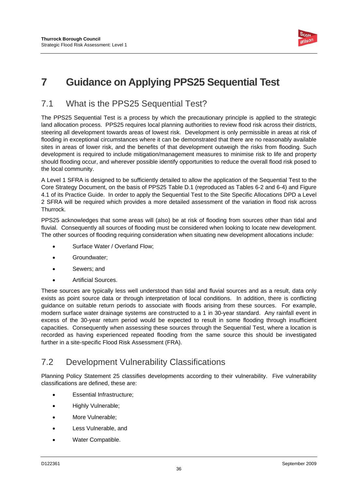

# **7 Guidance on Applying PPS25 Sequential Test**

### 7.1 What is the PPS25 Sequential Test?

The PPS25 Sequential Test is a process by which the precautionary principle is applied to the strategic land allocation process. PPS25 requires local planning authorities to review flood risk across their districts, steering all development towards areas of lowest risk. Development is only permissible in areas at risk of flooding in exceptional circumstances where it can be demonstrated that there are no reasonably available sites in areas of lower risk, and the benefits of that development outweigh the risks from flooding. Such development is required to include mitigation/management measures to minimise risk to life and property should flooding occur, and wherever possible identify opportunities to reduce the overall flood risk posed to the local community.

A Level 1 SFRA is designed to be sufficiently detailed to allow the application of the Sequential Test to the Core Strategy Document, on the basis of PPS25 Table D.1 (reproduced as Tables 6-2 and 6-4) and Figure 4.1 of its Practice Guide. In order to apply the Sequential Test to the Site Specific Allocations DPD a Level 2 SFRA will be required which provides a more detailed assessment of the variation in flood risk across Thurrock.

PPS25 acknowledges that some areas will (also) be at risk of flooding from sources other than tidal and fluvial. Consequently all sources of flooding must be considered when looking to locate new development. The other sources of flooding requiring consideration when situating new development allocations include:

- Surface Water / Overland Flow;
- Groundwater;
- Sewers; and
- Artificial Sources.

These sources are typically less well understood than tidal and fluvial sources and as a result, data only exists as point source data or through interpretation of local conditions. In addition, there is conflicting guidance on suitable return periods to associate with floods arising from these sources. For example, modern surface water drainage systems are constructed to a 1 in 30-year standard. Any rainfall event in excess of the 30-year return period would be expected to result in some flooding through insufficient capacities. Consequently when assessing these sources through the Sequential Test, where a location is recorded as having experienced repeated flooding from the same source this should be investigated further in a site-specific Flood Risk Assessment (FRA).

### 7.2 Development Vulnerability Classifications

Planning Policy Statement 25 classifies developments according to their vulnerability. Five vulnerability classifications are defined, these are:

- Essential Infrastructure;
- Highly Vulnerable;
- More Vulnerable;
- Less Vulnerable, and
- Water Compatible.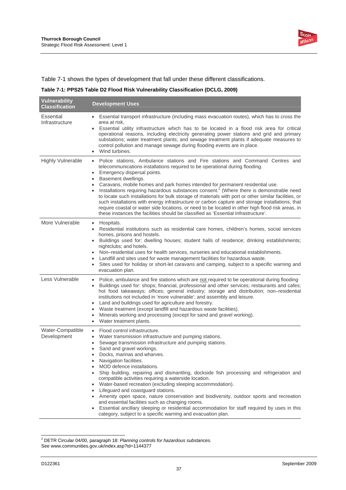

Table 7-1 shows the types of development that fall under these different classifications.

**Table 7-1: PPS25 Table D2 Flood Risk Vulnerability Classification (DCLG, 2009)** 

| <b>Vulnerability</b><br><b>Classification</b> | <b>Development Uses</b>                                                                                                                                                                                                                                                                                                                                                                                                                                                                                                                                                                                                                                                                                                                                                                                                                                                                                        |
|-----------------------------------------------|----------------------------------------------------------------------------------------------------------------------------------------------------------------------------------------------------------------------------------------------------------------------------------------------------------------------------------------------------------------------------------------------------------------------------------------------------------------------------------------------------------------------------------------------------------------------------------------------------------------------------------------------------------------------------------------------------------------------------------------------------------------------------------------------------------------------------------------------------------------------------------------------------------------|
| Essential<br>Infrastructure                   | Essential transport infrastructure (including mass evacuation routes), which has to cross the<br>area at risk,<br>Essential utility infrastructure which has to be located in a flood risk area for critical<br>operational reasons, including electricity generating power stations and grid and primary<br>substations; water treatment plants; and sewage treatment plants if adequate measures to<br>control pollution and manage sewage during flooding events are in place.<br>Wind turbines.<br>$\bullet$                                                                                                                                                                                                                                                                                                                                                                                               |
| <b>Highly Vulnerable</b>                      | Police stations, Ambulance stations and Fire stations and Command Centres and<br>$\bullet$<br>telecommunications installations required to be operational during flooding.<br>Emergency dispersal points.<br>$\bullet$<br>Basement dwellings.<br>Caravans, mobile homes and park homes intended for permanent residential use.<br>Installations requiring hazardous substances consent. <sup>2</sup> (Where there is demonstrable need<br>to locate such installations for bulk storage of materials with port or other similar facilities, or<br>such installations with energy infrastructure or carbon capture and storage installations, that<br>require coastal or water side locations, or need to be located in other high flood risk areas, in<br>these instances the facilities should be classified as 'Essential Infrastructure'.                                                                   |
| More Vulnerable                               | Hospitals.<br>$\bullet$<br>Residential institutions such as residential care homes, children's homes, social services<br>$\bullet$<br>homes, prisons and hostels.<br>Buildings used for: dwelling houses; student halls of residence; drinking establishments;<br>nightclubs; and hotels.<br>Non-residential uses for health services, nurseries and educational establishments.<br>$\bullet$<br>Landfill and sites used for waste management facilities for hazardous waste.<br>٠<br>Sites used for holiday or short-let caravans and camping, subject to a specific warning and<br>$\bullet$<br>evacuation plan.                                                                                                                                                                                                                                                                                             |
| Less Vulnerable                               | Police, ambulance and fire stations which are not required to be operational during flooding<br>٠<br>Buildings used for: shops; financial, professional and other services; restaurants and cafes;<br>$\bullet$<br>hot food takeaways; offices; general industry; storage and distribution; non-residential<br>institutions not included in 'more vulnerable'; and assembly and leisure.<br>Land and buildings used for agriculture and forestry.<br>٠<br>Waste treatment (except landfill and hazardous waste facilities).<br>٠<br>Minerals working and processing (except for sand and gravel working).<br>٠<br>Water treatment plants.<br>٠                                                                                                                                                                                                                                                                 |
| Water-Compatible<br>Development               | Flood control infrastructure.<br>$\bullet$<br>Water transmission infrastructure and pumping stations.<br>$\bullet$<br>Sewage transmission infrastructure and pumping stations.<br>٠<br>Sand and gravel workings.<br>$\bullet$<br>Docks, marinas and wharves.<br>$\bullet$<br>Navigation facilities.<br>٠<br>MOD defence installations.<br>Ship building, repairing and dismantling, dockside fish processing and refrigeration and<br>compatible activities requiring a waterside location.<br>Water-based recreation (excluding sleeping accommodation).<br>Lifeguard and coastguard stations.<br>Amenity open space, nature conservation and biodiversity, outdoor sports and recreation<br>and essential facilities such as changing rooms.<br>Essential ancillary sleeping or residential accommodation for staff required by uses in this<br>category, subject to a specific warning and evacuation plan. |

 2 DETR Circular 04/00, paragraph 18: *Planning controls for hazardous substances.*  See www.communities.gov.uk/index.asp?id=1144377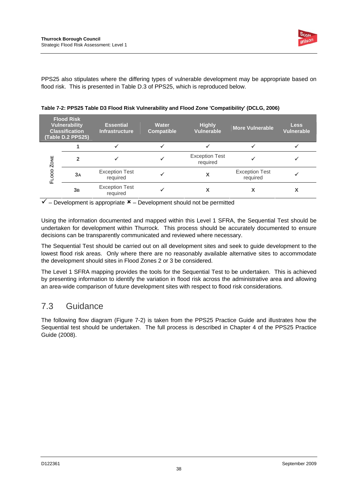

PPS25 also stipulates where the differing types of vulnerable development may be appropriate based on flood risk. This is presented in Table D.3 of PPS25, which is reproduced below.

| <b>Flood Risk</b><br><b>Vulnerability</b><br><b>Classification</b><br>(Table D.2 PPS25) |    | <b>Essential</b><br><b>Infrastructure</b> | <b>Water</b><br><b>Compatible</b> | <b>Highly</b><br><b>Vulnerable</b> | <b>More Vulnerable</b>            | <b>Less</b><br><b>Vulnerable</b> |
|-----------------------------------------------------------------------------------------|----|-------------------------------------------|-----------------------------------|------------------------------------|-----------------------------------|----------------------------------|
|                                                                                         |    | $\checkmark$                              |                                   |                                    |                                   |                                  |
| <b>ZONE</b>                                                                             | 2  |                                           |                                   | <b>Exception Test</b><br>required  |                                   |                                  |
| OOD<br>Œ                                                                                | 3A | <b>Exception Test</b><br>required         |                                   | x                                  | <b>Exception Test</b><br>required |                                  |
|                                                                                         | 3B | <b>Exception Test</b><br>required         |                                   |                                    | χ                                 |                                  |

**Table 7-2: PPS25 Table D3 Flood Risk Vulnerability and Flood Zone 'Compatibility' (DCLG, 2006)** 

 $\checkmark$  – Development is appropriate  $\checkmark$  – Development should not be permitted

Using the information documented and mapped within this Level 1 SFRA, the Sequential Test should be undertaken for development within Thurrock. This process should be accurately documented to ensure decisions can be transparently communicated and reviewed where necessary.

The Sequential Test should be carried out on all development sites and seek to guide development to the lowest flood risk areas. Only where there are no reasonably available alternative sites to accommodate the development should sites in Flood Zones 2 or 3 be considered.

The Level 1 SFRA mapping provides the tools for the Sequential Test to be undertaken. This is achieved by presenting information to identify the variation in flood risk across the administrative area and allowing an area-wide comparison of future development sites with respect to flood risk considerations.

### 7.3 Guidance

The following flow diagram (Figure 7-2) is taken from the PPS25 Practice Guide and illustrates how the Sequential test should be undertaken. The full process is described in Chapter 4 of the PPS25 Practice Guide (2008).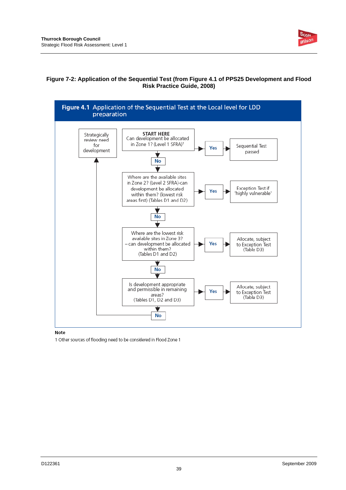

#### **Figure 7-2: Application of the Sequential Test (from Figure 4.1 of PPS25 Development and Flood Risk Practice Guide, 2008)**



#### Note

1 Other sources of flooding need to be considered in Flood Zone 1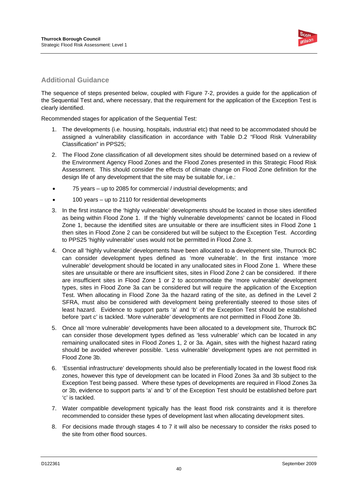

#### **Additional Guidance**

The sequence of steps presented below, coupled with Figure 7-2, provides a guide for the application of the Sequential Test and, where necessary, that the requirement for the application of the Exception Test is clearly identified.

Recommended stages for application of the Sequential Test:

- 1. The developments (i.e. housing, hospitals, industrial etc) that need to be accommodated should be assigned a vulnerability classification in accordance with Table D.2 "Flood Risk Vulnerability Classification" in PPS25;
- 2. The Flood Zone classification of all development sites should be determined based on a review of the Environment Agency Flood Zones and the Flood Zones presented in this Strategic Flood Risk Assessment. This should consider the effects of climate change on Flood Zone definition for the design life of any development that the site may be suitable for, i.e.:
- 75 years up to 2085 for commercial / industrial developments; and
- 100 years up to 2110 for residential developments
- 3. In the first instance the 'highly vulnerable' developments should be located in those sites identified as being within Flood Zone 1. If the 'highly vulnerable developments' cannot be located in Flood Zone 1, because the identified sites are unsuitable or there are insufficient sites in Flood Zone 1 then sites in Flood Zone 2 can be considered but will be subject to the Exception Test. According to PPS25 'highly vulnerable' uses would not be permitted in Flood Zone 3.
- 4. Once all 'highly vulnerable' developments have been allocated to a development site, Thurrock BC can consider development types defined as 'more vulnerable'. In the first instance 'more vulnerable' development should be located in any unallocated sites in Flood Zone 1. Where these sites are unsuitable or there are insufficient sites, sites in Flood Zone 2 can be considered. If there are insufficient sites in Flood Zone 1 or 2 to accommodate the 'more vulnerable' development types, sites in Flood Zone 3a can be considered but will require the application of the Exception Test. When allocating in Flood Zone 3a the hazard rating of the site, as defined in the Level 2 SFRA, must also be considered with development being preferentially steered to those sites of least hazard. Evidence to support parts 'a' and 'b' of the Exception Test should be established before 'part c' is tackled. 'More vulnerable' developments are not permitted in Flood Zone 3b.
- 5. Once all 'more vulnerable' developments have been allocated to a development site, Thurrock BC can consider those development types defined as 'less vulnerable' which can be located in any remaining unallocated sites in Flood Zones 1, 2 or 3a. Again, sites with the highest hazard rating should be avoided wherever possible. 'Less vulnerable' development types are not permitted in Flood Zone 3b.
- 6. 'Essential infrastructure' developments should also be preferentially located in the lowest flood risk zones, however this type of development can be located in Flood Zones 3a and 3b subject to the Exception Test being passed. Where these types of developments are required in Flood Zones 3a or 3b, evidence to support parts 'a' and 'b' of the Exception Test should be established before part 'c' is tackled.
- 7. Water compatible development typically has the least flood risk constraints and it is therefore recommended to consider these types of development last when allocating development sites.
- 8. For decisions made through stages 4 to 7 it will also be necessary to consider the risks posed to the site from other flood sources.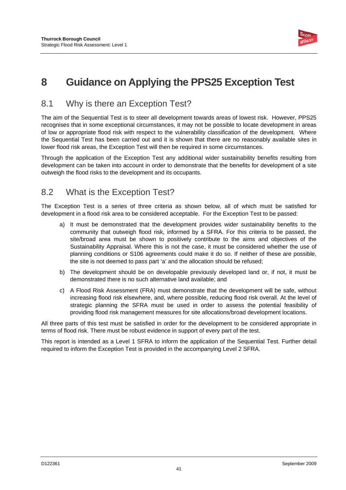

# **8 Guidance on Applying the PPS25 Exception Test**

### 8.1 Why is there an Exception Test?

The aim of the Sequential Test is to steer all development towards areas of lowest risk. However, PPS25 recognises that in some exceptional circumstances, it may not be possible to locate development in areas of low or appropriate flood risk with respect to the vulnerability classification of the development. Where the Sequential Test has been carried out and it is shown that there are no reasonably available sites in lower flood risk areas, the Exception Test will then be required in some circumstances.

Through the application of the Exception Test any additional wider sustainability benefits resulting from development can be taken into account in order to demonstrate that the benefits for development of a site outweigh the flood risks to the development and its occupants.

### 8.2 What is the Exception Test?

The Exception Test is a series of three criteria as shown below, all of which must be satisfied for development in a flood risk area to be considered acceptable. For the Exception Test to be passed:

- a) It must be demonstrated that the development provides wider sustainability benefits to the community that outweigh flood risk, informed by a SFRA. For this criteria to be passed, the site/broad area must be shown to positively contribute to the aims and objectives of the Sustainability Appraisal. Where this is not the case, it must be considered whether the use of planning conditions or S106 agreements could make it do so. If neither of these are possible, the site is not deemed to pass part 'a' and the allocation should be refused;
- b) The development should be on developable previously developed land or, if not, it must be demonstrated there is no such alternative land available; and
- c) A Flood Risk Assessment (FRA) must demonstrate that the development will be safe, without increasing flood risk elsewhere, and, where possible, reducing flood risk overall. At the level of strategic planning the SFRA must be used in order to assess the potential feasibility of providing flood risk management measures for site allocations/broad development locations.

All three parts of this test must be satisfied in order for the development to be considered appropriate in terms of flood risk. There must be robust evidence in support of every part of the test.

This report is intended as a Level 1 SFRA to inform the application of the Sequential Test. Further detail required to inform the Exception Test is provided in the accompanying Level 2 SFRA.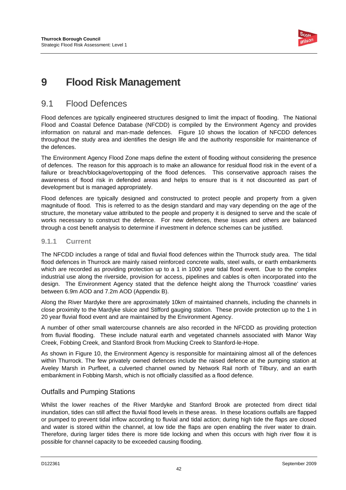

# **9 Flood Risk Management**

### 9.1 Flood Defences

Flood defences are typically engineered structures designed to limit the impact of flooding. The National Flood and Coastal Defence Database (NFCDD) is compiled by the Environment Agency and provides information on natural and man-made defences. Figure 10 shows the location of NFCDD defences throughout the study area and identifies the design life and the authority responsible for maintenance of the defences.

The Environment Agency Flood Zone maps define the extent of flooding without considering the presence of defences. The reason for this approach is to make an allowance for residual flood risk in the event of a failure or breach/blockage/overtopping of the flood defences. This conservative approach raises the awareness of flood risk in defended areas and helps to ensure that is it not discounted as part of development but is managed appropriately.

Flood defences are typically designed and constructed to protect people and property from a given magnitude of flood. This is referred to as the design standard and may vary depending on the age of the structure, the monetary value attributed to the people and property it is designed to serve and the scale of works necessary to construct the defence. For new defences, these issues and others are balanced through a cost benefit analysis to determine if investment in defence schemes can be justified.

#### **9.1.1 Current**

The NFCDD includes a range of tidal and fluvial flood defences within the Thurrock study area. The tidal flood defences in Thurrock are mainly raised reinforced concrete walls, steel walls, or earth embankments which are recorded as providing protection up to a 1 in 1000 year tidal flood event. Due to the complex industrial use along the riverside, provision for access, pipelines and cables is often incorporated into the design. The Environment Agency stated that the defence height along the Thurrock 'coastline' varies between 6.9m AOD and 7.2m AOD (Appendix B).

Along the River Mardyke there are approximately 10km of maintained channels, including the channels in close proximity to the Mardyke sluice and Stifford gauging station. These provide protection up to the 1 in 20 year fluvial flood event and are maintained by the Environment Agency.

A number of other small watercourse channels are also recorded in the NFCDD as providing protection from fluvial flooding. These include natural earth and vegetated channels associated with Manor Way Creek, Fobbing Creek, and Stanford Brook from Mucking Creek to Stanford-le-Hope.

As shown in Figure 10, the Environment Agency is responsible for maintaining almost all of the defences within Thurrock. The few privately owned defences include the raised defence at the pumping station at Aveley Marsh in Purfleet, a culverted channel owned by Network Rail north of Tilbury, and an earth embankment in Fobbing Marsh, which is not officially classified as a flood defence.

#### Outfalls and Pumping Stations

Whilst the lower reaches of the River Mardyke and Stanford Brook are protected from direct tidal inundation, tides can still affect the fluvial flood levels in these areas. In these locations outfalls are flapped or pumped to prevent tidal inflow according to fluvial and tidal action; during high tide the flaps are closed and water is stored within the channel, at low tide the flaps are open enabling the river water to drain. Therefore, during larger tides there is more tide locking and when this occurs with high river flow it is possible for channel capacity to be exceeded causing flooding.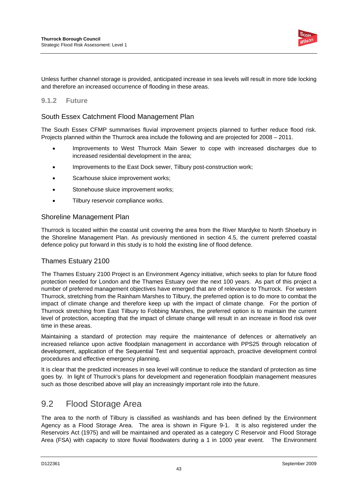

Unless further channel storage is provided, anticipated increase in sea levels will result in more tide locking and therefore an increased occurrence of flooding in these areas.

#### **9.1.2 Future**

#### South Essex Catchment Flood Management Plan

The South Essex CFMP summarises fluvial improvement projects planned to further reduce flood risk. Projects planned within the Thurrock area include the following and are projected for 2008 – 2011.

- Improvements to West Thurrock Main Sewer to cope with increased discharges due to increased residential development in the area;
- Improvements to the East Dock sewer, Tilbury post-construction work;
- Scarhouse sluice improvement works;
- Stonehouse sluice improvement works;
- Tilbury reservoir compliance works.

#### Shoreline Management Plan

Thurrock is located within the coastal unit covering the area from the River Mardyke to North Shoebury in the Shoreline Management Plan. As previously mentioned in section 4.5, the current preferred coastal defence policy put forward in this study is to hold the existing line of flood defence.

#### Thames Estuary 2100

The Thames Estuary 2100 Project is an Environment Agency initiative, which seeks to plan for future flood protection needed for London and the Thames Estuary over the next 100 years. As part of this project a number of preferred management objectives have emerged that are of relevance to Thurrock. For western Thurrock, stretching from the Rainham Marshes to Tilbury, the preferred option is to do more to combat the impact of climate change and therefore keep up with the impact of climate change. For the portion of Thurrock stretching from East Tilbury to Fobbing Marshes, the preferred option is to maintain the current level of protection, accepting that the impact of climate change will result in an increase in flood risk over time in these areas.

Maintaining a standard of protection may require the maintenance of defences or alternatively an increased reliance upon active floodplain management in accordance with PPS25 through relocation of development, application of the Sequential Test and sequential approach, proactive development control procedures and effective emergency planning.

It is clear that the predicted increases in sea level will continue to reduce the standard of protection as time goes by. In light of Thurrock's plans for development and regeneration floodplain management measures such as those described above will play an increasingly important role into the future.

### 9.2 Flood Storage Area

The area to the north of Tilbury is classified as washlands and has been defined by the Environment Agency as a Flood Storage Area. The area is shown in Figure 9-1. It is also registered under the Reservoirs Act (1975) and will be maintained and operated as a category C Reservoir and Flood Storage Area (FSA) with capacity to store fluvial floodwaters during a 1 in 1000 year event. The Environment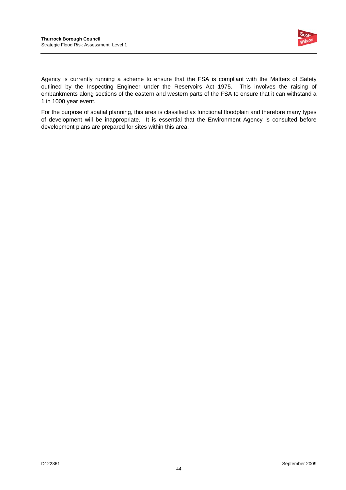

Agency is currently running a scheme to ensure that the FSA is compliant with the Matters of Safety outlined by the Inspecting Engineer under the Reservoirs Act 1975. This involves the raising of embankments along sections of the eastern and western parts of the FSA to ensure that it can withstand a 1 in 1000 year event.

For the purpose of spatial planning, this area is classified as functional floodplain and therefore many types of development will be inappropriate. It is essential that the Environment Agency is consulted before development plans are prepared for sites within this area.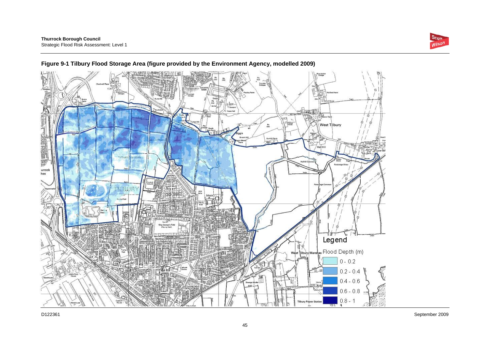



#### **Figure 9-1 Tilbury Flood Storage Area (figure provided by the Environment Agency, modelled 2009)**

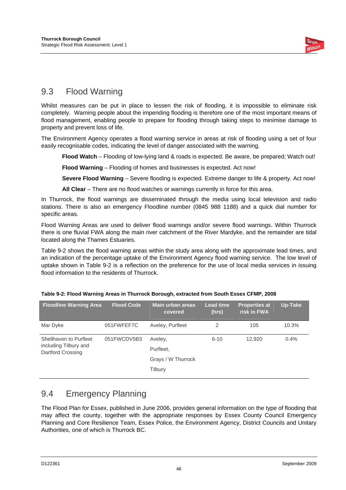

## 9.3 Flood Warning

Whilst measures can be put in place to lessen the risk of flooding, it is impossible to eliminate risk completely. Warning people about the impending flooding is therefore one of the most important means of flood management, enabling people to prepare for flooding through taking steps to minimise damage to property and prevent loss of life.

The Environment Agency operates a flood warning service in areas at risk of flooding using a set of four easily recognisable codes, indicating the level of danger associated with the warning.

**Flood Watch** – Flooding of low-lying land & roads is expected. Be aware, be prepared; Watch out!

**Flood Warning** – Flooding of homes and businesses is expected. Act now!

**Severe Flood Warning** – Severe flooding is expected. Extreme danger to life & property. Act now!

**All Clear** – There are no flood watches or warnings currently in force for this area.

In Thurrock, the flood warnings are disseminated through the media using local television and radio stations. There is also an emergency Floodline number (0845 988 1188) and a quick dial number for specific areas.

Flood Warning Areas are used to deliver flood warnings and/or severe flood warnings. Within Thurrock there is one fluvial FWA along the main river catchment of the River Mardyke, and the remainder are tidal located along the Thames Estuaries.

Table 9-2 shows the flood warning areas within the study area along with the approximate lead times, and an indication of the percentage uptake of the Environment Agency flood warning service. The low level of uptake shown in Table 9-2 is a reflection on the preference for the use of local media services in issuing flood information to the residents of Thurrock.

| <b>Floodline Warning Area</b>              | <b>Flood Code</b> | <b>Main urban areas</b><br>covered | <b>Lead time</b><br>(hrs) | <b>Properties at</b><br>risk in FWA | Up-Take |
|--------------------------------------------|-------------------|------------------------------------|---------------------------|-------------------------------------|---------|
| Mar Dyke                                   | 051FWFEF7C        | Aveley, Purfleet                   | 2                         | 105                                 | 10.3%   |
| Shellhaven to Purfleet                     | 051FWCDV5B3       | Aveley,                            | $6 - 10$                  | 12.920                              | $0.4\%$ |
| including Tilbury and<br>Dartford Crossing |                   | Purfleet,                          |                           |                                     |         |
|                                            |                   | Grays / W Thurrock                 |                           |                                     |         |
|                                            |                   | Tilbury                            |                           |                                     |         |

|  | Table 9-2: Flood Warning Areas in Thurrock Borough, extracted from South Essex CFMP, 2008 |  |  |
|--|-------------------------------------------------------------------------------------------|--|--|
|  |                                                                                           |  |  |

### 9.4 Emergency Planning

The Flood Plan for Essex, published in June 2006, provides general information on the type of flooding that may affect the county, together with the appropriate responses by Essex County Council Emergency Planning and Core Resilience Team, Essex Police, the Environment Agency, District Councils and Unitary Authorities, one of which is Thurrock BC.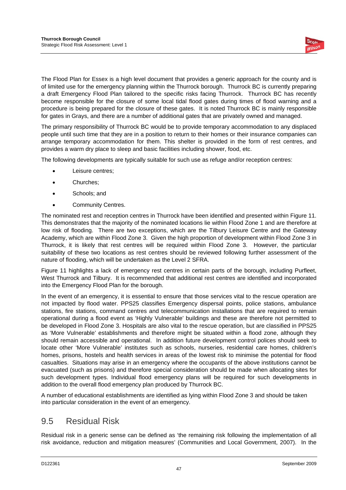

The Flood Plan for Essex is a high level document that provides a generic approach for the county and is of limited use for the emergency planning within the Thurrock borough. Thurrock BC is currently preparing a draft Emergency Flood Plan tailored to the specific risks facing Thurrock. Thurrock BC has recently become responsible for the closure of some local tidal flood gates during times of flood warning and a procedure is being prepared for the closure of these gates. It is noted Thurrock BC is mainly responsible for gates in Grays, and there are a number of additional gates that are privately owned and managed.

The primary responsibility of Thurrock BC would be to provide temporary accommodation to any displaced people until such time that they are in a position to return to their homes or their insurance companies can arrange temporary accommodation for them. This shelter is provided in the form of rest centres, and provides a warm dry place to sleep and basic facilities including shower, food, etc.

The following developments are typically suitable for such use as refuge and/or reception centres:

- Leisure centres;
- Churches;
- Schools; and
- Community Centres.

The nominated rest and reception centres in Thurrock have been identified and presented within Figure 11. This demonstrates that the majority of the nominated locations lie within Flood Zone 1 and are therefore at low risk of flooding. There are two exceptions, which are the Tilbury Leisure Centre and the Gateway Academy, which are within Flood Zone 3. Given the high proportion of development within Flood Zone 3 in Thurrock, it is likely that rest centres will be required within Flood Zone 3. However, the particular suitability of these two locations as rest centres should be reviewed following further assessment of the nature of flooding, which will be undertaken as the Level 2 SFRA.

Figure 11 highlights a lack of emergency rest centres in certain parts of the borough, including Purfleet, West Thurrock and Tilbury. It is recommended that additional rest centres are identified and incorporated into the Emergency Flood Plan for the borough.

In the event of an emergency, it is essential to ensure that those services vital to the rescue operation are not impacted by flood water. PPS25 classifies Emergency dispersal points, police stations, ambulance stations, fire stations, command centres and telecommunication installations that are required to remain operational during a flood event as 'Highly Vulnerable' buildings and these are therefore not permitted to be developed in Flood Zone 3. Hospitals are also vital to the rescue operation, but are classified in PPS25 as 'More Vulnerable' establishments and therefore might be situated within a flood zone, although they should remain accessible and operational. In addition future development control polices should seek to locate other 'More Vulnerable' institutes such as schools, nurseries, residential care homes, children's homes, prisons, hostels and health services in areas of the lowest risk to minimise the potential for flood casualties. Situations may arise in an emergency where the occupants of the above institutions cannot be evacuated (such as prisons) and therefore special consideration should be made when allocating sites for such development types. Individual flood emergency plans will be required for such developments in addition to the overall flood emergency plan produced by Thurrock BC.

A number of educational establishments are identified as lying within Flood Zone 3 and should be taken into particular consideration in the event of an emergency.

### 9.5 Residual Risk

Residual risk in a generic sense can be defined as 'the remaining risk following the implementation of all risk avoidance, reduction and mitigation measures' (Communities and Local Government, 2007). In the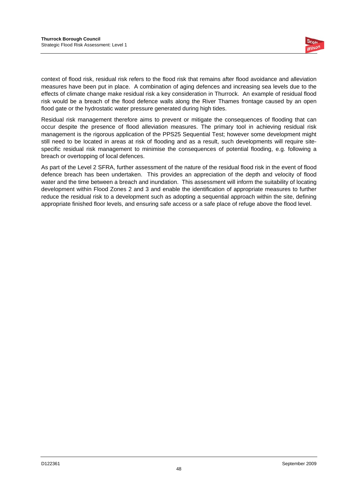

context of flood risk, residual risk refers to the flood risk that remains after flood avoidance and alleviation measures have been put in place. A combination of aging defences and increasing sea levels due to the effects of climate change make residual risk a key consideration in Thurrock. An example of residual flood risk would be a breach of the flood defence walls along the River Thames frontage caused by an open flood gate or the hydrostatic water pressure generated during high tides.

Residual risk management therefore aims to prevent or mitigate the consequences of flooding that can occur despite the presence of flood alleviation measures. The primary tool in achieving residual risk management is the rigorous application of the PPS25 Sequential Test; however some development might still need to be located in areas at risk of flooding and as a result, such developments will require sitespecific residual risk management to minimise the consequences of potential flooding, e.g. following a breach or overtopping of local defences.

As part of the Level 2 SFRA, further assessment of the nature of the residual flood risk in the event of flood defence breach has been undertaken. This provides an appreciation of the depth and velocity of flood water and the time between a breach and inundation. This assessment will inform the suitability of locating development within Flood Zones 2 and 3 and enable the identification of appropriate measures to further reduce the residual risk to a development such as adopting a sequential approach within the site, defining appropriate finished floor levels, and ensuring safe access or a safe place of refuge above the flood level.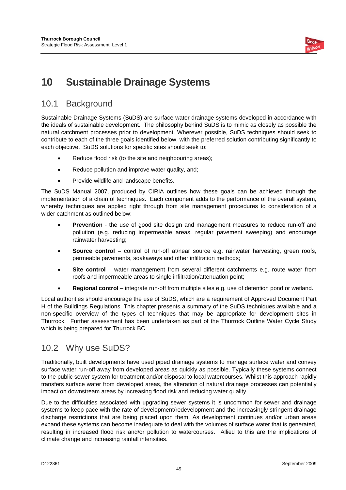

# **10 Sustainable Drainage Systems**

### 10.1 Background

Sustainable Drainage Systems (SuDS) are surface water drainage systems developed in accordance with the ideals of sustainable development. The philosophy behind SuDS is to mimic as closely as possible the natural catchment processes prior to development. Wherever possible, SuDS techniques should seek to contribute to each of the three goals identified below, with the preferred solution contributing significantly to each objective. SuDS solutions for specific sites should seek to:

- Reduce flood risk (to the site and neighbouring areas);
- Reduce pollution and improve water quality, and;
- Provide wildlife and landscape benefits.

The SuDS Manual 2007, produced by CIRIA outlines how these goals can be achieved through the implementation of a chain of techniques. Each component adds to the performance of the overall system, whereby techniques are applied right through from site management procedures to consideration of a wider catchment as outlined below:

- **Prevention** the use of good site design and management measures to reduce run-off and pollution (e.g. reducing impermeable areas, regular pavement sweeping) and encourage rainwater harvesting;
- **Source control** control of run-off at/near source e.g. rainwater harvesting, green roofs, permeable pavements, soakaways and other infiltration methods;
- **Site control** water management from several different catchments e.g. route water from roofs and impermeable areas to single infiltration/attenuation point;
- **Regional control**  integrate run-off from multiple sites e.g. use of detention pond or wetland.

Local authorities should encourage the use of SuDS, which are a requirement of Approved Document Part H of the Buildings Regulations. This chapter presents a summary of the SuDS techniques available and a non-specific overview of the types of techniques that may be appropriate for development sites in Thurrock. Further assessment has been undertaken as part of the Thurrock Outline Water Cycle Study which is being prepared for Thurrock BC.

### 10.2 Why use SuDS?

Traditionally, built developments have used piped drainage systems to manage surface water and convey surface water run-off away from developed areas as quickly as possible. Typically these systems connect to the public sewer system for treatment and/or disposal to local watercourses. Whilst this approach rapidly transfers surface water from developed areas, the alteration of natural drainage processes can potentially impact on downstream areas by increasing flood risk and reducing water quality.

Due to the difficulties associated with upgrading sewer systems it is uncommon for sewer and drainage systems to keep pace with the rate of development/redevelopment and the increasingly stringent drainage discharge restrictions that are being placed upon them. As development continues and/or urban areas expand these systems can become inadequate to deal with the volumes of surface water that is generated, resulting in increased flood risk and/or pollution to watercourses. Allied to this are the implications of climate change and increasing rainfall intensities.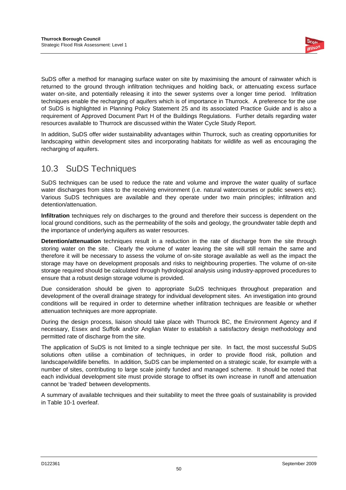

SuDS offer a method for managing surface water on site by maximising the amount of rainwater which is returned to the ground through infiltration techniques and holding back, or attenuating excess surface water on-site, and potentially releasing it into the sewer systems over a longer time period. Infiltration techniques enable the recharging of aquifers which is of importance in Thurrock. A preference for the use of SuDS is highlighted in Planning Policy Statement 25 and its associated Practice Guide and is also a requirement of Approved Document Part H of the Buildings Regulations. Further details regarding water resources available to Thurrock are discussed within the Water Cycle Study Report.

In addition, SuDS offer wider sustainability advantages within Thurrock, such as creating opportunities for landscaping within development sites and incorporating habitats for wildlife as well as encouraging the recharging of aquifers.

### 10.3 SuDS Techniques

SuDS techniques can be used to reduce the rate and volume and improve the water quality of surface water discharges from sites to the receiving environment (i.e. natural watercourses or public sewers etc). Various SuDS techniques are available and they operate under two main principles; infiltration and detention/attenuation.

**Infiltration** techniques rely on discharges to the ground and therefore their success is dependent on the local ground conditions, such as the permeability of the soils and geology, the groundwater table depth and the importance of underlying aquifers as water resources.

**Detention/attenuation** techniques result in a reduction in the rate of discharge from the site through storing water on the site. Clearly the volume of water leaving the site will still remain the same and therefore it will be necessary to assess the volume of on-site storage available as well as the impact the storage may have on development proposals and risks to neighbouring properties. The volume of on-site storage required should be calculated through hydrological analysis using industry-approved procedures to ensure that a robust design storage volume is provided.

Due consideration should be given to appropriate SuDS techniques throughout preparation and development of the overall drainage strategy for individual development sites. An investigation into ground conditions will be required in order to determine whether infiltration techniques are feasible or whether attenuation techniques are more appropriate.

During the design process, liaison should take place with Thurrock BC, the Environment Agency and if necessary, Essex and Suffolk and/or Anglian Water to establish a satisfactory design methodology and permitted rate of discharge from the site.

The application of SuDS is not limited to a single technique per site. In fact, the most successful SuDS solutions often utilise a combination of techniques, in order to provide flood risk, pollution and landscape/wildlife benefits. In addition, SuDS can be implemented on a strategic scale, for example with a number of sites, contributing to large scale jointly funded and managed scheme. It should be noted that each individual development site must provide storage to offset its own increase in runoff and attenuation cannot be 'traded' between developments.

A summary of available techniques and their suitability to meet the three goals of sustainability is provided in Table 10-1 overleaf.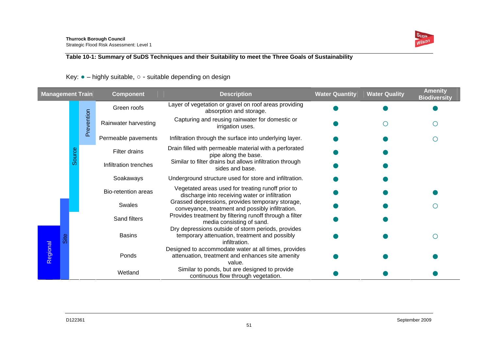

#### **Table 10-1: Summary of SuDS Techniques and their Suitability to meet the Three Goals of Sustainability**

#### Key: ● – highly suitable, ○ - suitable depending on design

| <b>Management Train</b> |          |             | <b>Component</b>      | <b>Description</b>                                                                                                   | <b>Water Quantity</b> | <b>Water Quality</b> | <b>Amenity</b><br><b>Biodiversity</b> |
|-------------------------|----------|-------------|-----------------------|----------------------------------------------------------------------------------------------------------------------|-----------------------|----------------------|---------------------------------------|
|                         |          | Green roofs |                       | Layer of vegetation or gravel on roof areas providing<br>absorption and storage.                                     |                       |                      |                                       |
|                         |          | Prevention  | Rainwater harvesting  | Capturing and reusing rainwater for domestic or<br>irrigation uses.                                                  |                       |                      |                                       |
|                         |          |             | Permeable pavements   | Infiltration through the surface into underlying layer.                                                              |                       |                      |                                       |
|                         | Source   |             | Filter drains         | Drain filled with permeable material with a perforated<br>pipe along the base.                                       |                       |                      |                                       |
|                         |          |             | Infiltration trenches | Similar to filter drains but allows infiltration through<br>sides and base.                                          |                       |                      |                                       |
|                         |          |             | Soakaways             | Underground structure used for store and infiltration.                                                               |                       |                      |                                       |
|                         |          |             | Bio-retention areas   | Vegetated areas used for treating runoff prior to<br>discharge into receiving water or infiltration                  |                       |                      |                                       |
|                         |          |             | Swales                | Grassed depressions, provides temporary storage,<br>conveyance, treatment and possibly infiltration.                 |                       |                      |                                       |
|                         |          |             | Sand filters          | Provides treatment by filtering runoff through a filter<br>media consisting of sand.                                 |                       |                      |                                       |
|                         | Regional |             | <b>Basins</b>         | Dry depressions outside of storm periods, provides<br>temporary attenuation, treatment and possibly<br>infiltration. |                       |                      |                                       |
|                         |          |             | Ponds                 | Designed to accommodate water at all times, provides<br>attenuation, treatment and enhances site amenity<br>value.   |                       |                      |                                       |
|                         |          |             | Wetland               | Similar to ponds, but are designed to provide<br>continuous flow through vegetation.                                 |                       |                      |                                       |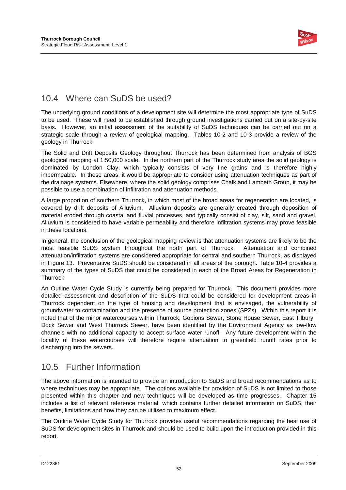

### 10.4 Where can SuDS be used?

The underlying ground conditions of a development site will determine the most appropriate type of SuDS to be used. These will need to be established through ground investigations carried out on a site-by-site basis. However, an initial assessment of the suitability of SuDS techniques can be carried out on a strategic scale through a review of geological mapping. Tables 10-2 and 10-3 provide a review of the geology in Thurrock.

The Solid and Drift Deposits Geology throughout Thurrock has been determined from analysis of BGS geological mapping at 1:50,000 scale. In the northern part of the Thurrock study area the solid geology is dominated by London Clay, which typically consists of very fine grains and is therefore highly impermeable. In these areas, it would be appropriate to consider using attenuation techniques as part of the drainage systems. Elsewhere, where the solid geology comprises Chalk and Lambeth Group, it may be possible to use a combination of infiltration and attenuation methods.

A large proportion of southern Thurrock, in which most of the broad areas for regeneration are located, is covered by drift deposits of Alluvium. Alluvium deposits are generally created through deposition of material eroded through coastal and fluvial processes, and typically consist of clay, silt, sand and gravel. Alluvium is considered to have variable permeability and therefore infiltration systems may prove feasible in these locations.

In general, the conclusion of the geological mapping review is that attenuation systems are likely to be the most feasible SuDS system throughout the north part of Thurrock. Attenuation and combined attenuation/infiltration systems are considered appropriate for central and southern Thurrock, as displayed in Figure 13. Preventative SuDS should be considered in all areas of the borough. Table 10-4 provides a summary of the types of SuDS that could be considered in each of the Broad Areas for Regeneration in Thurrock.

An Outline Water Cycle Study is currently being prepared for Thurrock. This document provides more detailed assessment and description of the SuDS that could be considered for development areas in Thurrock dependent on the type of housing and development that is envisaged, the vulnerability of groundwater to contamination and the presence of source protection zones (SPZs). Within this report it is noted that of the minor watercourses within Thurrock, Gobions Sewer, Stone House Sewer, East Tilbury Dock Sewer and West Thurrock Sewer, have been identified by the Environment Agency as low-flow channels with no additional capacity to accept surface water runoff. Any future development within the locality of these watercourses will therefore require attenuation to greenfield runoff rates prior to discharging into the sewers.

### 10.5 Further Information

The above information is intended to provide an introduction to SuDS and broad recommendations as to where techniques may be appropriate. The options available for provision of SuDS is not limited to those presented within this chapter and new techniques will be developed as time progresses. Chapter 15 includes a list of relevant reference material, which contains further detailed information on SuDS, their benefits, limitations and how they can be utilised to maximum effect.

The Outline Water Cycle Study for Thurrock provides useful recommendations regarding the best use of SuDS for development sites in Thurrock and should be used to build upon the introduction provided in this report.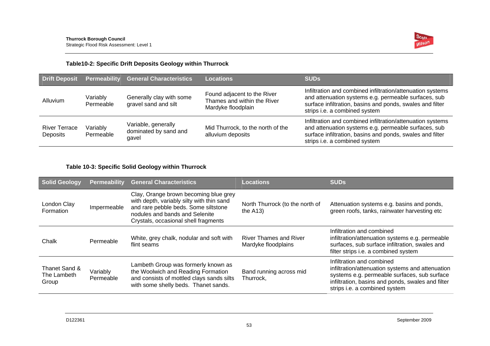

#### **Table10-2: Specific Drift Deposits Geology within Thurrock**

| <b>Drift Deposit</b>             | <b>Permeability</b>   | <b>General Characteristics</b>                        | <b>Locations</b>                                                                 | <b>SUDS</b>                                                                                                                                                                                                      |
|----------------------------------|-----------------------|-------------------------------------------------------|----------------------------------------------------------------------------------|------------------------------------------------------------------------------------------------------------------------------------------------------------------------------------------------------------------|
| Alluvium                         | Variably<br>Permeable | Generally clay with some<br>gravel sand and silt      | Found adjacent to the River<br>Thames and within the River<br>Mardyke floodplain | Infiltration and combined infiltration/attenuation systems<br>and attenuation systems e.g. permeable surfaces, sub<br>surface infiltration, basins and ponds, swales and filter<br>strips i.e. a combined system |
| <b>River Terrace</b><br>Deposits | Variably<br>Permeable | Variable, generally<br>dominated by sand and<br>qavel | Mid Thurrock, to the north of the<br>alluvium deposits                           | Infiltration and combined infiltration/attenuation systems<br>and attenuation systems e.g. permeable surfaces, sub<br>surface infiltration, basins and ponds, swales and filter<br>strips i.e. a combined system |

#### **Table 10-3: Specific Solid Geology within Thurrock**

| <b>Solid Geology</b>                  | <b>Permeability</b>   | <b>General Characteristics</b>                                                                                                                                                                       | Locations                                            | <b>SUDs</b>                                                                                                                                                                                                         |
|---------------------------------------|-----------------------|------------------------------------------------------------------------------------------------------------------------------------------------------------------------------------------------------|------------------------------------------------------|---------------------------------------------------------------------------------------------------------------------------------------------------------------------------------------------------------------------|
| London Clay<br>Formation              | Impermeable           | Clay, Orange brown becoming blue grey<br>with depth, variably silty with thin sand<br>and rare pebble beds. Some siltstone<br>nodules and bands and Selenite<br>Crystals, occasional shell fragments | North Thurrock (to the north of<br>the $A13$ )       | Attenuation systems e.g. basins and ponds,<br>green roofs, tanks, rainwater harvesting etc                                                                                                                          |
| Chalk                                 | Permeable             | White, grey chalk, nodular and soft with<br>flint seams                                                                                                                                              | <b>River Thames and River</b><br>Mardyke floodplains | Infiltration and combined<br>infiltration/attenuation systems e.g. permeable<br>surfaces, sub surface infiltration, swales and<br>filter strips i.e. a combined system                                              |
| Thanet Sand &<br>The Lambeth<br>Group | Variably<br>Permeable | Lambeth Group was formerly known as<br>the Woolwich and Reading Formation<br>and consists of mottled clays sands silts<br>with some shelly beds. Thanet sands.                                       | Band running across mid<br>Thurrock,                 | Infiltration and combined<br>infiltration/attenuation systems and attenuation<br>systems e.g. permeable surfaces, sub surface<br>infiltration, basins and ponds, swales and filter<br>strips i.e. a combined system |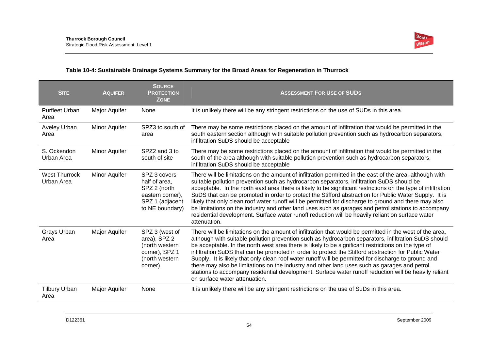

#### **Table 10-4: Sustainable Drainage Systems Summary for the Broad Areas for Regeneration in Thurrock**

| <b>SITE</b>                        | <b>AQUIFER</b> | <b>SOURCE</b><br><b>PROTECTION</b><br><b>ZONE</b>                                                       | <b>ASSESSMENT FOR USE OF SUDS</b>                                                                                                                                                                                                                                                                                                                                                                                                                                                                                                                                                                                                                                                                                                                                                 |
|------------------------------------|----------------|---------------------------------------------------------------------------------------------------------|-----------------------------------------------------------------------------------------------------------------------------------------------------------------------------------------------------------------------------------------------------------------------------------------------------------------------------------------------------------------------------------------------------------------------------------------------------------------------------------------------------------------------------------------------------------------------------------------------------------------------------------------------------------------------------------------------------------------------------------------------------------------------------------|
| <b>Purfleet Urban</b><br>Area      | Major Aquifer  | None                                                                                                    | It is unlikely there will be any stringent restrictions on the use of SUDs in this area.                                                                                                                                                                                                                                                                                                                                                                                                                                                                                                                                                                                                                                                                                          |
| Aveley Urban<br>Area               | Minor Aquifer  | SPZ3 to south of<br>area                                                                                | There may be some restrictions placed on the amount of infiltration that would be permitted in the<br>south eastern section although with suitable pollution prevention such as hydrocarbon separators,<br>infiltration SuDS should be acceptable                                                                                                                                                                                                                                                                                                                                                                                                                                                                                                                                 |
| S. Ockendon<br>Urban Area          | Minor Aquifer  | SPZ2 and 3 to<br>south of site                                                                          | There may be some restrictions placed on the amount of infiltration that would be permitted in the<br>south of the area although with suitable pollution prevention such as hydrocarbon separators,<br>infiltration SuDS should be acceptable                                                                                                                                                                                                                                                                                                                                                                                                                                                                                                                                     |
| <b>West Thurrock</b><br>Urban Area | Minor Aquifer  | SPZ 3 covers<br>half of area,<br>SPZ 2 (north<br>eastern corner),<br>SPZ 1 (adjacent<br>to NE boundary) | There will be limitations on the amount of infiltration permitted in the east of the area, although with<br>suitable pollution prevention such as hydrocarbon separators, infiltration SuDS should be<br>acceptable. In the north east area there is likely to be significant restrictions on the type of infiltration<br>SuDS that can be promoted in order to protect the Stifford abstraction for Public Water Supply. It is<br>likely that only clean roof water runoff will be permitted for discharge to ground and there may also<br>be limitations on the industry and other land uses such as garages and petrol stations to accompany<br>residential development. Surface water runoff reduction will be heavily reliant on surface water<br>attenuation.               |
| Grays Urban<br>Area                | Major Aquifer  | SPZ 3 (west of<br>area), SPZ 2<br>(north western<br>corner), SPZ 1<br>(north western<br>corner)         | There will be limitations on the amount of infiltration that would be permitted in the west of the area,<br>although with suitable pollution prevention such as hydrocarbon separators, infiltration SuDS should<br>be acceptable. In the north west area there is likely to be significant restrictions on the type of<br>infiltration SuDS that can be promoted in order to protect the Stifford abstraction for Public Water<br>Supply. It is likely that only clean roof water runoff will be permitted for discharge to ground and<br>there may also be limitations on the industry and other land uses such as garages and petrol<br>stations to accompany residential development. Surface water runoff reduction will be heavily reliant<br>on surface water attenuation. |
| <b>Tilbury Urban</b><br>Area       | Major Aquifer  | None                                                                                                    | It is unlikely there will be any stringent restrictions on the use of SuDs in this area.                                                                                                                                                                                                                                                                                                                                                                                                                                                                                                                                                                                                                                                                                          |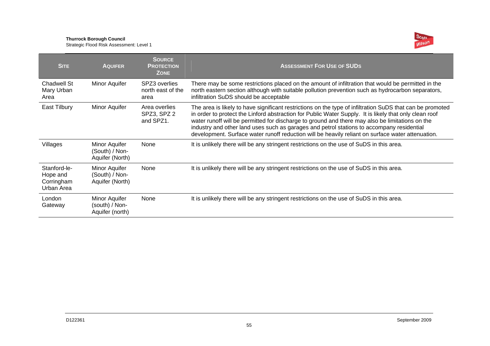#### **Thurrock Borough Council**

Strategic Flood Risk Assessment: Level 1



| <b>SITE</b>                                          | <b>AQUIFER</b>                                            | <b>SOURCE</b><br><b>PROTECTION</b><br><b>ZONE</b> | <b>ASSESSMENT FOR USE OF SUDS</b>                                                                                                                                                                                                                                                                                                                                                                                                                                                                                        |
|------------------------------------------------------|-----------------------------------------------------------|---------------------------------------------------|--------------------------------------------------------------------------------------------------------------------------------------------------------------------------------------------------------------------------------------------------------------------------------------------------------------------------------------------------------------------------------------------------------------------------------------------------------------------------------------------------------------------------|
| Chadwell St<br>Mary Urban<br>Area                    | Minor Aquifer                                             | SPZ3 overlies<br>north east of the<br>area        | There may be some restrictions placed on the amount of infiltration that would be permitted in the<br>north eastern section although with suitable pollution prevention such as hydrocarbon separators,<br>infiltration SuDS should be acceptable                                                                                                                                                                                                                                                                        |
| East Tilbury                                         | Minor Aquifer                                             | Area overlies<br>SPZ3, SPZ 2<br>and SPZ1.         | The area is likely to have significant restrictions on the type of infiltration SuDS that can be promoted<br>in order to protect the Linford abstraction for Public Water Supply. It is likely that only clean roof<br>water runoff will be permitted for discharge to ground and there may also be limitations on the<br>industry and other land uses such as garages and petrol stations to accompany residential<br>development. Surface water runoff reduction will be heavily reliant on surface water attenuation. |
| Villages                                             | Minor Aquifer<br>(South) / Non-<br>Aquifer (North)        | None                                              | It is unlikely there will be any stringent restrictions on the use of SuDS in this area.                                                                                                                                                                                                                                                                                                                                                                                                                                 |
| Stanford-le-<br>Hope and<br>Corringham<br>Urban Area | Minor Aquifer<br>(South) / Non-<br>Aquifer (North)        | None                                              | It is unlikely there will be any stringent restrictions on the use of SuDS in this area.                                                                                                                                                                                                                                                                                                                                                                                                                                 |
| London<br>Gateway                                    | <b>Minor Aquifer</b><br>(south) / Non-<br>Aquifer (north) | None                                              | It is unlikely there will be any stringent restrictions on the use of SuDS in this area.                                                                                                                                                                                                                                                                                                                                                                                                                                 |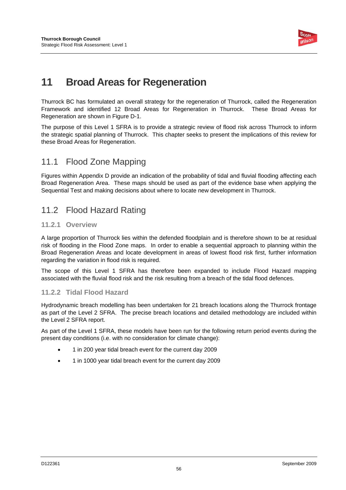

# **11 Broad Areas for Regeneration**

Thurrock BC has formulated an overall strategy for the regeneration of Thurrock, called the Regeneration Framework and identified 12 Broad Areas for Regeneration in Thurrock. These Broad Areas for Regeneration are shown in Figure D-1.

The purpose of this Level 1 SFRA is to provide a strategic review of flood risk across Thurrock to inform the strategic spatial planning of Thurrock. This chapter seeks to present the implications of this review for these Broad Areas for Regeneration.

### 11.1 Flood Zone Mapping

Figures within Appendix D provide an indication of the probability of tidal and fluvial flooding affecting each Broad Regeneration Area. These maps should be used as part of the evidence base when applying the Sequential Test and making decisions about where to locate new development in Thurrock.

### 11.2 Flood Hazard Rating

#### **11.2.1 Overview**

A large proportion of Thurrock lies within the defended floodplain and is therefore shown to be at residual risk of flooding in the Flood Zone maps. In order to enable a sequential approach to planning within the Broad Regeneration Areas and locate development in areas of lowest flood risk first, further information regarding the variation in flood risk is required.

The scope of this Level 1 SFRA has therefore been expanded to include Flood Hazard mapping associated with the fluvial flood risk and the risk resulting from a breach of the tidal flood defences.

#### **11.2.2 Tidal Flood Hazard**

Hydrodynamic breach modelling has been undertaken for 21 breach locations along the Thurrock frontage as part of the Level 2 SFRA. The precise breach locations and detailed methodology are included within the Level 2 SFRA report.

As part of the Level 1 SFRA, these models have been run for the following return period events during the present day conditions (i.e. with no consideration for climate change):

- 1 in 200 year tidal breach event for the current day 2009
- 1 in 1000 year tidal breach event for the current day 2009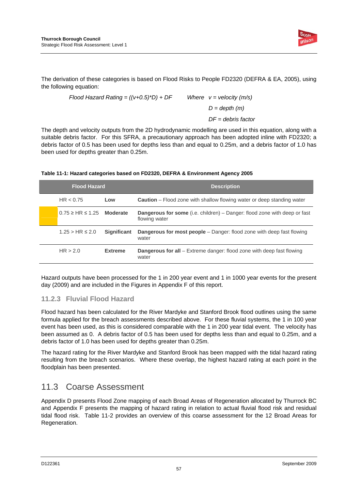

The derivation of these categories is based on Flood Risks to People FD2320 (DEFRA & EA, 2005), using the following equation:

> *Flood Hazard Rating = ((v+0.5)\*D) + DF Where v = velocity (m/s) D = depth (m) DF = debris factor*

The depth and velocity outputs from the 2D hydrodynamic modelling are used in this equation, along with a suitable debris factor. For this SFRA, a precautionary approach has been adopted inline with FD2320; a debris factor of 0.5 has been used for depths less than and equal to 0.25m, and a debris factor of 1.0 has been used for depths greater than 0.25m.

| <b>Flood Hazard</b>               |                    | <b>Description</b>                                                                                |  |
|-----------------------------------|--------------------|---------------------------------------------------------------------------------------------------|--|
| HR < 0.75                         | Low                | <b>Caution</b> – Flood zone with shallow flowing water or deep standing water                     |  |
| $0.75 \geq HR \leq 1.25$ Moderate |                    | <b>Dangerous for some</b> (i.e. children) – Danger: flood zone with deep or fast<br>flowing water |  |
| $1.25 > HR \leq 2.0$              | <b>Significant</b> | <b>Dangerous for most people</b> – Danger: flood zone with deep fast flowing<br>water             |  |
| HR > 2.0                          | <b>Extreme</b>     | <b>Dangerous for all</b> – Extreme danger: flood zone with deep fast flowing<br>water             |  |

#### **Table 11-1: Hazard categories based on FD2320, DEFRA & Environment Agency 2005**

Hazard outputs have been processed for the 1 in 200 year event and 1 in 1000 year events for the present day (2009) and are included in the Figures in Appendix F of this report.

#### **11.2.3 Fluvial Flood Hazard**

Flood hazard has been calculated for the River Mardyke and Stanford Brook flood outlines using the same formula applied for the breach assessments described above. For these fluvial systems, the 1 in 100 year event has been used, as this is considered comparable with the 1 in 200 year tidal event. The velocity has been assumed as 0. A debris factor of 0.5 has been used for depths less than and equal to 0.25m, and a debris factor of 1.0 has been used for depths greater than 0.25m.

The hazard rating for the River Mardyke and Stanford Brook has been mapped with the tidal hazard rating resulting from the breach scenarios. Where these overlap, the highest hazard rating at each point in the floodplain has been presented.

### 11.3 Coarse Assessment

Appendix D presents Flood Zone mapping of each Broad Areas of Regeneration allocated by Thurrock BC and Appendix F presents the mapping of hazard rating in relation to actual fluvial flood risk and residual tidal flood risk. Table 11-2 provides an overview of this coarse assessment for the 12 Broad Areas for Regeneration.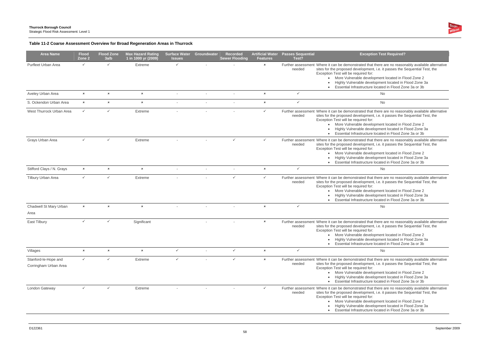

### **Table 11-2 Coarse Assessment Overview for Broad Regeneration Areas in Thurrock**

| <b>Area Name</b>                              | <b>Flood</b><br>Zone 2 | <b>Flood Zone</b><br>3a/b | <b>Max Hazard Rating</b><br>1 in 1000 yr (2009) | <b>Surface Water Groundwater</b><br><b>Issues</b> |                          | <b>Recorded</b><br><b>Sewer Flooding</b> | <b>Artificial Water</b><br><b>Features</b> | <b>Passes Sequential</b><br>Test? | <b>Exception Test Required?</b>                                                                                                                                                                                                                                                                                                                                                                                    |
|-----------------------------------------------|------------------------|---------------------------|-------------------------------------------------|---------------------------------------------------|--------------------------|------------------------------------------|--------------------------------------------|-----------------------------------|--------------------------------------------------------------------------------------------------------------------------------------------------------------------------------------------------------------------------------------------------------------------------------------------------------------------------------------------------------------------------------------------------------------------|
| Purfleet Urban Area                           | $\checkmark$           | $\checkmark$              | Extreme                                         | ✓                                                 |                          |                                          | $\boldsymbol{\mathsf{x}}$                  | needed                            | Further assessment Where it can be demonstrated that there are no reasonably available alternative<br>sites for the proposed development, i.e. it passes the Sequential Test, the<br>Exception Test will be required for:<br>More Vulnerable development located in Flood Zone 2<br>$\bullet$<br>Highly Vulnerable development located in Flood Zone 3a<br>Essential Infrastructure located in Flood Zone 3a or 3b |
| Aveley Urban Area                             | $\pmb{\times}$         | $\pmb{\times}$            | $\pmb{\times}$                                  |                                                   |                          |                                          | $\pmb{\times}$                             | $\checkmark$                      | No                                                                                                                                                                                                                                                                                                                                                                                                                 |
| S. Ockendon Urban Area                        | $\pmb{\times}$         | $\pmb{\times}$            | $\pmb{\times}$                                  |                                                   |                          |                                          | $\pmb{\times}$                             | $\checkmark$                      | No                                                                                                                                                                                                                                                                                                                                                                                                                 |
| West Thurrock Urban Area                      | $\checkmark$           | $\checkmark$              | Extreme                                         |                                                   |                          |                                          | $\checkmark$                               | needed                            | Further assessment Where it can be demonstrated that there are no reasonably available alternative<br>sites for the proposed development, i.e. it passes the Sequential Test, the<br>Exception Test will be required for:<br>• More Vulnerable development located in Flood Zone 2<br>Highly Vulnerable development located in Flood Zone 3a<br>Essential Infrastructure located in Flood Zone 3a or 3b            |
| Grays Urban Area                              | $\checkmark$           | $\checkmark$              | Extreme                                         |                                                   |                          | $\checkmark$                             | $\checkmark$                               | needed                            | Further assessment Where it can be demonstrated that there are no reasonably available alternative<br>sites for the proposed development, i.e. it passes the Sequential Test, the<br>Exception Test will be required for:<br>• More Vulnerable development located in Flood Zone 2<br>Highly Vulnerable development located in Flood Zone 3a<br>Essential Infrastructure located in Flood Zone 3a or 3b            |
| Stifford Clays / N. Grays                     | $\pmb{\times}$         | $\pmb{\times}$            | $\pmb{\times}$                                  |                                                   |                          |                                          | $\pmb{\times}$                             | ✓                                 | No                                                                                                                                                                                                                                                                                                                                                                                                                 |
| Tilbury Urban Area                            | $\checkmark$           | $\checkmark$              | Extreme                                         |                                                   |                          | $\checkmark$                             | $\checkmark$                               | needed                            | Further assessment Where it can be demonstrated that there are no reasonably available alternative<br>sites for the proposed development, i.e. it passes the Sequential Test, the<br>Exception Test will be required for:<br>More Vulnerable development located in Flood Zone 2<br>$\bullet$<br>Highly Vulnerable development located in Flood Zone 3a<br>Essential Infrastructure located in Flood Zone 3a or 3b |
| Chadwell St Mary Urban                        | $\pmb{\times}$         | $\pmb{\times}$            | $\boldsymbol{\mathsf{x}}$                       |                                                   |                          |                                          | $\mathbf x$                                | $\checkmark$                      | No                                                                                                                                                                                                                                                                                                                                                                                                                 |
| Area                                          |                        |                           |                                                 |                                                   |                          |                                          |                                            |                                   |                                                                                                                                                                                                                                                                                                                                                                                                                    |
| East Tilbury                                  | $\checkmark$           | $\checkmark$              | Significant                                     |                                                   |                          |                                          | $\pmb{\times}$                             | needed                            | Further assessment Where it can be demonstrated that there are no reasonably available alternative<br>sites for the proposed development, i.e. it passes the Sequential Test, the<br>Exception Test will be required for:<br>More Vulnerable development located in Flood Zone 2<br>Highly Vulnerable development located in Flood Zone 3a<br>Essential Infrastructure located in Flood Zone 3a or 3b              |
| Villages                                      | $\pmb{\times}$         | $\pmb{\times}$            | $\boldsymbol{\mathsf{x}}$                       | ✓                                                 | $\overline{\phantom{a}}$ | $\checkmark$                             | $\pmb{\times}$                             | ✓                                 | No                                                                                                                                                                                                                                                                                                                                                                                                                 |
| Stanford-le-Hope and<br>Corringham Urban Area | $\checkmark$           | $\checkmark$              | Extreme                                         | $\checkmark$                                      |                          | $\checkmark$                             | $\pmb{\times}$                             | needed                            | Further assessment Where it can be demonstrated that there are no reasonably available alternative<br>sites for the proposed development, i.e. it passes the Sequential Test, the<br>Exception Test will be required for:<br>• More Vulnerable development located in Flood Zone 2<br>Highly Vulnerable development located in Flood Zone 3a<br>Essential Infrastructure located in Flood Zone 3a or 3b            |
| London Gateway                                | $\checkmark$           | $\checkmark$              | Extreme                                         |                                                   |                          |                                          | $\checkmark$                               | needed                            | Further assessment Where it can be demonstrated that there are no reasonably available alternative<br>sites for the proposed development, i.e. it passes the Sequential Test, the<br>Exception Test will be required for:<br>• More Vulnerable development located in Flood Zone 2<br>Highly Vulnerable development located in Flood Zone 3a<br>Essential Infrastructure located in Flood Zone 3a or 3b            |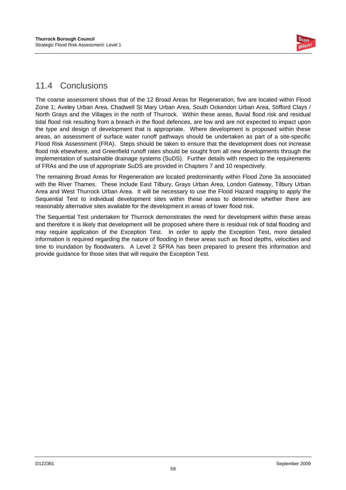

### 11.4 Conclusions

The coarse assessment shows that of the 12 Broad Areas for Regeneration, five are located within Flood Zone 1; Aveley Urban Area, Chadwell St Mary Urban Area, South Ockendon Urban Area, Stifford Clays / North Grays and the Villages in the north of Thurrock. Within these areas, fluvial flood risk and residual tidal flood risk resulting from a breach in the flood defences, are low and are not expected to impact upon the type and design of development that is appropriate. Where development is proposed within these areas, an assessment of surface water runoff pathways should be undertaken as part of a site-specific Flood Risk Assessment (FRA). Steps should be taken to ensure that the development does not increase flood risk elsewhere, and Greenfield runoff rates should be sought from all new developments through the implementation of sustainable drainage systems (SuDS). Further details with respect to the requirements of FRAs and the use of appropriate SuDS are provided in Chapters 7 and 10 respectively.

The remaining Broad Areas for Regeneration are located predominantly within Flood Zone 3a associated with the River Thames. These include East Tilbury, Grays Urban Area, London Gateway, Tilbury Urban Area and West Thurrock Urban Area. It will be necessary to use the Flood Hazard mapping to apply the Sequential Test to individual development sites within these areas to determine whether there are reasonably alternative sites available for the development in areas of lower flood risk.

The Sequential Test undertaken for Thurrock demonstrates the need for development within these areas and therefore it is likely that development will be proposed where there is residual risk of tidal flooding and may require application of the Exception Test. In order to apply the Exception Test, more detailed information is required regarding the nature of flooding in these areas such as flood depths, velocities and time to inundation by floodwaters. A Level 2 SFRA has been prepared to present this information and provide guidance for those sites that will require the Exception Test.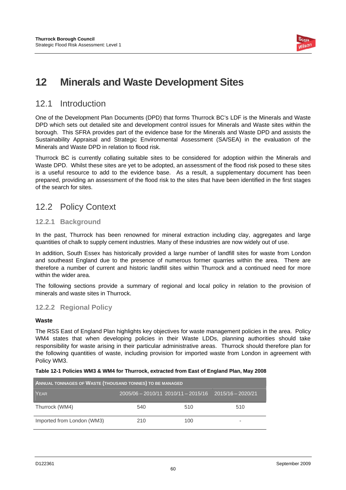

# **12 Minerals and Waste Development Sites**

### 12.1 Introduction

One of the Development Plan Documents (DPD) that forms Thurrock BC's LDF is the Minerals and Waste DPD which sets out detailed site and development control issues for Minerals and Waste sites within the borough. This SFRA provides part of the evidence base for the Minerals and Waste DPD and assists the Sustainability Appraisal and Strategic Environmental Assessment (SA/SEA) in the evaluation of the Minerals and Waste DPD in relation to flood risk.

Thurrock BC is currently collating suitable sites to be considered for adoption within the Minerals and Waste DPD. Whilst these sites are yet to be adopted, an assessment of the flood risk posed to these sites is a useful resource to add to the evidence base. As a result, a supplementary document has been prepared, providing an assessment of the flood risk to the sites that have been identified in the first stages of the search for sites.

### 12.2 Policy Context

#### **12.2.1 Background**

In the past, Thurrock has been renowned for mineral extraction including clay, aggregates and large quantities of chalk to supply cement industries. Many of these industries are now widely out of use.

In addition, South Essex has historically provided a large number of landfill sites for waste from London and southeast England due to the presence of numerous former quarries within the area. There are therefore a number of current and historic landfill sites within Thurrock and a continued need for more within the wider area.

The following sections provide a summary of regional and local policy in relation to the provision of minerals and waste sites in Thurrock.

#### **12.2.2 Regional Policy**

#### **Waste**

The RSS East of England Plan highlights key objectives for waste management policies in the area. Policy WM4 states that when developing policies in their Waste LDDs, planning authorities should take responsibility for waste arising in their particular administrative areas. Thurrock should therefore plan for the following quantities of waste, including provision for imported waste from London in agreement with Policy WM3.

#### **Table 12-1 Policies WM3 & WM4 for Thurrock, extracted from East of England Plan, May 2008**

| ANNUAL TONNAGES OF WASTE (THOUSAND TONNES) TO BE MANAGED |                                                             |     |     |  |  |  |
|----------------------------------------------------------|-------------------------------------------------------------|-----|-----|--|--|--|
| YEAR                                                     | $2005/06 - 2010/11$ $2010/11 - 2015/16$ $2015/16 - 2020/21$ |     |     |  |  |  |
| Thurrock (WM4)                                           | 540                                                         | 510 | 510 |  |  |  |
| Imported from London (WM3)                               | 210                                                         | 100 | ۰   |  |  |  |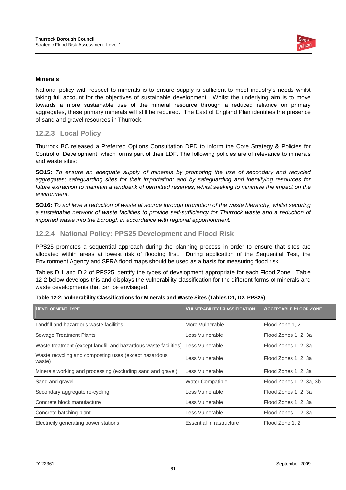

#### **Minerals**

National policy with respect to minerals is to ensure supply is sufficient to meet industry's needs whilst taking full account for the objectives of sustainable development. Whilst the underlying aim is to move towards a more sustainable use of the mineral resource through a reduced reliance on primary aggregates, these primary minerals will still be required. The East of England Plan identifies the presence of sand and gravel resources in Thurrock.

#### **12.2.3 Local Policy**

Thurrock BC released a Preferred Options Consultation DPD to inform the Core Strategy & Policies for Control of Development, which forms part of their LDF. The following policies are of relevance to minerals and waste sites:

**SO15:** *To ensure an adequate supply of minerals by promoting the use of secondary and recycled aggregates; safeguarding sites for their importation; and by safeguarding and identifying resources for*  future extraction to maintain a landbank of permitted reserves, whilst seeking to minimise the impact on the *environment.* 

**SO16:** *To achieve a reduction of waste at source through promotion of the waste hierarchy, whilst securing a sustainable network of waste facilities to provide self-sufficiency for Thurrock waste and a reduction of imported waste into the borough in accordance with regional apportionment.* 

#### **12.2.4 National Policy: PPS25 Development and Flood Risk**

PPS25 promotes a sequential approach during the planning process in order to ensure that sites are allocated within areas at lowest risk of flooding first. During application of the Sequential Test, the Environment Agency and SFRA flood maps should be used as a basis for measuring flood risk.

Tables D.1 and D.2 of PPS25 identify the types of development appropriate for each Flood Zone. Table 12-2 below develops this and displays the vulnerability classification for the different forms of minerals and waste developments that can be envisaged.

| <b>DEVELOPMENT TYPE</b>                                                          | <b>VULNERABILITY CLASSIFICATION</b> | <b>ACCEPTABLE FLOOD ZONE</b> |
|----------------------------------------------------------------------------------|-------------------------------------|------------------------------|
| Landfill and hazardous waste facilities                                          | More Vulnerable                     | Flood Zone 1, 2              |
| <b>Sewage Treatment Plants</b>                                                   | Less Vulnerable                     | Flood Zones 1, 2, 3a         |
| Waste treatment (except landfill and hazardous waste facilities) Less Vulnerable |                                     | Flood Zones 1, 2, 3a         |
| Waste recycling and composting uses (except hazardous<br>waste)                  | Less Vulnerable                     | Flood Zones 1, 2, 3a         |
| Minerals working and processing (excluding sand and gravel)                      | Less Vulnerable                     | Flood Zones 1, 2, 3a         |
| Sand and gravel                                                                  | <b>Water Compatible</b>             | Flood Zones 1, 2, 3a, 3b     |
| Secondary aggregate re-cycling                                                   | Less Vulnerable                     | Flood Zones 1, 2, 3a         |
| Concrete block manufacture                                                       | Less Vulnerable                     | Flood Zones 1, 2, 3a         |
| Concrete batching plant                                                          | Less Vulnerable                     | Flood Zones 1, 2, 3a         |
| Electricity generating power stations                                            | <b>Essential Infrastructure</b>     | Flood Zone 1, 2              |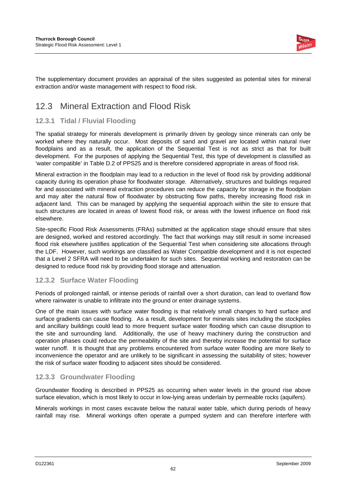

The supplementary document provides an appraisal of the sites suggested as potential sites for mineral extraction and/or waste management with respect to flood risk.

### 12.3 Mineral Extraction and Flood Risk

### **12.3.1 Tidal / Fluvial Flooding**

The spatial strategy for minerals development is primarily driven by geology since minerals can only be worked where they naturally occur. Most deposits of sand and gravel are located within natural river floodplains and as a result, the application of the Sequential Test is not as strict as that for built development. For the purposes of applying the Sequential Test, this type of development is classified as 'water compatible' in Table D.2 of PPS25 and is therefore considered appropriate in areas of flood risk.

Mineral extraction in the floodplain may lead to a reduction in the level of flood risk by providing additional capacity during its operation phase for floodwater storage. Alternatively, structures and buildings required for and associated with mineral extraction procedures can reduce the capacity for storage in the floodplain and may alter the natural flow of floodwater by obstructing flow paths, thereby increasing flood risk in adjacent land. This can be managed by applying the sequential approach within the site to ensure that such structures are located in areas of lowest flood risk, or areas with the lowest influence on flood risk elsewhere.

Site-specific Flood Risk Assessments (FRAs) submitted at the application stage should ensure that sites are designed, worked and restored accordingly. The fact that workings may still result in some increased flood risk elsewhere justifies application of the Sequential Test when considering site allocations through the LDF. However, such workings are classified as Water Compatible development and it is not expected that a Level 2 SFRA will need to be undertaken for such sites. Sequential working and restoration can be designed to reduce flood risk by providing flood storage and attenuation.

#### **12.3.2 Surface Water Flooding**

Periods of prolonged rainfall, or intense periods of rainfall over a short duration, can lead to overland flow where rainwater is unable to infiltrate into the ground or enter drainage systems.

One of the main issues with surface water flooding is that relatively small changes to hard surface and surface gradients can cause flooding. As a result, development for minerals sites including the stockpiles and ancillary buildings could lead to more frequent surface water flooding which can cause disruption to the site and surrounding land. Additionally, the use of heavy machinery during the construction and operation phases could reduce the permeability of the site and thereby increase the potential for surface water runoff. It is thought that any problems encountered from surface water flooding are more likely to inconvenience the operator and are unlikely to be significant in assessing the suitability of sites; however the risk of surface water flooding to adjacent sites should be considered.

#### **12.3.3 Groundwater Flooding**

Groundwater flooding is described in PPS25 as occurring when water levels in the ground rise above surface elevation, which is most likely to occur in low-lying areas underlain by permeable rocks (aquifers).

Minerals workings in most cases excavate below the natural water table, which during periods of heavy rainfall may rise. Mineral workings often operate a pumped system and can therefore interfere with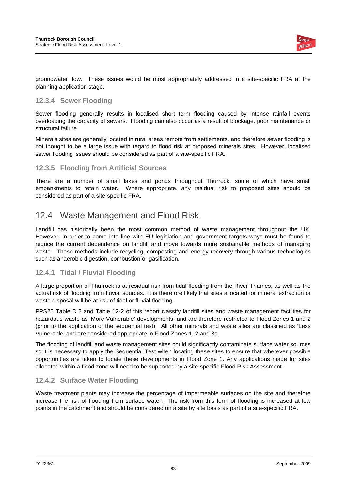

groundwater flow. These issues would be most appropriately addressed in a site-specific FRA at the planning application stage.

#### **12.3.4 Sewer Flooding**

Sewer flooding generally results in localised short term flooding caused by intense rainfall events overloading the capacity of sewers. Flooding can also occur as a result of blockage, poor maintenance or structural failure.

Minerals sites are generally located in rural areas remote from settlements, and therefore sewer flooding is not thought to be a large issue with regard to flood risk at proposed minerals sites. However, localised sewer flooding issues should be considered as part of a site-specific FRA.

#### **12.3.5 Flooding from Artificial Sources**

There are a number of small lakes and ponds throughout Thurrock, some of which have small embankments to retain water. Where appropriate, any residual risk to proposed sites should be considered as part of a site-specific FRA.

### 12.4 Waste Management and Flood Risk

Landfill has historically been the most common method of waste management throughout the UK. However, in order to come into line with EU legislation and government targets ways must be found to reduce the current dependence on landfill and move towards more sustainable methods of managing waste. These methods include recycling, composting and energy recovery through various technologies such as anaerobic digestion, combustion or gasification.

#### **12.4.1 Tidal / Fluvial Flooding**

A large proportion of Thurrock is at residual risk from tidal flooding from the River Thames, as well as the actual risk of flooding from fluvial sources. It is therefore likely that sites allocated for mineral extraction or waste disposal will be at risk of tidal or fluvial flooding.

PPS25 Table D.2 and Table 12-2 of this report classify landfill sites and waste management facilities for hazardous waste as 'More Vulnerable' developments, and are therefore restricted to Flood Zones 1 and 2 (prior to the application of the sequential test). All other minerals and waste sites are classified as 'Less Vulnerable' and are considered appropriate in Flood Zones 1, 2 and 3a.

The flooding of landfill and waste management sites could significantly contaminate surface water sources so it is necessary to apply the Sequential Test when locating these sites to ensure that wherever possible opportunities are taken to locate these developments in Flood Zone 1. Any applications made for sites allocated within a flood zone will need to be supported by a site-specific Flood Risk Assessment.

#### **12.4.2 Surface Water Flooding**

Waste treatment plants may increase the percentage of impermeable surfaces on the site and therefore increase the risk of flooding from surface water. The risk from this form of flooding is increased at low points in the catchment and should be considered on a site by site basis as part of a site-specific FRA.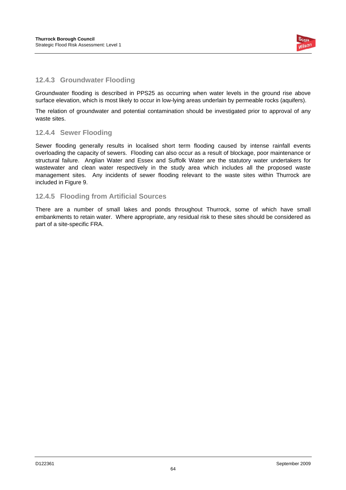

#### **12.4.3 Groundwater Flooding**

Groundwater flooding is described in PPS25 as occurring when water levels in the ground rise above surface elevation, which is most likely to occur in low-lying areas underlain by permeable rocks (aquifers).

The relation of groundwater and potential contamination should be investigated prior to approval of any waste sites.

#### **12.4.4 Sewer Flooding**

Sewer flooding generally results in localised short term flooding caused by intense rainfall events overloading the capacity of sewers. Flooding can also occur as a result of blockage, poor maintenance or structural failure. Anglian Water and Essex and Suffolk Water are the statutory water undertakers for wastewater and clean water respectively in the study area which includes all the proposed waste management sites. Any incidents of sewer flooding relevant to the waste sites within Thurrock are included in Figure 9.

#### **12.4.5 Flooding from Artificial Sources**

There are a number of small lakes and ponds throughout Thurrock, some of which have small embankments to retain water. Where appropriate, any residual risk to these sites should be considered as part of a site-specific FRA.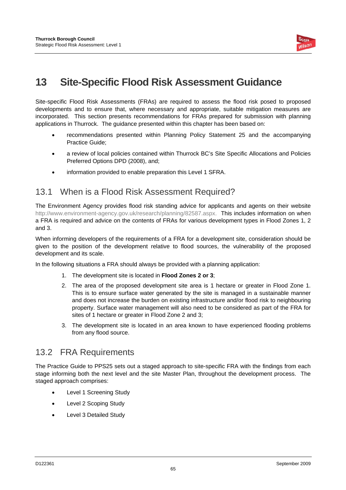

# **13 Site-Specific Flood Risk Assessment Guidance**

Site-specific Flood Risk Assessments (FRAs) are required to assess the flood risk posed to proposed developments and to ensure that, where necessary and appropriate, suitable mitigation measures are incorporated. This section presents recommendations for FRAs prepared for submission with planning applications in Thurrock. The guidance presented within this chapter has been based on:

- recommendations presented within Planning Policy Statement 25 and the accompanying Practice Guide;
- a review of local policies contained within Thurrock BC's Site Specific Allocations and Policies Preferred Options DPD (2008), and;
- information provided to enable preparation this Level 1 SFRA.

### 13.1 When is a Flood Risk Assessment Required?

The Environment Agency provides flood risk standing advice for applicants and agents on their website http://www.environment-agency.gov.uk/research/planning/82587.aspx. This includes information on when a FRA is required and advice on the contents of FRAs for various development types in Flood Zones 1, 2 and 3.

When informing developers of the requirements of a FRA for a development site, consideration should be given to the position of the development relative to flood sources, the vulnerability of the proposed development and its scale.

In the following situations a FRA should always be provided with a planning application:

- 1. The development site is located in **Flood Zones 2 or 3**;
- 2. The area of the proposed development site area is 1 hectare or greater in Flood Zone 1. This is to ensure surface water generated by the site is managed in a sustainable manner and does not increase the burden on existing infrastructure and/or flood risk to neighbouring property. Surface water management will also need to be considered as part of the FRA for sites of 1 hectare or greater in Flood Zone 2 and 3;
- 3. The development site is located in an area known to have experienced flooding problems from any flood source.

### 13.2 FRA Requirements

The Practice Guide to PPS25 sets out a staged approach to site-specific FRA with the findings from each stage informing both the next level and the site Master Plan, throughout the development process. The staged approach comprises:

- Level 1 Screening Study
- Level 2 Scoping Study
- Level 3 Detailed Study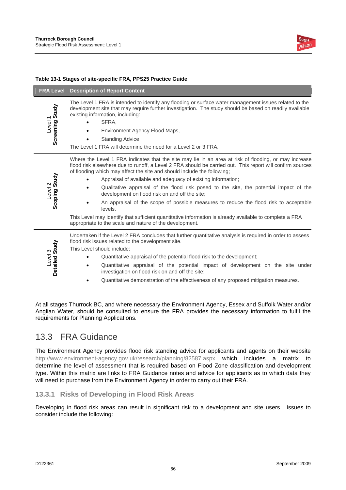

#### **Table 13-1 Stages of site-specific FRA, PPS25 Practice Guide**

|                                       | <b>FRA Level</b> Description of Report Content                                                                                                                                                                                                                                                                                                                                                                                                                                                                                                                                                                                                                                                                                                                                      |
|---------------------------------------|-------------------------------------------------------------------------------------------------------------------------------------------------------------------------------------------------------------------------------------------------------------------------------------------------------------------------------------------------------------------------------------------------------------------------------------------------------------------------------------------------------------------------------------------------------------------------------------------------------------------------------------------------------------------------------------------------------------------------------------------------------------------------------------|
| Screening Study<br>Level <sub>1</sub> | The Level 1 FRA is intended to identify any flooding or surface water management issues related to the<br>development site that may require further investigation. The study should be based on readily available<br>existing information, including:<br>SFRA,<br>Environment Agency Flood Maps,<br><b>Standing Advice</b><br>The Level 1 FRA will determine the need for a Level 2 or 3 FRA.                                                                                                                                                                                                                                                                                                                                                                                       |
| Scoping Study<br>Level <sub>2</sub>   | Where the Level 1 FRA indicates that the site may lie in an area at risk of flooding, or may increase<br>flood risk elsewhere due to runoff, a Level 2 FRA should be carried out. This report will confirm sources<br>of flooding which may affect the site and should include the following;<br>Appraisal of available and adequacy of existing information;<br>Qualitative appraisal of the flood risk posed to the site, the potential impact of the<br>development on flood risk on and off the site;<br>An appraisal of the scope of possible measures to reduce the flood risk to acceptable<br>levels.<br>This Level may identify that sufficient quantitative information is already available to complete a FRA<br>appropriate to the scale and nature of the development. |
| Detailed Study<br>Level 3             | Undertaken if the Level 2 FRA concludes that further quantitative analysis is required in order to assess<br>flood risk issues related to the development site.<br>This Level should include:<br>Quantitative appraisal of the potential flood risk to the development;<br>Quantitative appraisal of the potential impact of development on the site under<br>investigation on flood risk on and off the site;<br>Quantitative demonstration of the effectiveness of any proposed mitigation measures.                                                                                                                                                                                                                                                                              |

At all stages Thurrock BC, and where necessary the Environment Agency, Essex and Suffolk Water and/or Anglian Water, should be consulted to ensure the FRA provides the necessary information to fulfil the requirements for Planning Applications.

#### 13.3 FRA Guidance

The Environment Agency provides flood risk standing advice for applicants and agents on their website http://www.environment-agency.gov.uk/research/planning/82587.aspx which includes a matrix to determine the level of assessment that is required based on Flood Zone classification and development type. Within this matrix are links to FRA Guidance notes and advice for applicants as to which data they will need to purchase from the Environment Agency in order to carry out their FRA.

#### **13.3.1 Risks of Developing in Flood Risk Areas**

Developing in flood risk areas can result in significant risk to a development and site users. Issues to consider include the following: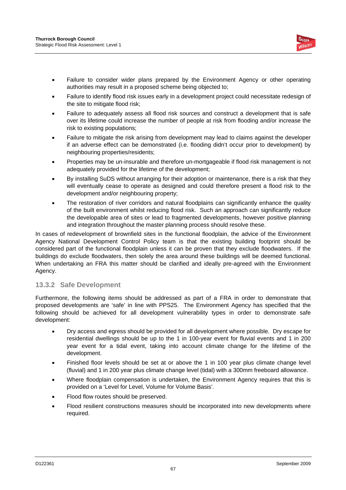

- Failure to consider wider plans prepared by the Environment Agency or other operating authorities may result in a proposed scheme being objected to;
- Failure to identify flood risk issues early in a development project could necessitate redesign of the site to mitigate flood risk;
- Failure to adequately assess all flood risk sources and construct a development that is safe over its lifetime could increase the number of people at risk from flooding and/or increase the risk to existing populations;
- Failure to mitigate the risk arising from development may lead to claims against the developer if an adverse effect can be demonstrated (i.e. flooding didn't occur prior to development) by neighbouring properties/residents;
- Properties may be un-insurable and therefore un-mortgageable if flood risk management is not adequately provided for the lifetime of the development:
- By installing SuDS without arranging for their adoption or maintenance, there is a risk that they will eventually cease to operate as designed and could therefore present a flood risk to the development and/or neighbouring property;
- The restoration of river corridors and natural floodplains can significantly enhance the quality of the built environment whilst reducing flood risk. Such an approach can significantly reduce the developable area of sites or lead to fragmented developments, however positive planning and integration throughout the master planning process should resolve these.

In cases of redevelopment of brownfield sites in the functional floodplain, the advice of the Environment Agency National Development Control Policy team is that the existing building footprint should be considered part of the functional floodplain unless it can be proven that they exclude floodwaters. If the buildings do exclude floodwaters, then solely the area around these buildings will be deemed functional. When undertaking an FRA this matter should be clarified and ideally pre-agreed with the Environment Agency.

#### **13.3.2 Safe Development**

Furthermore, the following items should be addressed as part of a FRA in order to demonstrate that proposed developments are 'safe' in line with PPS25. The Environment Agency has specified that the following should be achieved for all development vulnerability types in order to demonstrate safe development:

- Dry access and egress should be provided for all development where possible. Dry escape for residential dwellings should be up to the 1 in 100-year event for fluvial events and 1 in 200 year event for a tidal event, taking into account climate change for the lifetime of the development.
- Finished floor levels should be set at or above the 1 in 100 year plus climate change level (fluvial) and 1 in 200 year plus climate change level (tidal) with a 300mm freeboard allowance.
- Where floodplain compensation is undertaken, the Environment Agency requires that this is provided on a 'Level for Level, Volume for Volume Basis'.
- Flood flow routes should be preserved.
- Flood resilient constructions measures should be incorporated into new developments where required.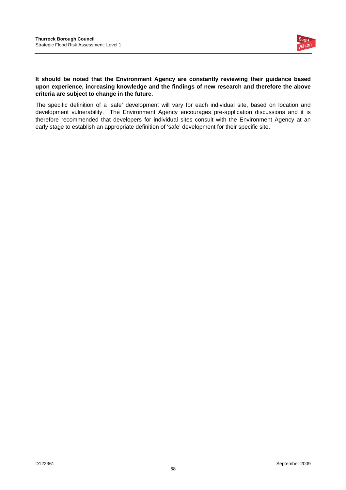

#### **It should be noted that the Environment Agency are constantly reviewing their guidance based upon experience, increasing knowledge and the findings of new research and therefore the above criteria are subject to change in the future.**

The specific definition of a 'safe' development will vary for each individual site, based on location and development vulnerability. The Environment Agency encourages pre-application discussions and it is therefore recommended that developers for individual sites consult with the Environment Agency at an early stage to establish an appropriate definition of 'safe' development for their specific site.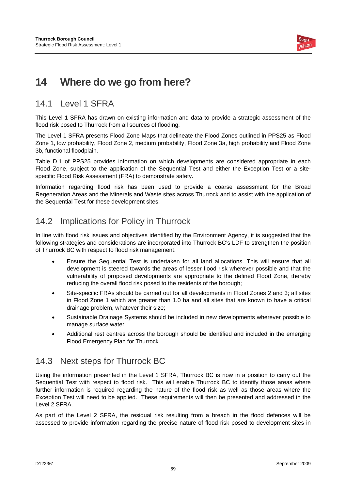

# **14 Where do we go from here?**

### 14.1 Level 1 SFRA

This Level 1 SFRA has drawn on existing information and data to provide a strategic assessment of the flood risk posed to Thurrock from all sources of flooding.

The Level 1 SFRA presents Flood Zone Maps that delineate the Flood Zones outlined in PPS25 as Flood Zone 1, low probability, Flood Zone 2, medium probability, Flood Zone 3a, high probability and Flood Zone 3b, functional floodplain.

Table D.1 of PPS25 provides information on which developments are considered appropriate in each Flood Zone, subject to the application of the Sequential Test and either the Exception Test or a sitespecific Flood Risk Assessment (FRA) to demonstrate safety.

Information regarding flood risk has been used to provide a coarse assessment for the Broad Regeneration Areas and the Minerals and Waste sites across Thurrock and to assist with the application of the Sequential Test for these development sites.

## 14.2 Implications for Policy in Thurrock

In line with flood risk issues and objectives identified by the Environment Agency, it is suggested that the following strategies and considerations are incorporated into Thurrock BC's LDF to strengthen the position of Thurrock BC with respect to flood risk management.

- Ensure the Sequential Test is undertaken for all land allocations. This will ensure that all development is steered towards the areas of lesser flood risk wherever possible and that the vulnerability of proposed developments are appropriate to the defined Flood Zone, thereby reducing the overall flood risk posed to the residents of the borough;
- Site-specific FRAs should be carried out for all developments in Flood Zones 2 and 3; all sites in Flood Zone 1 which are greater than 1.0 ha and all sites that are known to have a critical drainage problem, whatever their size;
- Sustainable Drainage Systems should be included in new developments wherever possible to manage surface water.
- Additional rest centres across the borough should be identified and included in the emerging Flood Emergency Plan for Thurrock.

### 14.3 Next steps for Thurrock BC

Using the information presented in the Level 1 SFRA, Thurrock BC is now in a position to carry out the Sequential Test with respect to flood risk. This will enable Thurrock BC to identify those areas where further information is required regarding the nature of the flood risk as well as those areas where the Exception Test will need to be applied. These requirements will then be presented and addressed in the Level 2 SFRA.

As part of the Level 2 SFRA, the residual risk resulting from a breach in the flood defences will be assessed to provide information regarding the precise nature of flood risk posed to development sites in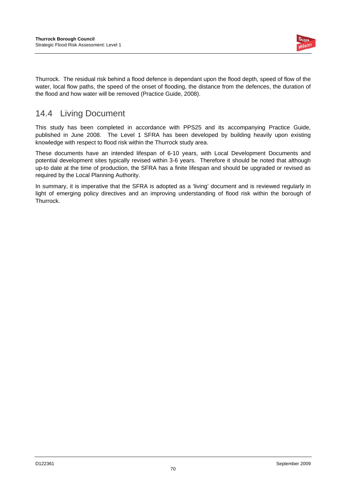

Thurrock. The residual risk behind a flood defence is dependant upon the flood depth, speed of flow of the water, local flow paths, the speed of the onset of flooding, the distance from the defences, the duration of the flood and how water will be removed (Practice Guide, 2008).

## 14.4 Living Document

This study has been completed in accordance with PPS25 and its accompanying Practice Guide, published in June 2008. The Level 1 SFRA has been developed by building heavily upon existing knowledge with respect to flood risk within the Thurrock study area.

These documents have an intended lifespan of 6-10 years, with Local Development Documents and potential development sites typically revised within 3-6 years. Therefore it should be noted that although up-to date at the time of production, the SFRA has a finite lifespan and should be upgraded or revised as required by the Local Planning Authority.

In summary, it is imperative that the SFRA is adopted as a 'living' document and is reviewed regularly in light of emerging policy directives and an improving understanding of flood risk within the borough of Thurrock.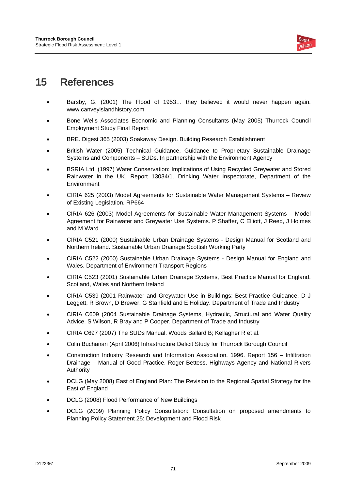

## **15 References**

- Barsby, G. (2001) The Flood of 1953… they believed it would never happen again. www.canveyislandhistory.com
- Bone Wells Associates Economic and Planning Consultants (May 2005) Thurrock Council Employment Study Final Report
- BRE. Digest 365 (2003) Soakaway Design. Building Research Establishment
- British Water (2005) Technical Guidance, Guidance to Proprietary Sustainable Drainage Systems and Components – SUDs. In partnership with the Environment Agency
- BSRIA Ltd. (1997) Water Conservation: Implications of Using Recycled Greywater and Stored Rainwater in the UK. Report 13034/1. Drinking Water Inspectorate, Department of the Environment
- CIRIA 625 (2003) Model Agreements for Sustainable Water Management Systems Review of Existing Legislation. RP664
- CIRIA 626 (2003) Model Agreements for Sustainable Water Management Systems Model Agreement for Rainwater and Greywater Use Systems. P Shaffer, C Elliott, J Reed, J Holmes and M Ward
- CIRIA C521 (2000) Sustainable Urban Drainage Systems Design Manual for Scotland and Northern Ireland. Sustainable Urban Drainage Scottish Working Party
- CIRIA C522 (2000) Sustainable Urban Drainage Systems Design Manual for England and Wales. Department of Environment Transport Regions
- CIRIA C523 (2001) Sustainable Urban Drainage Systems, Best Practice Manual for England, Scotland, Wales and Northern Ireland
- CIRIA C539 (2001 Rainwater and Greywater Use in Buildings: Best Practice Guidance. D J Leggett, R Brown, D Brewer, G Stanfield and E Holiday. Department of Trade and Industry
- CIRIA C609 (2004 Sustainable Drainage Systems, Hydraulic, Structural and Water Quality Advice. S Wilson, R Bray and P Cooper. Department of Trade and Industry
- CIRIA C697 (2007) The SUDs Manual. Woods Ballard B; Kellagher R et al.
- Colin Buchanan (April 2006) Infrastructure Deficit Study for Thurrock Borough Council
- Construction Industry Research and Information Association. 1996. Report 156 Infiltration Drainage – Manual of Good Practice. Roger Bettess. Highways Agency and National Rivers Authority
- DCLG (May 2008) East of England Plan: The Revision to the Regional Spatial Strategy for the East of England
- DCLG (2008) Flood Performance of New Buildings
- DCLG (2009) Planning Policy Consultation: Consultation on proposed amendments to Planning Policy Statement 25: Development and Flood Risk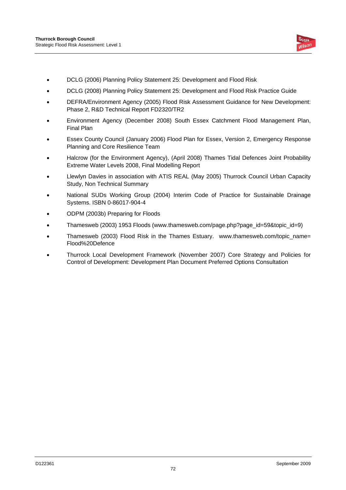

- DCLG (2006) Planning Policy Statement 25: Development and Flood Risk
- DCLG (2008) Planning Policy Statement 25: Development and Flood Risk Practice Guide
- DEFRA/Environment Agency (2005) Flood Risk Assessment Guidance for New Development: Phase 2, R&D Technical Report FD2320/TR2
- Environment Agency (December 2008) South Essex Catchment Flood Management Plan, Final Plan
- Essex County Council (January 2006) Flood Plan for Essex, Version 2, Emergency Response Planning and Core Resilience Team
- Halcrow (for the Environment Agency), (April 2008) Thames Tidal Defences Joint Probability Extreme Water Levels 2008, Final Modelling Report
- Llewlyn Davies in association with ATIS REAL (May 2005) Thurrock Council Urban Capacity Study, Non Technical Summary
- National SUDs Working Group (2004) Interim Code of Practice for Sustainable Drainage Systems. ISBN 0-86017-904-4
- ODPM (2003b) Preparing for Floods
- Thamesweb (2003) 1953 Floods (www.thamesweb.com/page.php?page\_id=59&topic\_id=9)
- Thamesweb (2003) Flood Risk in the Thames Estuary. www.thamesweb.com/topic\_name= Flood%20Defence
- Thurrock Local Development Framework (November 2007) Core Strategy and Policies for Control of Development: Development Plan Document Preferred Options Consultation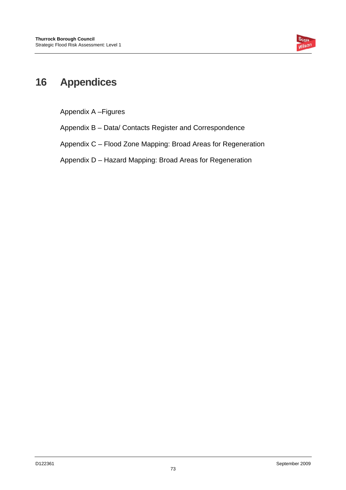

# **16 Appendices**

Appendix A –Figures

Appendix B – Data/ Contacts Register and Correspondence

Appendix C – Flood Zone Mapping: Broad Areas for Regeneration

Appendix D – Hazard Mapping: Broad Areas for Regeneration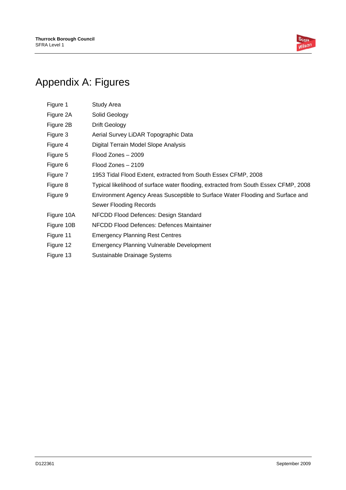

# Appendix A: Figures

| Figure 1   | <b>Study Area</b>                                                                   |
|------------|-------------------------------------------------------------------------------------|
| Figure 2A  | Solid Geology                                                                       |
| Figure 2B  | Drift Geology                                                                       |
| Figure 3   | Aerial Survey LiDAR Topographic Data                                                |
| Figure 4   | Digital Terrain Model Slope Analysis                                                |
| Figure 5   | Flood Zones - 2009                                                                  |
| Figure 6   | Flood Zones - 2109                                                                  |
| Figure 7   | 1953 Tidal Flood Extent, extracted from South Essex CFMP, 2008                      |
| Figure 8   | Typical likelihood of surface water flooding, extracted from South Essex CFMP, 2008 |
| Figure 9   | Environment Agency Areas Susceptible to Surface Water Flooding and Surface and      |
|            | <b>Sewer Flooding Records</b>                                                       |
| Figure 10A | NFCDD Flood Defences: Design Standard                                               |
| Figure 10B | NFCDD Flood Defences: Defences Maintainer                                           |
| Figure 11  | <b>Emergency Planning Rest Centres</b>                                              |
| Figure 12  | <b>Emergency Planning Vulnerable Development</b>                                    |
| Figure 13  | Sustainable Drainage Systems                                                        |
|            |                                                                                     |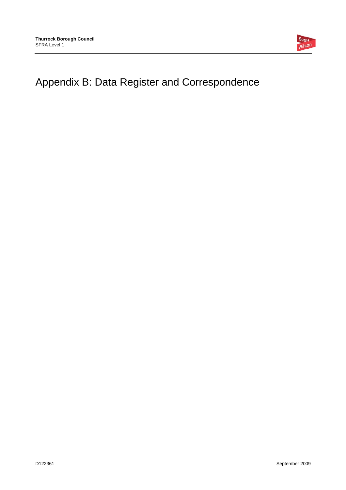

# Appendix B: Data Register and Correspondence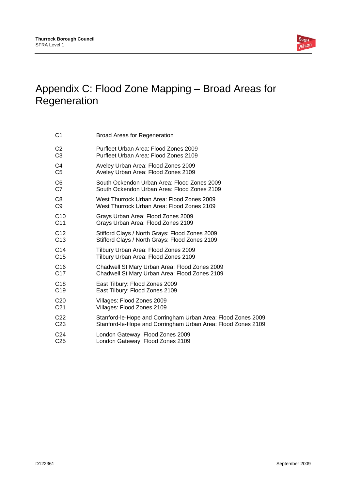

# Appendix C: Flood Zone Mapping – Broad Areas for Regeneration

| C1              | <b>Broad Areas for Regeneration</b>                          |
|-----------------|--------------------------------------------------------------|
| C <sub>2</sub>  | Purfleet Urban Area: Flood Zones 2009                        |
| C <sub>3</sub>  | Purfleet Urban Area: Flood Zones 2109                        |
| C4              | Aveley Urban Area: Flood Zones 2009                          |
| C <sub>5</sub>  | Aveley Urban Area: Flood Zones 2109                          |
| C <sub>6</sub>  | South Ockendon Urban Area: Flood Zones 2009                  |
| C7              | South Ockendon Urban Area: Flood Zones 2109                  |
| C8              | West Thurrock Urban Area: Flood Zones 2009                   |
| C <sub>9</sub>  | West Thurrock Urban Area: Flood Zones 2109                   |
| C <sub>10</sub> | Grays Urban Area: Flood Zones 2009                           |
| C <sub>11</sub> | Grays Urban Area: Flood Zones 2109                           |
| C <sub>12</sub> | Stifford Clays / North Grays: Flood Zones 2009               |
| C <sub>13</sub> | Stifford Clays / North Grays: Flood Zones 2109               |
| C <sub>14</sub> | Tilbury Urban Area: Flood Zones 2009                         |
| C <sub>15</sub> | Tilbury Urban Area: Flood Zones 2109                         |
| C <sub>16</sub> | Chadwell St Mary Urban Area: Flood Zones 2009                |
| C <sub>17</sub> | Chadwell St Mary Urban Area: Flood Zones 2109                |
| C <sub>18</sub> | East Tilbury: Flood Zones 2009                               |
| C <sub>19</sub> | East Tilbury: Flood Zones 2109                               |
| C <sub>20</sub> | Villages: Flood Zones 2009                                   |
| C <sub>21</sub> | Villages: Flood Zones 2109                                   |
| C <sub>22</sub> | Stanford-le-Hope and Corringham Urban Area: Flood Zones 2009 |
| C <sub>23</sub> | Stanford-le-Hope and Corringham Urban Area: Flood Zones 2109 |
| C <sub>24</sub> | London Gateway: Flood Zones 2009                             |
| C <sub>25</sub> | London Gateway: Flood Zones 2109                             |
|                 |                                                              |